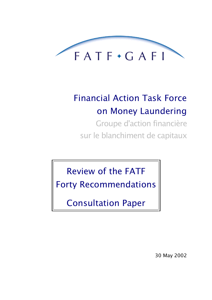

# **Financial Action Task Force** on Money Laundering

Groupe d'action financière sur le blanchiment de capitaux

**Review of the FATF Forty Recommendations** 

**Consultation Paper** 

30 May 2002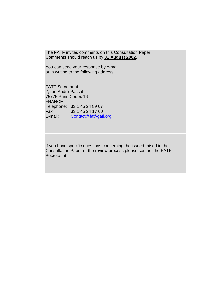The FATF invites comments on this Consultation Paper. Comments should reach us by **31 August 2002**.

You can send your response by e-mail or in writing to the following address:

FATF Secretariat 2, rue André Pascal 75775 Paris Cedex 16 FRANCE Telephone: 33 1 45 24 89 67 Fax: 33 1 45 24 17 60 E-mail: Contact@fatf-gafi.org

If you have specific questions concerning the issued raised in the Consultation Paper or the review process please contact the FATF **Secretariat**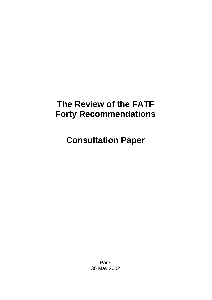## **The Review of the FATF Forty Recommendations**

**Consultation Paper**

Paris 30 May 2002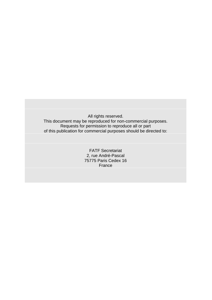All rights reserved. This document may be reproduced for non-commercial purposes. Requests for permission to reproduce all or part of this publication for commercial purposes should be directed to:

> FATF Secretariat 2, rue André-Pascal 75775 Paris Cedex 16 France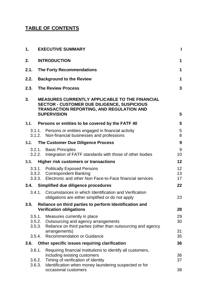## **TABLE OF CONTENTS**

| 1.   |                            | <b>EXECUTIVE SUMMARY</b>                                                                                                                                                              | L               |
|------|----------------------------|---------------------------------------------------------------------------------------------------------------------------------------------------------------------------------------|-----------------|
| 2.   |                            | <b>INTRODUCTION</b>                                                                                                                                                                   | 1               |
| 2.1. |                            | <b>The Forty Recommendations</b>                                                                                                                                                      | 1               |
| 2.2. |                            | <b>Background to the Review</b>                                                                                                                                                       | 1               |
| 2.3. |                            | <b>The Review Process</b>                                                                                                                                                             | 3               |
| 3.   |                            | <b>MEASURES CURRENTLY APPLICABLE TO THE FINANCIAL</b><br><b>SECTOR - CUSTOMER DUE DILIGENCE, SUSPICIOUS</b><br><b>TRANSACTION REPORTING, AND REGULATION AND</b><br><b>SUPERVISION</b> | $5\phantom{.0}$ |
|      |                            | 3.1. Persons or entities to be covered by the FATF 40                                                                                                                                 | 5               |
|      | 3.1.1.<br>3.1.2.           | Persons or entities engaged in financial activity<br>Non-financial businesses and professions                                                                                         | 5<br>8          |
| 3.2. |                            | The Customer Due Diligence Process                                                                                                                                                    | 9               |
|      | 3.2.2.                     | 3.2.1. Basic Principles<br>Integration of FATF standards with those of other bodies                                                                                                   | 9<br>10         |
| 3.3. |                            | <b>Higher risk customers or transactions</b>                                                                                                                                          | 12              |
|      |                            | 3.3.1. Politically Exposed Persons<br>3.3.2. Correspondent Banking<br>3.3.3. Electronic and other Non Face-to-Face financial services                                                 | 12<br>13<br>17  |
|      |                            | 3.4. Simplified due diligence procedures                                                                                                                                              | 22              |
|      | 3.4.1.                     | Circumstances in which Identification and Verification<br>obligations are either simplified or do not apply                                                                           | 23              |
| 3.5. |                            | Reliance on third parties to perform Identification and<br><b>Verification obligations</b>                                                                                            | 28              |
|      | 3.5.1.<br>3.5.2.<br>3.5.3. | Measures currently in place<br>Outsourcing and agency arrangements<br>Reliance on third parties (other than outsourcing and agency                                                    | 29<br>30        |
|      | 3.5.4.                     | arrangements)<br><b>Recommendation or Guidance</b>                                                                                                                                    | 31<br>35        |
| 3.6. |                            | Other specific issues requiring clarification                                                                                                                                         | 36              |
|      | 3.6.1.<br>3.6.2.           | Requiring financial institutions to identify all customers,<br>including existing customers<br>Timing of verification of identity                                                     | 36<br>37        |
|      | 3.6.3.                     | Identification when money laundering suspected or for<br>occasional customers                                                                                                         | 38              |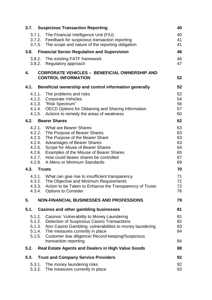|        | 3.7. Suspicious Transaction Reporting                                              | 40       |
|--------|------------------------------------------------------------------------------------|----------|
|        | The Financial Intelligence Unit (FIU)<br>3.7.1.                                    | 40       |
|        | 3.7.2. Feedback for suspicious transaction reporting                               | 41       |
|        | 3.7.3. The scope and nature of the reporting obligation                            | 41       |
| 3.8.   | <b>Financial Sector Regulation and Supervision</b>                                 | 46       |
|        | 3.8.2. The existing FATF framework<br>3.8.2. Regulatory approach                   | 46<br>47 |
| 4.     | <b>CORPORATE VEHICLES - BENEFICIAL OWNERSHIP AND</b><br><b>CONTROL INFORMATION</b> | 52       |
|        | 4.1. Beneficial ownership and control information generally                        | 52       |
|        | The problems and risks<br>4.1.1.                                                   | 52       |
|        | 4.1.2. Corporate Vehicles                                                          | 54       |
|        | 4.1.3. "Risk Spectrum"                                                             | 56       |
|        | 4.1.4. OECD Options for Obtaining and Sharing Information                          | 57       |
|        | 4.1.5. Actions to remedy the areas of weakness                                     | 60       |
|        | 4.2. Bearer Shares                                                                 | 62       |
|        | 4.2.1. What are Bearer Shares                                                      | 63       |
|        | 4.2.2. The Purpose of Bearer Shares                                                | 63       |
|        | 4.2.3. The Purpose of the Bearer Share                                             | 63       |
|        | 4.2.4. Advantages of Bearer Shares                                                 | 63       |
|        | 4.2.5. Scope for Abuse of Bearer Shares                                            | 64       |
|        | 4.2.6. Examples of the Misuse of Bearer Shares                                     | 65       |
|        | 4.2.7. How could bearer shares be controlled<br>4.2.8. A Menu or Minimum Standards | 67<br>69 |
|        |                                                                                    |          |
|        | 4.3. Trusts                                                                        | 70       |
|        | 4.3.1. What can give rise to insufficient transparency                             | 71       |
|        | The Objective and Minimum Requirements<br>4.3.2.                                   | 72       |
|        | Action to be Taken to Enhance the Transparency of Trusts<br>4.3.3.                 | 72       |
|        | 4.3.4. Options to Consider                                                         | 76       |
| 5.     | <b>NON-FINANCIAL BUSINESSES AND PROFESSIONS</b>                                    | 79       |
| 5.1.   | <b>Casinos and other gambling businesses</b>                                       | 81       |
| 5.1.1. | Casinos: Vulnerability to Money Laundering                                         | 81       |
|        | Detection of Suspicious Casino Transactions<br>5.1.2.                              | 82       |
|        | Non Casino Gambling: vulnerabilities to money laundering<br>5.1.3.                 | 83       |
|        | The measures currently in place<br>5.1.4.                                          | 84       |
|        | 5.1.5. Customer due diligence/ Record-keeping/Suspicious                           |          |
|        | transaction reporting                                                              | 84       |
| 5.2.   | <b>Real Estate Agents and Dealers in High Value Goods</b>                          | 88       |
| 5.3.   | <b>Trust and Company Service Providers</b>                                         | 92       |
|        | The money laundering risks<br>5.3.1.                                               | 92       |
| 5.3.2. | The measures currently in place                                                    | 93       |
|        |                                                                                    |          |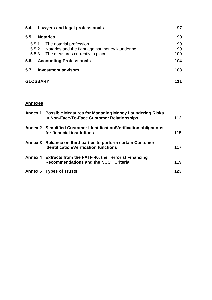| 5.4. | Lawyers and legal professionals                                                                                                    | 97              |
|------|------------------------------------------------------------------------------------------------------------------------------------|-----------------|
| 5.5. | <b>Notaries</b>                                                                                                                    | 99              |
|      | 5.5.1. The notarial profession<br>5.5.2. Notaries and the fight against money laundering<br>5.5.3. The measures currently in place | 99<br>99<br>100 |
| 5.6. | <b>Accounting Professionals</b>                                                                                                    | 104             |
| 5.7. | <b>Investment advisors</b>                                                                                                         | 108             |
|      | <b>GLOSSARY</b>                                                                                                                    |                 |

## **Annexes**

| Annex 1 Possible Measures for Managing Money Laundering Risks<br>in Non-Face-To-Face Customer Relationships   | 112 |
|---------------------------------------------------------------------------------------------------------------|-----|
| Annex 2 Simplified Customer Identification/Verification obligations<br>for financial institutions             | 115 |
| Annex 3 Reliance on third parties to perform certain Customer<br><b>Identification/Verification functions</b> | 117 |
| Annex 4 Extracts from the FATF 40, the Terrorist Financing<br><b>Recommendations and the NCCT Criteria</b>    | 119 |
| <b>Annex 5 Types of Trusts</b>                                                                                | 123 |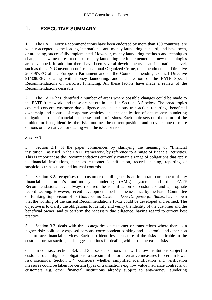## **1. EXECUTIVE SUMMARY**

1. The FATF Forty Recommendations have been endorsed by more than 130 countries, are widely accepted as the leading international anti-money laundering standard, and have been, or are being, successfully implemented. However, money laundering methods and techniques change as new measures to combat money laundering are implemented and new technologies are developed. In addition there have been several developments at an international level, such as the U.N Convention on Transnational Organized Crime, the amendments in Directive 2001/97/EC of the European Parliament and of the Council, amending Council Directive 91/308/EEC dealing with money laundering, and the creation of the FATF Special Recommendations on Terrorist Financing. All these factors have made a review of the Recommendations desirable.

2. The FATF has identified a number of areas where possible changes could be made to the FATF framework, and these are set out in detail in Sections 3-5 below. The broad topics covered concern customer due diligence and suspicious transaction reporting, beneficial ownership and control of corporate vehicles, and the application of anti-money laundering obligations to non-financial businesses and professions. Each topic sets out the nature of the problem or issue, identifies the risks, outlines the current position, and provides one or more options or alternatives for dealing with the issue or risks.

#### *Section 3*

3. Section 3.1. of the paper commences by clarifying the meaning of "financial institution", as used in the FATF framework, by reference to a range of financial activities. This is important as the Recommendations currently contain a range of obligations that apply to financial institutions, such as customer identification, record keeping, reporting of suspicious transactions and internal controls.

4. Section 3.2. recognises that customer due diligence is an important component of any financial institution's anti-money laundering (AML) system, and the FATF financial institution's anti-money laundering (AML) system, and the FATF Recommendations have always required the identification of customers and appropriate record-keeping. However, recent developments such as the issuance by the Basel Committee on Banking Supervision of its *Guidance on Customer Due Diligence for Banks*, have shown that the wording of the current Recommendations 10-12 could be developed and refined. The objective is to clarify the obligations to identify and verify the identity of the customer and the beneficial owner, and to perform the necessary due diligence, having regard to current best practice.

5. Section 3.3. deals with three categories of customer or transactions where there is a higher risk: politically exposed persons, correspondent banking and electronic and other non face-to-face financial services. Each part identifies the nature of the risks applicable to the customer or transaction, and suggests options for dealing with those increased risks.

6. In contrast, sections 3.4. and 3.5. set out options that will allow institutions subject to customer due diligence obligations to use simplified or alternative measures for certain lower risk scenarios. Section 3.4. considers whether simplified identification and verification measures could be taken for certain types of transactions e.g. low value insurance contracts, or customers e.g. other financial institutions already subject to anti-money laundering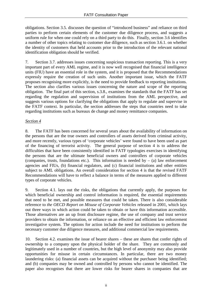obligations. Section 3.5. discusses the question of "introduced business" and reliance on third parties to perform certain elements of the customer due diligence process, and suggests a uniform rule for when one could rely on a third party to do this. Finally, section 3.6 identifies a number of other topics relating to customer due diligence, such as section 3.6.1. on whether the identity of customers that held accounts prior to the introduction of the relevant national identification obligation should be verified.

7. Section 3.7. addresses issues concerning suspicious transaction reporting. This is a very important part of every AML regime, and it is now well recognised that financial intelligence units (FIU) have an essential role in the system, and it is proposed that the Recommendations expressly require the creation of such units. Another important issue, which the FATF proposes recognising more explicitly, is the need to provide feedback to reporting institutions. The section also clarifies various issues concerning the nature and scope of the reporting obligation. The final part of this section, s.3.8., examines the standards that the FATF has set regarding the regulation and supervision of institutions from the AML perspective, and suggests various options for clarifying the obligations that apply to regulate and supervise in the FATF context. In particular, the section addresses the steps that countries need to take regarding institutions such as bureaux de change and money remittance companies.

#### *Section 4*

8. The FATF has been concerned for several years about the availability of information on the persons that are the true owners and controllers of assets derived from criminal activity, and more recently, various types of 'corporate vehicles' were found to have been used as part of the financing of terrorist activity. The general purpose of section 4 is to address the difficulties that have been consistently identified in FATF typologies exercises in identifying the persons that are the ultimate beneficial owners and controllers of corporate vehicles (companies, trusts, foundations etc.). This information is needed by  $-$  (a) law enforcement agencies and FIUs, (b) financial regulators, and (c) financial institutions and other entities subject to AML obligations. An overall consideration for section 4 is that the revised FATF Recommendations will have to reflect a balance in terms of the measures applied to different types of corporate vehicles.

9. Section 4.1. lays out the risks, the obligations that currently apply, the purposes for which beneficial ownership and control information is required, the essential requirements that need to be met, and possible measures that could be taken. There is also considerable reference to *the OECD Report on Misuse of Corporate Vehicles* released in 2001, which lays out three ways in which action could be taken to obtain or have this information accessible. Those alternatives are an up front disclosure regime, the use of company and trust service providers to obtain the information, or reliance on an effective and efficient law enforcement investigative system. The options for action include the need for institutions to perform the necessary customer due diligence measures, and additional commercial law requirements.

10. Section 4.2. examines the issue of bearer shares – these are shares that confer rights of ownership to a company upon the physical holder of the share. They are commonly and legitimately used in a number of countries, but the high level of anonymity may also provide opportunities for misuse in certain circumstances. In particular, there are two money laundering risks: (a) financial assets can be acquired without the purchaser being identified; and (b) companies may be owned and controlled by persons who cannot be identified. The paper also recognises that there are lower risks for bearer shares in companies that are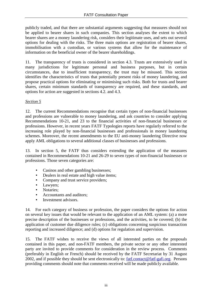publicly traded, and that there are substantial arguments suggesting that measures should not be applied to bearer shares in such companies. This section analyses the extent to which bearer shares are a money laundering risk, considers their legitimate uses, and sets out several options for dealing with the risks. The three main options are registration of bearer shares, immobilisation with a custodian, or various systems that allow for the maintenance of information on the beneficial owner of the bearer shareholdings.

11. The transparency of trusts is considered in section 4.3. Trusts are extensively used in many jurisdictions for legitimate personal and business purposes, but in certain circumstances, due to insufficient transparency, the trust may be misused. This section identifies the characteristics of trusts that potentially present risks of money laundering, and propose practical options for eliminating or minimising such risks. Both for trusts and bearer shares, certain minimum standards of transparency are required, and these standards, and options for action are suggested in sections 4.2. and 4.3.

#### *Section 5*

12. The current Recommendations recognise that certain types of non-financial businesses and professions are vulnerable to money laundering, and ask countries to consider applying Recommendations 10-21, and 23 to the financial activities of non-financial businesses or professions. However, in recent years FATF Typologies reports have regularly referred to the increasing role played by non-financial businesses and professionals in money laundering schemes. Moreover, the recent amendments to the EU anti-money laundering Directive now apply AML obligations to several additional classes of businesses and professions.

13. In section 5, the FATF thus considers extending the application of the measures contained in Recommendations 10-21 and 26-29 to seven types of non-financial businesses or professions. Those seven categories are:

- Casinos and other gambling businesses;
- Dealers in real estate and high value items;
- Company and trust service providers;
- Lawyers;
- Notaries:
- Accountants and auditors;
- Investment advisors.

14. For each category of business or profession, the paper considers the options for action on several key issues that would be relevant to the application of an AML system: (a) a more precise description of the businesses or professions, and the activities, to be covered; (b) the application of customer due diligence rules; (c) obligations concerning suspicious transaction reporting and increased diligence; and (d) options for regulation and supervision.

15. The FATF wishes to receive the views of all interested parties on the proposals contained in this paper, and non-FATF members, the private sector or any other interested party are invited to provide comments for consideration in the review process. Comments (preferably in English or French) should be received by the FATF Secretariat by 31 August 2002, and if possible they should be sent electronically to:  $faff. contact@faff-gaff.org.$  Persons providing comments should note that comments received will be made publicly available.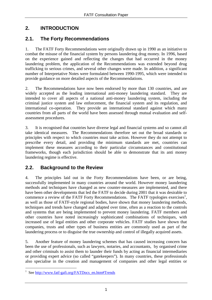## **2. INTRODUCTION**

## **2.1. The Forty Recommendations**

1. The FATF Forty Recommendations were originally drawn up in 1990 as an initiative to combat the misuse of the financial system by persons laundering drug money. In 1996, based on the experience gained and reflecting the changes that had occurred in the money laundering problem, the application of the Recommendations was extended beyond drug trafficking to serious crimes, and several other changes were made. In addition, a significant number of Interpretative Notes were formulated between 1990-1995, which were intended to provide guidance on more detailed aspects of the Recommendations.

2. The Recommendations have now been endorsed by more than 130 countries, and are widely accepted as the leading international anti-money laundering standard. They are intended to cover all aspects of a national anti-money laundering system, including the criminal justice system and law enforcement, the financial system and its regulation, and international co-operation. They provide an international standard against which many countries from all parts of the world have been assessed through mutual evaluation and selfassessment procedures.

3. It is recognised that countries have diverse legal and financial systems and so cannot all take identical measures. The Recommendations therefore set out the broad standards or principles with respect to which countries must take action. However they do not attempt to prescribe every detail, and providing the minimum standards are met, countries can implement these measures according to their particular circumstances and constitutional frameworks, though each jurisdiction should be able to demonstrate that its anti money laundering regime is effective.

## **2.2. Background to the Review**

4. The principles laid out in the Forty Recommendations have been, or are being, successfully implemented in many countries around the world. However money laundering methods and techniques have changed as new counter-measures are implemented, and there have been other developments that led the FATF to decide during 2001 that it was desirable to commence a review of the FATF Forty Recommendations. The FATF typologies exercises<sup>1</sup>, as well as those of FATF-style regional bodies, have shown that money laundering methods, techniques and trends have changed and adapted over time, often as a reaction to the controls and systems that are being implemented to prevent money laundering. FATF members and other countries have noted increasingly sophisticated combinations of techniques, with increased use of legal entities and other corporate vehicles. FATF studies have shown that companies, trusts and other types of business entities are commonly used as part of the laundering process or to disguise the true ownership and control of illegally acquired assets.

5. Another feature of money laundering schemes that has caused increasing concern has been the use of professionals, such as lawyers, notaries, and accountants, by organised crime and other criminals to assist them to launder their funds by acting as financial intermediaries or providing expert advice (so called "gatekeepers"). In many countries, these professionals also specialise in the creation and management of companies and other legal entities or

 $\overline{a}$ 1 See http://www.fatf-gafi.org/FATDocs\_en.htm#Trends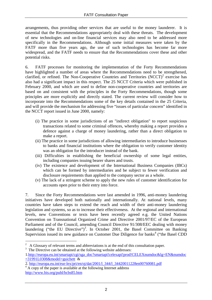arrangements, thus providing other services that are useful to the money launderer. It is essential that the Recommendations appropriately deal with these threats. The development of new technologies and on-line financial services may also need to be addressed more specifically in the Recommendations. Although some initial measures were taken by the FATF more than five years ago, the use of such technologies has become far more widespread, and the FATF needs to ensure that the Recommendations cover these and other potential risks.

6. FATF processes for monitoring the implementation of the Forty Recommendations have highlighted a number of areas where the Recommendations need to be strengthened, clarified, or refined. The Non-Cooperative Countries and Territories  $(NCCT)^2$  exercise has also had a significant impact in this respect. The 25 NCCT Criteria which were published in February 2000, and which are used to define non-cooperative countries and territories are based on and consistent with the principles in the Forty Recommendations, though some principles are more explicitly and directly stated. The current review will consider how to incorporate into the Recommendations some of the key details contained in the 25 Criteria, and will provide the mechanism for addressing five "issues of particular concern" identified in the NCCT report issued in June 2000, namely:

- (i) The practice in some jurisdictions of an "indirect obligation" to report suspicious transactions related to some criminal offences, whereby making a report provides a defence against a charge of money laundering, rather than a direct obligation to make a report.
- (ii) The practice in some jurisdictions of allowing intermediaries to introduce businesses to banks and financial institutions where the obligation to verify customer identity was an obligation for the introducer instead of the bank.
- (iii) Difficulties in establishing the beneficial ownership of some legal entities, including companies issuing bearer shares and trusts.
- (iv) The existence and development of the International Business Companies (IBCs) which can be formed by intermediaries and be subject to fewer verification and disclosure requirements than applied to the company sector as a whole.
- (v) The lack of a stringent scheme to apply the new rules of customer identification for accounts open prior to their entry into force.

7. Since the Forty Recommendations were last amended in 1996, anti-money laundering initiatives have developed both nationally and internationally. At national levels, many countries have taken steps to extend the reach and width of their anti-money laundering legislation and systems, so as to increase their effectiveness. At the regional and international levels, new Conventions or texts have been recently agreed e.g. the United Nations Convention on Transnational Organized Crime and Directive 2001/97/EC of the European Parliament and of the Council, amending Council Directive 91/308/EEC dealing with money laundering ("the EU Directive")<sup>3</sup>. In October 2001, the Basel Committee on Banking Supervision issued its new guidance on Customer Due Diligence for banks<sup>4</sup> ("the Basel CDD

<sup>&</sup>lt;sup>2</sup> A Glossary of relevant terms and abbreviations is at the end of this consultation paper.

 $3$  The Directive can be obtained at the following website addresses:

<sup>1.</sup>http://europa.eu.int/smartapi/cgi/sga\_doc?smartapi!celexapi!prod!CELEXnumdoc&lg=EN&numdoc =31991L0308&model=guichett &

<sup>2.</sup> http://europa.eu.int/eur-lex/pri/en/oj/dat/2001/l\_344/l\_34420011228en00760081.pdf

<sup>&</sup>lt;sup>4</sup> A copy of the paper is available at the following Internet address

http://www.bis.org/publ/bcbs85.htm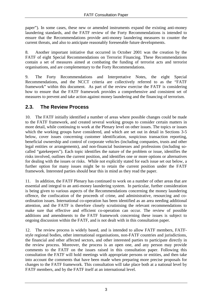paper"). In some cases, these new or amended instruments expand the existing anti-money laundering standards, and the FATF review of the Forty Recommendations is intended to ensure that the Recommendations provide anti-money laundering measures to counter the current threats, and also to anticipate reasonably foreseeable future developments.

8. Another important initiative that occurred in October 2001 was the creation by the FATF of eight Special Recommendations on Terrorist Financing. These Recommendations contain a set of measures aimed at combating the funding of terrorist acts and terrorist organisations, and are complementary to the Forty Recommendations.

9. The Forty Recommendations and Interpretative Notes, the eight Special Recommendations, and the NCCT criteria are collectively referred to as the "FATF framework" within this document. As part of the review exercise the FATF is considering how to ensure that the FATF framework provides a comprehensive and consistent set of measures to prevent and take action against money laundering and the financing of terrorism.

## **2.3. The Review Process**

10. The FATF initially identified a number of areas where possible changes could be made to the FATF framework, and created several working groups to consider certain matters in more detail, while continuing to work at the Plenary level on other issues. The topics or issues which the working groups have considered, and which are set out in detail in Sections 3-5 below, cover issues concerning customer identification, suspicious transaction reporting, beneficial ownership and control of corporate vehicles (including companies, trusts and other legal entities or arrangements), and non-financial businesses and professions (including socalled "gatekeepers"). Each topic identifies the nature of the problem or issue, identifies the risks involved, outlines the current position, and identifies one or more options or alternatives for dealing with the issues or risks. While not explicitly stated for each issue set out below, a further option for many issues might be to retain the current position under the FATF framework. Interested parties should bear this in mind as they read the paper.

11. In addition, the FATF Plenary has continued to work on a number of other areas that are essential and integral to an anti-money laundering system. In particular, further consideration is being given to various aspects of the Recommendations concerning the money laundering offence, the confiscation of the proceeds of crime, and administrative, resourcing and coordination issues. International co-operation has been identified as an area needing additional attention, and the FATF is therefore closely scrutinising the relevant recommendations to make sure that effective and efficient co-operation can occur. The review of possible additions and amendments to the FATF framework concerning these issues is subject to ongoing discussion within the FATF, and is not dealt with in this consultation paper.

12. The review process is widely based, and is intended to allow FATF members, FATFstyle regional bodies, other international organisations, non-FATF countries and jurisdictions, the financial and other affected sectors, and other interested parties to participate directly in the review process. Moreover, the process is an open one, and any person may provide comments to the FATF on the issues raised in this consultation paper. Following this consultation the FATF will hold meetings with appropriate persons or entities, and then take into account the comments that have been made when preparing more precise proposals for changes to the FATF framework. This consultation will take place both at a national level by FATF members, and by the FATF itself at an international level.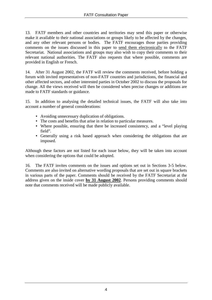13. FATF members and other countries and territories may send this paper or otherwise make it available to their national associations or groups likely to be affected by the changes, and any other relevant persons or bodies. The FATF encourages those parties providing comments on the issues discussed in this paper to send them electronically to the FATF Secretariat. National associations and groups may also wish to copy their comments to their relevant national authorities. The FATF also requests that where possible, comments are provided in English or French.

14. After 31 August 2002, the FATF will review the comments received, before holding a forum with invited representatives of non-FATF countries and jurisdictions, the financial and other affected sectors, and other interested parties in October 2002 to discuss the proposals for change. All the views received will then be considered when precise changes or additions are made to FATF standards or guidance.

15. In addition to analysing the detailed technical issues, the FATF will also take into account a number of general considerations:

- Avoiding unnecessary duplication of obligations.
- The costs and benefits that arise in relation to particular measures.
- Where possible, ensuring that there be increased consistency, and a "level playing" field".
- Generally using a risk based approach when considering the obligations that are imposed.

Although these factors are not listed for each issue below, they will be taken into account when considering the options that could be adopted.

16. The FATF invites comments on the issues and options set out in Sections 3-5 below. Comments are also invited on alternative wording proposals that are set out in square brackets in various parts of the paper. Comments should be received by the FATF Secretariat at the address given on the inside cover **by 31 August 2002**. Persons providing comments should note that comments received will be made publicly available.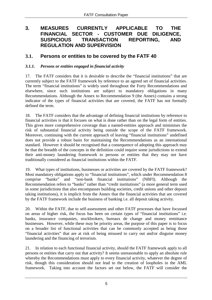## **3. MEASURES CURRENTLY APPLICABLE TO THE FINANCIAL SECTOR - CUSTOMER DUE DILIGENCE, SUSPICIOUS TRANSACTION REPORTING, AND REGULATION AND SUPERVISION**

## **3.1. Persons or entities to be covered by the FATF 40**

#### *3.1.1. Persons or entities engaged in financial activity*

17. The FATF considers that it is desirable to describe the "financial institutions" that are currently subject to the FATF framework by reference to an agreed set of financial activities. The term "financial institutions" is widely used throughout the Forty Recommendations and elsewhere, since such institutions are subject to mandatory obligations in many Recommendations. Although the Annex to Recommendation 9 (the Annex) contains a strong indicator of the types of financial activities that are covered, the FATF has not formally defined the term.

18. The FATF considers that the advantage of defining financial institutions by reference to financial activities is that it focuses on what is done rather than on the legal form of entities. This gives more comprehensive coverage than a named-entities approach and minimises the risk of substantial financial activity being outside the scope of the FATF framework. Moreover, continuing with the current approach of leaving "financial institutions" undefined does not provide a robust basis for maintaining the Recommendations as an international standard. However it should be recognised that a consequence of adopting this approach may be that the breadth of the concepts in the definition could require some jurisdictions to extend their anti-money laundering framework to persons or entities that they may not have traditionally considered as financial institutions within the FATF.

19. What types of institutions, businesses or activities are covered by the FATF framework? Most mandatory obligations apply to "financial institutions", which under Recommendation 8 comprise "banks" and "non-bank financial institutions" (NBFI). Although the Recommendation refers to "banks" rather than "credit institutions" (a more general term used in some jurisdictions that also encompasses building societies, credit unions and other deposit taking institutions), it is implicit from the Annex that the financial activities that are covered by the FATF framework include the business of banking i.e. all deposit taking activity.

20. Within the FATF, due to self-assessment and other FATF processes that have focussed on areas of higher risk, the focus has been on certain types of "financial institutions" i.e. banks, insurance companies, stockbrokers, bureaux de change and money remittance businesses. However, while these may be priority areas, the purpose of this paper is to focus on a broader list of functional activities that can be commonly accepted as being those "financial activities" that are at risk of being misused to carry out and/or disguise money laundering and the financing of terrorism.

21. In relation to each functional financial activity, should the FATF framework apply to all persons or entities that carry out that activity? It seems unreasonable to apply an absolute rule whereby the Recommendations must apply to every financial activity, whatever the degree of risk, though this consideration should not lead to the creation of loopholes in the AML framework. Taking into account the factors set out below, the FATF will consider the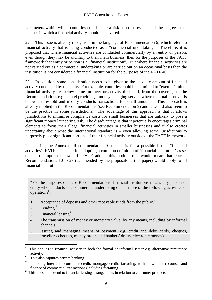parameters within which countries could make a risk-based assessment of the degree to, or manner in which a financial activity should be covered.

22. This issue is already recognised in the language of Recommendation 9, which refers to financial activity that is being conducted as a "commercial undertaking". Therefore, it is proposed that where financial activities are conducted commercially by an entity or person, even though they may be ancillary to their main business, then for the purposes of the FATF framework that entity or person is a "financial institution". But where financial activities are not carried out as a commercial undertaking or are carried out on an occasional basis then the institution is not considered a financial institution for the purposes of the FATF 40.

23. In addition, some consideration needs to be given to the absolute amount of financial activity conducted by the entity. For example, countries could be permitted to "exempt" minor financial activity i.e. below some turnover or activity threshold, from the coverage of the Recommendations e.g. a hotel providing a money changing service where the total turnover is below a threshold and it only conducts transactions for small amounts. This approach is already implied in the Recommendations (see Recommendation 9) and it would also seem to be the practice in some jurisdictions. The advantage of this approach is that it allows jurisdictions to minimise compliance costs for small businesses that are unlikely to pose a significant money laundering risk. The disadvantage is that it potentially encourages criminal elements to focus their illegal financial activities in smaller businesses and it also creates uncertainty about what the international standard is – even allowing some jurisdictions to purposely place significant portions of their financial activity outside of the FATF framework.

24. Using the Annex to Recommendation 9 as a basis for a possible list of "financial activities", FATF is considering adopting a common definition of 'financial institution' as set out in the option below. If FATF adopts this option, this would mean that current Recommendations 10 to 29 (as amended by the proposals in this paper) would apply to all financial institutions:

"For the purposes of these Recommendations, financial institutions means any person or entity who conducts as a commercial undertaking one or more of the following activities or operations<sup>5</sup>:

- 1. Acceptance of deposits and other repayable funds from the public.<sup>6</sup>
- 2. Lending.*<sup>7</sup>*
- 3. Financial leasing  $8^8$
- 4. The transmission of money or monetary value, by any means, including by informal channels.
- 5. Issuing and managing means of payment (e.g. credit and debit cards, cheques, traveller's cheques, money orders and bankers' drafts, electronic money).

 $\overline{a}$ 5 This applies to financial activity in both the formal or informal sector e.g. alternative remittance activity.

<sup>6</sup> This also captures private banking.

<sup>7</sup> Including inter alia: consumer credit; mortgage credit; factoring, with or without recourse; and finance of commercial transactions (including forfaiting).

<sup>8</sup> This does not extend to financial leasing arrangements in relation to consumer products.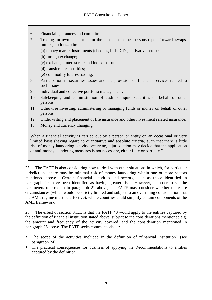- 6. Financial guarantees and commitments
- 7. Trading for own account or for the account of other persons (spot, forward, swaps, futures, options...) in:
	- (a) money market instruments (cheques, bills, CDs, derivatives etc.) ;
	- (b) foreign exchange;
	- (c) exchange, interest rate and index instruments;
	- (d) transferable securities;
	- (e) commodity futures trading.
- 8. Participation in securities issues and the provision of financial services related to such issues.
- 9. Individual and collective portfolio management.
- 10. Safekeeping and administration of cash or liquid securities on behalf of other persons.
- 11. Otherwise investing, administering or managing funds or money on behalf of other persons.
- 12. Underwriting and placement of life insurance and other investment related insurance.
- 13. Money and currency changing.

When a financial activity is carried out by a person or entity on an occasional or very limited basis (having regard to quantitative and absolute criteria) such that there is little risk of money laundering activity occurring, a jurisdiction may decide that the application of anti-money laundering measures is not necessary, either fully or partially."

25. The FATF is also considering how to deal with other situations in which, for particular jurisdictions, there may be minimal risk of money laundering within one or more sectors mentioned above. Certain financial activities and sectors, such as those identified in paragraph 20, have been identified as having greater risks. However, in order to set the parameters referred to in paragraph 21 above, the FATF may consider whether there are circumstances (which would be strictly limited and subject to an overriding consideration that the AML regime must be effective), where countries could simplify certain components of the AML framework.

26. The effect of section 3.1.1. is that the FATF 40 would apply to the entities captured by the definition of financial institution stated above, subject to the considerations mentioned e.g. the amount and frequency of the activity covered, and the consideration mentioned in paragraph 25 above. The FATF seeks comments about:

- The scope of the activities included in the definition of "financial institution" (see paragraph 24).
- The practical consequences for business of applying the Recommendations to entities captured by the definition.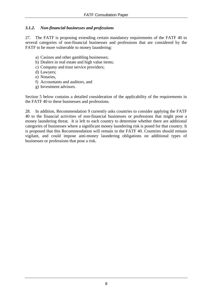#### *3.1.2. Non-financial businesses and professions*

27. The FATF is proposing extending certain mandatory requirements of the FATF 40 to several categories of non-financial businesses and professions that are considered by the FATF to be more vulnerable to money laundering:

- a) Casinos and other gambling businesses;
- b) Dealers in real estate and high value items;
- c) Company and trust service providers;
- d) Lawyers;
- e) Notaries,
- f) Accountants and auditors, and
- g) Investment advisors.

Section 5 below contains a detailed consideration of the applicability of the requirements in the FATF 40 to these businesses and professions.

28. In addition, Recommendation 9 currently asks countries to consider applying the FATF 40 to the financial activities of non-financial businesses or professions that might pose a money laundering threat. It is left to each country to determine whether there are additional categories of businesses where a significant money laundering risk is posed for that country. It is proposed that this Recommendation will remain in the FATF 40. Countries should remain vigilant, and could impose anti-money laundering obligations on additional types of businesses or professions that pose a risk.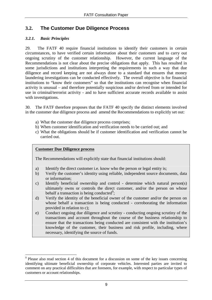## **3.2. The Customer Due Diligence Process**

#### *3.2.1. Basic Principles*

29. The FATF 40 require financial institutions to identify their customers in certain circumstances, to have verified certain information about their customers and to carry out ongoing scrutiny of the customer relationship. However, the current language of the Recommendations is not clear about the precise obligations that apply. This has resulted in some jurisdictions and institutions interpreting the requirements in such a way that due diligence and record keeping are not always done to a standard that ensures that money laundering investigations can be conducted effectively. The overall objective is for financial institutions to "know their customers" so that the institutions can recognise when financial activity is unusual – and therefore potentially suspicious and/or derived from or intended for use in criminal/terrorist activity - and to have sufficient accurate records available to assist with investigations.

30. The FATF therefore proposes that the FATF 40 specify the distinct elements involved in the customer due diligence process and amend the Recommendations to explicitly set out:

- a) What the customer due diligence process comprises;
- b) When customer identification and verification needs to be carried out; and
- c) What the obligations should be if customer identification and verification cannot be carried out.

#### **Customer Due Diligence process**

 $\overline{a}$ 

The Recommendations will explicitly state that financial institutions should:

- a) Identify the direct customer i.e. know who the person or legal entity is;
- b) Verify the customer's identity using reliable, independent source documents, data or information;
- c) Identify beneficial ownership and control determine which natural person(s) ultimately owns or controls the direct customer, and/or the person on whose behalf a transaction is being conducted<sup>9</sup>;
- d) Verify the identity of the beneficial owner of the customer and/or the person on whose behalf a transaction is being conducted - corroborating the information provided in relation to c);
- e) Conduct ongoing due diligence and scrutiny conducting ongoing scrutiny of the transactions and account throughout the course of the business relationship to ensure that the transactions being conducted are consistent with the institution's knowledge of the customer, their business and risk profile, including, where necessary, identifying the source of funds.

<sup>&</sup>lt;sup>9</sup> Please also read section 4 of this document for a discussion on some of the key issues concerning identifying ultimate beneficial ownership of corporate vehicles. Interested parties are invited to comment on any practical difficulties that are foreseen, for example, with respect to particular types of customers or account relationships.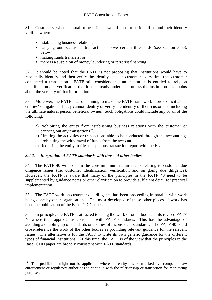31. Customers, whether usual or occasional, would need to be identified and their identity verified when:

- establishing business relations;
- carrying out occasional transactions above certain thresholds (see section 3.6.3. below);
- making funds transfers; or
- there is a suspicion of money laundering or terrorist financing.

32. It should be noted that the FATF is not proposing that institutions would have to repeatedly identify and then verify the identity of each customer every time that customer conducted a transaction. FATF still considers that an institution is entitled to rely on identification and verification that it has already undertaken unless the institution has doubts about the veracity of that information.

33. Moreover, the FATF is also planning to make the FATF framework more explicit about entities' obligations if they cannot identify or verify the identity of their customers, including the ultimate natural person beneficial owner. Such obligations could include any or all of the following:

- a) Prohibiting the entity from establishing business relations with the customer or carrying out any transactions<sup>10</sup>.
- b) Limiting the activities or transactions able to be conducted through the account e.g. prohibiting the withdrawal of funds from the account.
- c) Requiring the entity to file a suspicious transaction report with the FIU.

#### *3.2.2. Integration of FATF standards with those of other bodies*

34. The FATF 40 will contain the core minimum requirements relating to customer due diligence issues (i.e. customer identification, verification and on going due diligence). However, the FATF is aware that many of the principles in the FATF 40 need to be supplemented by guidance notes or other clarification to provide sufficient detail for practical implementation.

35. The FATF work on customer due diligence has been proceeding in parallel with work being done by other organisations. The most developed of these other pieces of work has been the publication of the Basel CDD paper.

36. In principle, the FATF is attracted to using the work of other bodies in its revised FATF 40 where their approach is consistent with FATF standards. This has the advantage of avoiding a doubling up of standards or a series of inconsistent standards. The FATF 40 could cross-reference the work of the other bodies as providing relevant guidance for the relevant issues. The alternative is for the FATF to write its own generic guidance for the different types of financial institutions. At this time, the FATF is of the view that the principles in the Basel CDD paper are broadly consistent with FATF standards.

 $\overline{a}$ This prohibition might not be applicable where the entity has been asked by competent law enforcement or regulatory authorities to continue with the relationship or transaction for monitoring purposes.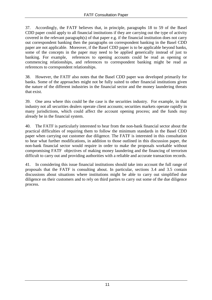37. Accordingly, the FATF believes that, in principle, paragraphs 18 to 59 of the Basel CDD paper could apply to all financial institutions if they are carrying out the type of activity covered in the relevant paragraph(s) of that paper e.g. if the financial institution does not carry out correspondent banking then the paragraphs on correspondent banking in the Basel CDD paper are not applicable. Moreover, if the Basel CDD paper is to be applicable beyond banks, some of the concepts in the paper may need to be applied generically instead of just to banking. For example, references to opening accounts could be read as opening or commencing relationships, and references to correspondent banking might be read as references to correspondent relationships.

38. However, the FATF also notes that the Basel CDD paper was developed primarily for banks. Some of the approaches might not be fully suited to other financial institutions given the nature of the different industries in the financial sector and the money laundering threats that exist.

39. One area where this could be the case is the securities industry. For example, in that industry not all securities dealers operate client accounts; securities markets operate rapidly in many jurisdictions, which could affect the account opening process; and the funds may already be in the financial system.

40. The FATF is particularly interested to hear from the non-bank financial sector about the practical difficulties of requiring them to follow the minimum standards in the Basel CDD paper when carrying out customer due diligence. The FATF is interested in this consultation to hear what further modifications, in addition to those outlined in this discussion paper, the non-bank financial sector would require in order to make the proposals workable without compromising FATF objectives of making money laundering and the financing of terrorism difficult to carry out and providing authorities with a reliable and accurate transaction records.

41. In considering this issue financial institutions should take into account the full range of proposals that the FATF is consulting about. In particular, sections 3.4 and 3.5 contain discussions about situations where institutions might be able to carry out simplified due diligence on their customers and to rely on third parties to carry out some of the due diligence process.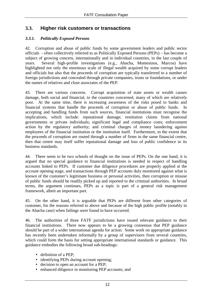## **3.3. Higher risk customers or transactions**

#### *3.3.1. Politically Exposed Persons*

42. Corruption and abuse of public funds by some government leaders and public sector officials - often collectively referred to as Politically Exposed Persons (PEPs) – has become a subject of growing concern, internationally and in individual countries, in the last couple of years. Several high-profile investigations (e.g., Abacha, Montesinos, Marcos) have highlighted not only the enormous scale of illegal wealth acquired by some corrupt leaders and officials but also that the proceeds of corruption are typically transferred to a number of foreign jurisdictions and concealed through private companies, trusts or foundations, or under the names of relatives and close associates of the PEP.

43. There are various concerns. Corrupt acquisition of state assets or wealth causes damage, both social and financial, to the countries concerned, many of which are relatively poor. At the same time, there is increasing awareness of the risks posed to banks and financial systems that handle the proceeds of corruption or abuse of public funds. In accepting and handling funds from such sources, financial institutions must recognise the implications, which include: reputational damage; restitution claims from national governments or private individuals; significant legal and compliance costs; enforcement action by the regulatory authority; and criminal charges of money laundering against employees of the financial institution or the institution itself. Furthermore, to the extent that the proceeds of corruption are routed through a number of firms in the same financial centre, then that centre may itself suffer reputational damage and loss of public confidence in its business standards.

44. There seem to be two schools of thought on the issue of PEPs. On the one hand, it is argued that no special guidance to financial institutions is needed in respect of handling accounts linked to PEPs. If customer due diligence procedures are properly applied at the account opening stage, and transactions through PEP accounts duly monitored against what is known of the customer's legitimate business or personal activities, then corruption or misuse of public funds should be readily picked up and reported to the criminal authorities. In broad terms, the argument continues, PEPs as a topic is part of a general risk management framework, albeit an important part.

45. On the other hand, it is arguable that PEPs are different from other categories of customer, for the reasons referred to above and because of the high public profile (notably in the Abacha case) when failings were found to have occurred.

46. The authorities of three FATF jurisdictions have issued relevant guidance to their financial institutions. There now appears to be a growing consensus that PEP guidance should be part of a wider international agenda for action. Some work on appropriate guidance has recently been undertaken informally by a group of supervisors from several countries, which could form the basis for setting appropriate international standards or guidance. This guidance embodies the following broad sub-headings:

- definition of a PEP;
- identifying PEPs during account opening:
- decision to open an account for a PEP;
- enhanced diligence in monitoring PEP accounts; and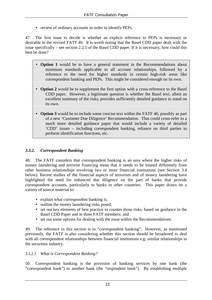• review of ordinary accounts in order to identify PEPs.

47. The first issue to decide is whether an explicit reference to PEPs is necessary or desirable in the revised FATF 40. It is worth noting that the Basel CDD paper dealt with the issue specifically – see section 2.2.5 of the Basel CDD paper. If it is necessary, how could this best be done?

- **Option 1** would be to have a general statement in the Recommendations about minimum standards applicable to all account relationships, followed by a reference to the need for higher standards in certain high-risk areas like correspondent banking and PEPs. This might be considered enough on its own.
- **Option 2** would be to supplement the first option with a cross-reference to the Basel CDD paper. However, a legitimate question is whether the Basel text, albeit an excellent summary of the risks, provides sufficiently detailed guidance to stand on its own.
- **Option 3** would be to include some concise text within the FATF 40, possibly as part of a new 'Customer Due Diligence' Recommendation. That could cross-refer to a much more detailed guidance paper that would include a variety of detailed 'CDD' issues – including correspondent banking, reliance on third parties to perform identification functions, etc.

#### *3.3.2. Correspondent Banking*

48. The FATF considers that correspondent banking is an area where the higher risks of money laundering and terrorist financing mean that it needs to be treated differently from other business relationships involving two or more financial institutions (see Section 3.4 below). Recent studies of the financial aspects of terrorism and of money laundering have highlighted the need for enhanced due diligence on the part of banks that provide correspondent accounts, particularly to banks in other countries. This paper draws on a variety of source material to:

- explain what correspondent banking is;
- outline the money laundering risks posed;
- set out key elements of best practice to counter those risks, based on guidance in the Basel CDD Paper and in three FATF members; and
- set out some options for dealing with the issue within the Recommendations.

49. The reference in this section is to "correspondent banking". However, as mentioned previously, the FATF is also considering whether this section should be broadened to deal with all correspondent relationships between financial institutions e.g. similar relationships in the securities industry.

#### *3.3.2.1. What is Correspondent Banking?*

50. Correspondent banking is the provision of banking services by one bank (the "correspondent bank") to another bank (the "respondent bank"). By establishing multiple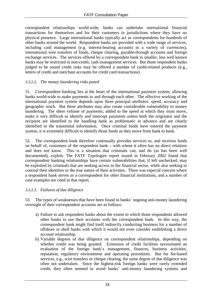correspondent relationships world-wide, banks can undertake international financial transactions for themselves and for their customers in jurisdictions where they have no physical presence. Large international banks typically act as correspondents for hundreds of other banks around the world. Respondent banks are provided with a wide range of services, including cash management (e.g. interest-bearing accounts in a variety of currencies), international wire transfers of funds, cheque clearing, payable-through accounts and foreign exchange services. The services offered by a correspondent bank to smaller, less well known banks may be restricted to non-credit, cash management services. But those respondent banks judged to be sound credit risks may be offered a number of credit-related products (e.g., letters of credit and merchant accounts for credit card transactions).

#### *3.3.2.2. The money laundering risks posed*

51. Correspondent banking lies at the heart of the international payment system, allowing banks world-wide to make payments to and through each other. The effective working of the international payment system depends upon three principal attributes: speed, accuracy and geographic reach. But these attributes may also create considerable vulnerability to money laundering. The sheer volume of payments, added to the speed at which they must move, make it very difficult to identify and intercept payments unless both the originator and the recipient are identified to the handling bank as problematic in advance and are clearly identified in the transmittal information. Once criminal funds have entered the payment system, it is extremely difficult to identify those funds as they move from bank to bank.

52. The correspondent bank therefore continually provides services to, and receives funds on behalf of, customers of the respondent bank – with whom it often has no direct relations and does not know. This is a situation that criminals can, and do (as has been well documented), exploit. The FATF Typologies report issued in February 2002 found that correspondent banking relationships have certain vulnerabilities that, if left unchecked, may be exploited by criminals that are seeking access to the financial sector, while also seeking to conceal their identities or the true nature of their activities. There was especial concern where a respondent bank serves as a correspondent for other financial institutions, and a number of case examples are cited in that report.

#### *3.3.2.3. Failures of due diligence*

53. The types of weaknesses that have been found in banks' ongoing anti-money laundering oversight of their correspondent accounts are as follows:

- a) Failure to ask respondent banks about the extent to which those respondents allowed other banks to use their accounts with the correspondent bank. In this way, the correspondent bank might find itself indirectly conducting business for a number of offshore or shell banks with which it would not even consider establishing a direct account relationship.
- b) Variable degrees of due diligence on correspondent relationships, depending on whether credit was being granted. Extension of credit facilities necessitated an evaluation of the foreign bank's management, finances, business activities, reputation, regulatory environment and operating procedures. But for fee-based services, e.g., wire transfers or cheque clearing, the same degree of due diligence was often not undertaken. Since the highest-risk foreign banks were rarely extended credit, they often seemed to avoid banks' anti-money laundering systems and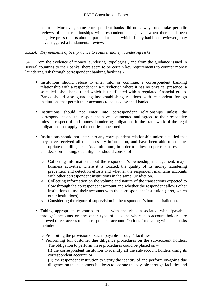controls. Moreover, some correspondent banks did not always undertake periodic reviews of their relationships with respondent banks, even when there had been negative press reports about a particular bank, which if they had been reviewed, may have triggered a fundamental review.

#### *3.3.2.4. Key elements of best practice to counter money laundering risks*

54. From the evidence of money laundering 'typologies', and from the guidance issued in several countries to their banks, there seem to be certain key requirements to counter money laundering risk through correspondent banking facilities:-

- Institutions should refuse to enter into, or continue, a correspondent banking relationship with a respondent in a jurisdiction where it has no physical presence (a so-called "shell bank") and which is unaffiliated with a regulated financial group. Banks should also guard against establishing relations with respondent foreign institutions that permit their accounts to be used by shell banks.
- Institutions should not enter into correspondent relationships unless the correspondent and the respondent have documented and agreed to their respective roles in respect of anti-money laundering obligations in the framework of the legal obligations that apply to the entities concerned.
- Institutions should not enter into any correspondent relationship unless satisfied that they have received all the necessary information, and have been able to conduct appropriate due diligence. As a minimum, in order to allow proper risk assessment and decision-making, due diligence should consist of:
	- $\leq$  Collecting information about the respondent's ownership, management, major business activities, where it is located, the quality of its money laundering prevention and detection efforts and whether the respondent maintains accounts with other correspondent institutions in the same jurisdiction.
	- $\Rightarrow$  Collecting information on the volume and nature of the transactions expected to flow through the correspondent account and whether the respondent allows other institutions to use their accounts with the correspondent institution (if so, which other institutions).
	- $\Rightarrow$  Considering the rigour of supervision in the respondent's home jurisdiction.
- Taking appropriate measures to deal with the risks associated with "payablethrough" accounts or any other type of account where sub-account holders are allowed direct access to a correspondent account. Options for dealing with such risks include:
	- $\Rightarrow$  Prohibiting the provision of such "payable-through" facilities.
	- ➪ Performing full customer due diligence procedures on the sub-account holders. The obligation to perform these procedures could be placed on –

(i) the correspondent institution to identify all the sub-account holders using its correspondent account, or

(ii) the respondent institution to verify the identity of and perform on-going due diligence on the customers it allows to operate the payable-through facilities and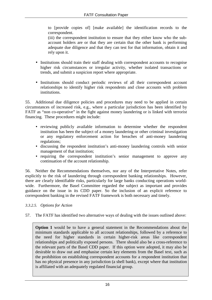to [provide copies of] [make available] the identification records to the correspondent.

(iii) the correspondent institution to ensure that they either know who the subaccount holders are or that they are certain that the other bank is performing adequate due diligence and that they can test for that information, obtain it and rely upon it.

- Institutions should train their staff dealing with correspondent accounts to recognise higher risk circumstances or irregular activity, whether isolated transactions or trends, and submit a suspicion report where appropriate.
- Institutions should conduct periodic reviews of all their correspondent account relationships to identify higher risk respondents and close accounts with problem institutions.

55. Additional due diligence policies and procedures may need to be applied in certain circumstances of increased risk, e.g., where a particular jurisdiction has been identified by FATF as "non co-operative" in the fight against money laundering or is linked with terrorist financing. These procedures might include:

- reviewing publicly available information to determine whether the respondent institution has been the subject of a money laundering or other criminal investigation or any regulatory enforcement action for breaches of anti-money laundering regulations;
- discussing the respondent institution's anti-money laundering controls with senior management of that institution;
- requiring the correspondent institution's senior management to approve any continuation of the account relationship.

56. Neither the Recommendations themselves, nor any of the Interpretative Notes, refer explicitly to the risk of laundering through correspondent banking relationships. However, there are clearly identifiable risks, particularly for large banks conducting operations worldwide. Furthermore, the Basel Committee regarded the subject as important and provides guidance on the issue in its CDD paper. So the inclusion of an explicit reference to correspondent banking in the revised FATF framework is both necessary and timely.

#### *3.3.2.5. Options for Action*

57. The FATF has identified two alternative ways of dealing with the issues outlined above:

**Option 1** would be to have a general statement in the Recommendations about the minimum standards applicable to all account relationships, followed by a reference to the need for higher standards in certain higher-risk areas like correspondent relationships and politically exposed persons. There should also be a cross-reference to the relevant parts of the Basel CDD paper. If this option were adopted, it may also be desirable to draw out and emphasise certain key elements from the Basel text, such as the prohibition on establishing correspondent accounts for a respondent institution that has no physical presence in any jurisdiction (a shell bank), except where that institution is affiliated with an adequately regulated financial group.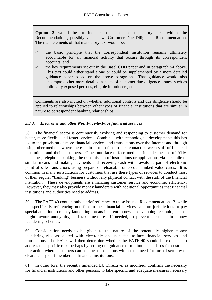**Option 2** would be to include some concise mandatory text within the Recommendations, possibly via a new 'Customer Due Diligence' Recommendation. The main elements of that mandatory text would be:

- $\Rightarrow$  the basic principle that the correspondent institution remains ultimately accountable for all financial activity that occurs through its correspondent accounts; and
- $\Rightarrow$  the key requirements set out in the Basel CDD paper and in paragraph 54 above. This text could either stand alone or could be supplemented by a more detailed guidance paper based on the above paragraphs. That guidance would also encompass other more detailed aspects of customer due diligence issues, such as politically exposed persons, eligible introducers, etc.

Comments are also invited on whether additional controls and due diligence should be applied to relationships between other types of financial institutions that are similar in nature to correspondent banking relationships.

#### *3.3.3. Electronic and other Non Face-to-Face financial services*

58. The financial sector is continuously evolving and responding to customer demand for better, more flexible and faster services. Combined with technological developments this has led to the provision of more financial services and transactions over the Internet and through using other methods where there is little or no face-to-face contact between staff of financial institutions and their customers. Other non-face-to-face methods include the use of ATM machines, telephone banking, the transmission of instructions or applications via facsimile or similar means and making payments and receiving cash withdrawals as part of electronic point of sale transactions using prepaid or reloadable or account linked value cards. It is common in many jurisdictions for customers that use these types of services to conduct most of their regular "banking" business without any physical contact with the staff of the financial institution. These developments are enhancing customer service and economic efficiency. However, they may also provide money launderers with additional opportunities that financial institutions and authorities need to address.

59. The FATF 40 contain only a brief reference to these issues. Recommendation 13, while not specifically referencing non face-to-face financial services calls on jurisdictions to pay special attention to money laundering threats inherent in new or developing technologies that might favour anonymity, and take measures, if needed, to prevent their use in money laundering schemes.

60. Consideration needs to be given to the nature of the potentially higher money laundering risk associated with electronic and non face-to-face financial services and transactions. The FATF will then determine whether the FATF 40 should be extended to address this specific risk, perhaps by setting out guidance or minimum standards for customer interaction where customers can conduct transactions without the need for formal scrutiny or clearance by staff members in financial institutions.

61. In other fora, the recently amended EU Directive, as modified, confirms the necessity for financial institutions and other persons, to take specific and adequate measures necessary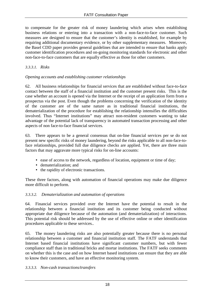to compensate for the greater risk of money laundering which arises when establishing business relations or entering into a transaction with a non-face-to-face customer. Such measures are designed to ensure that the customer's identity is established, for example by requiring additional documentary evidence, or by other supplementary measures. Moreover, the Basel CDD paper provides general guidelines that are intended to ensure that banks apply customer identification procedures and on-going monitoring standards for electronic and other non-face-to-face customers that are equally effective as those for other customers.

#### *3.3.3.1. Risks*

#### *Opening accounts and establishing customer relationships*

62. All business relationships for financial services that are established without face-to-face contact between the staff of a financial institution and the customer present risks. This is the case whether an account is opened via the Internet or the receipt of an application form from a prospectus via the post. Even though the problems concerning the verification of the identity of the customer are of the same nature as in traditional financial institutions, the dematerialization of the procedure for establishing the relationship intensifies the difficulties involved. Thus "Internet institutions" may attract non-resident customers wanting to take advantage of the potential lack of transparency in automated transaction processing and other aspects of non face-to-face financial services.

63. There appears to be a general consensus that on-line financial services per se do not present new specific risks of money laundering, beyond the risks applicable to all non-face-toface relationships, provided full due diligence checks are applied. Yet, there are three main factors that may aggravate more typical risks for on-line accounts:

- ease of access to the network, regardless of location, equipment or time of day;
- dematerialization; and
- the rapidity of electronic transactions.

These three factors, along with automation of financial operations may make due diligence more difficult to perform.

#### *3.3.3.2. Dematerialization and automation of operations*

64. Financial services provided over the Internet have the potential to result in the relationship between a financial institution and its customer being conducted without appropriate due diligence because of the automation (and dematerialization) of interactions. This potential risk should be addressed by the use of effective online or other identification procedures applicable to these services..

65. The money laundering risks are also potentially greater because there is no personal relationship between a customer and financial institution staff. The FATF understands that Internet based financial institutions have significant customer numbers, but with fewer compliance staff than in traditional bricks and mortar institutions. The FATF seeks comments on whether this is the case and on how Internet based institutions can ensure that they are able to know their customers, and have an effective monitoring system.

#### *3.3.3.3. Non-cash transactions/transfers*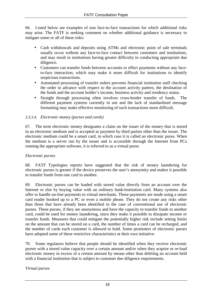66. Listed below are examples of non face-to-face transactions for which additional risks may arise. The FATF is seeking comment on whether additional guidance is necessary to mitigate some or all of these risks:

- Cash withdrawals and deposits using ATMs and electronic point of sale terminals usually occur without any face-to-face contact between customers and institutions, and may result in institutions having greater difficulty in conducting appropriate due diligence.
- Customers can transfer funds between accounts or effect payments without any faceto-face interaction, which may make it more difficult for institutions to identify suspicious transactions.
- Automated processing of transfer orders prevents financial institution staff checking the order in advance with respect to the account activity pattern, the destination of the funds and the account holder's income, business activity and residency status.
- Straight through processing often involves cross-border transfer of funds. The different payment systems currently in use and the lack of standardised message formatting may make effective monitoring of such transactions more difficult.

#### *3.3.3.4. Electronic money (purses and cards)*

67. The term electronic money designates a claim on the issuer of the money that is stored in an electronic medium and is accepted as payment by third parties other than the issuer. The electronic medium could be a smart card, in which case it is called an electronic purse. When the medium is a server run by the issuer and is accessible through the Internet from PCs running the appropriate software, it is referred to as a virtual purse.

#### *Electronic purses*

68. FATF Typologies reports have suggested that the risk of money laundering for electronic purses is greater if the device preserves the user's anonymity and makes it possible to transfer funds from one card to another.

69. Electronic purses can be loaded with stored value directly from an account over the Internet or else by buying value with an ordinary bank/institution card. Many systems also offer to handle on-line payments to virtual merchants. These payments are made using a smart card reader hooked up to a PC or even a mobile phone. They do not create any risks other than those that have already been identified in the case of conventional use of electronic purses. These purses, if they are anonymous and have the capacity to transfer funds to another card, could be used for money laundering, since they make it possible to dissipate income or transfer funds. Measures that could mitigate the potentially higher risk include setting limits on the amount that can be stored on a card, the number of times a card can be recharged, and the number of cards each customer is allowed to hold. Some promoters of electronic purses have adopted some of these restrictive characteristics at their own initiative.

70. Some regulators believe that people should be identified when they receive electronic purses with a stored value capacity over a certain amount and/or when they acquire or re-load electronic money in excess of a certain amount by means other than debiting an account held with a financial institution that is subject to customer due diligence requirements.

*Virtual purses*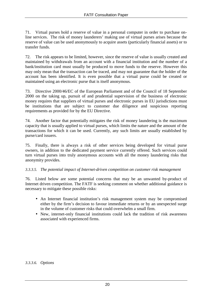71. Virtual purses hold a reserve of value in a personal computer in order to purchase online services. The risk of money launderers' making use of virtual purses arises because the reserve of value can be used anonymously to acquire assets (particularly financial assets) or to transfer funds.

72. The risk appears to be limited, however, since the reserve of value is usually created and maintained by withdrawals from an account with a financial institution and the number of a bank/institution card must usually be produced to move funds to the reserve. However this may only mean that the transaction can be traced, and may not guarantee that the holder of the account has been identified. It is even possible that a virtual purse could be created or maintained using an electronic purse that is itself anonymous.

73. Directive 2000/46/EC of the European Parliament and of the Council of 18 September 2000 on the taking up, pursuit of and prudential supervision of the business of electronic money requires that suppliers of virtual purses and electronic purses in EU jurisdictions must be institutions that are subject to customer due diligence and suspicious reporting requirements as provided for by the EU Directive.

74. Another factor that potentially mitigates the risk of money laundering is the maximum capacity that is usually applied to virtual purses, which limits the nature and the amount of the transactions for which it can be used. Currently, any such limits are usually established by purse/card issuers.

75. Finally, there is always a risk of other services being developed for virtual purse owners, in addition to the dedicated payment service currently offered. Such services could turn virtual purses into truly anonymous accounts with all the money laundering risks that anonymity provides.

#### *3.3.3.5. The potential impact of Internet-driven competition on customer risk management*

76. Listed below are some potential concerns that may be an unwanted by-product of Internet driven competition. The FATF is seeking comment on whether additional guidance is necessary to mitigate these possible risks:

- An Internet financial institution's risk management system may be compromised either by the firm's decision to favour immediate returns or by an unexpected surge in the volume of customer risks that could overwhelm a small firm.
- New, internet-only financial institutions could lack the tradition of risk awareness associated with experienced firms.

*3.3.3.6. Options*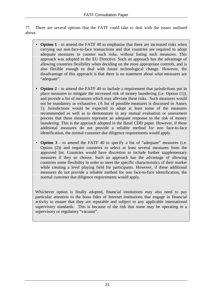77. There are several options that the FATF could take to deal with the issues outlined above.

- **Option 1** to amend the FATF 40 to emphasise that there are increased risks when carrying out non-face-to-face transactions and that countries are required to adopt adequate measures to counter such risks, without listing such measures. This approach was adopted in the EU Directive. Such an approach has the advantage of allowing countries flexibility when deciding on the most appropriate controls, and is also flexible enough to deal with future technological change. However, the disadvantage of this approach is that there is no statement about what measures are "adequate".
- **Option 2** to amend the FATF 40 to include a requirement that jurisdictions put in place measures to mitigate the increased risk of money laundering (i.e. Option (1)), and provide a list of measures which may alleviate these risks. Such measures would not be mandatory or exhaustive. (A list of possible measures is discussed in Annex 1). Jurisdictions would be expected to adopt at least some of the measures recommended as well as to demonstrate in any mutual evaluation or assessment process that these measures represent an adequate response to the risk of money laundering. This is the approach adopted in the Basel CDD paper. However, if these additional measures do not provide a reliable method for non face-to-face identification, the normal customer due diligence requirements would apply.
- **Option 3** to amend the FATF 40 to specify a list of "adequate" measures (i.e. Option (2)) and require countries to select at least several measures from the approved list. Countries would have discretion to include further supplementary measures if they so choose. Such an approach has the advantage of allowing countries some flexibility in order to meet the specific characteristics of their market while creating a level playing field for participants. However, if these additional measures do not provide a reliable method for non face-to-face identification, the normal customer due diligence requirements would apply.

Whichever option is finally adopted, financial institutions may also need to pay particular attention to the bona fides of Internet institutions that engage in financial activity to ensure that they are reputable and subject to any applicable international supervisory standards. This is because of the risk that some may be operating in a supervisory or regulatory "vacuum".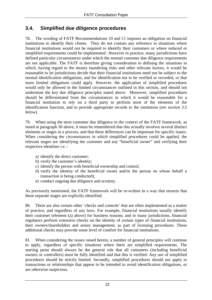## **3.4. Simplified due diligence procedures**

78. The wording of FATF Recommendations 10 and 11 imposes an obligation on financial institutions to identify their clients. They do not contain any reference to situations where financial institutions would not be required to identify their customers or where reduced or simplified requirements could be implemented. However in practice, many jurisdictions have defined particular circumstances under which the normal customer due diligence requirements are not applicable. The FATF is therefore giving consideration to defining the situations in which, having regard to the money laundering risks and other relevant factors, it would be reasonable to let jurisdictions decide that their financial institutions need not be subject to the normal identification obligations, and for identification not to be verified or recorded, or that more limited obligations could apply. However, the application of simplified procedures would only be allowed in the limited circumstances outlined in this section, and should not undermine the key due diligence principles stated above. Moreover, simplified procedures should be differentiated from the circumstances in which it would be reasonable for a financial institution to rely on a third party to perform most of the elements of the identification function, and to provide appropriate records to the institution (*see section 3.5 below*).

79. When using the term customer due diligence in the context of the FATF framework, as noted at paragraph 30 above, it must be remembered that this actually involves several distinct elements or stages in a process, and that these differences can be important for specific issues. When considering the circumstances in which simplified procedures could be applied, the relevant stages are identifying the customer and any "beneficial owner" and verifying their respective identities i.e. :

- a) identify the direct customer;
- b) verify the customer's identity;
- c) identify the person with beneficial ownership and control;
- d) verify the identity of the beneficial owner and/or the person on whose behalf a transaction is being conducted);
- e) conduct ongoing due diligence and scrutiny.

As previously mentioned, the FATF framework will be re-written in a way that ensures that these separate stages are explicitly identified.

80. There are also certain other 'checks and controls' that are often implemented as a matter of practice, and regardless of any laws. For example, financial institutions usually identify their customer (element (a) above) for business reasons; and in many jurisdictions, financial regulators perform extensive checks on the identity of certain types of financial institutions, their owners/shareholders and senior management, as part of licensing procedures. These additional checks may provide some level of comfort for financial institutions.

81. When considering the issues raised herein, a number of general principles will continue to apply, regardless of specific situations where there are simplified requirements. The starting point should always be the general rule that all customers (including beneficial owners or controllers) must be fully identified and that this is verified. Any use of simplified procedures should be strictly limited. Secondly, simplified procedures should not apply to transactions or relationships that appear to be intended to avoid identification obligations, or are otherwise suspicious.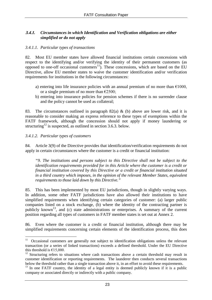#### **3.4.1.** *Circumstances in which Identification and Verification obligations are either simplified or do not apply*

#### *3.4.1.1. Particular types of transactions*

82. Most EU member states have allowed financial institutions certain concessions with respect to the identifying and/or verifying the identity of their permanent customers (as opposed to one-off occasional customers $11$ ). These concessions, which are based on the EU Directive, allow EU member states to waive the customer identification and/or verification requirements for institutions in the following circumstances:

- a) entering into life insurance policies with an annual premium of no more than  $\epsilon$ 1000, or a single premium of no more than  $\epsilon$ 2500;
- b) entering into insurance policies for pension schemes if there is no surrender clause and the policy cannot be used as collateral;

83. The circumstances outlined in paragraph  $82(a)$  & (b) above are lower risk, and it is reasonable to consider making an express reference to these types of exemptions within the FATF framework, although the concession should not apply if money laundering or structuring<sup>12</sup> is suspected, as outlined in section 3.6.3, below.

#### *3.4.1.2. Particular types of customers*

84. Article 3(9) of the Directive provides that identification/verification requirements do not apply in certain circumstances where the customer is a credit or financial institution:

*"9. The institutions and persons subject to this Directive shall not be subject to the identification requirements provided for in this Article where the customer is a credit or financial institution covered by this Directive or a credit or financial institution situated in a third country which imposes, in the opinion of the relevant Member States, equivalent requirements to those laid down by this Directive."*

85. This has been implemented by most EU jurisdictions, though in slightly varying ways. In addition, some other FATF jurisdictions have also allowed their institutions to have simplified requirements when identifying certain categories of customer: (a) larger public companies listed on a stock exchange, (b) where the identity of the contracting partner is publicly known<sup>13</sup>, and (c) state administrations or enterprises. A summary of the current position regarding all types of customers in FATF member states is set out at Annex 2.

86. Even where the customer is a credit or financial institution, although there may be simplified requirements concerning certain elements of the identification process, this does

 $11\,$ 11 Occasional customers are generally not subject to identification obligations unless the relevant transaction (or a series of linked transactions) exceeds a defined threshold. Under the EU Directive this threshold is  $£15,000$ .

<sup>&</sup>lt;sup>12</sup> Structuring refers to situations where cash transactions above a certain threshold may result in customer identification or reporting requirements. The launderer then conducts several transactions below the threshold rather than a single transaction above it, in an effort to avoid these requirements.

 $13$  In one FATF country, the identity of a legal entity is deemed publicly known if it is a public company or associated directly or indirectly with a public company.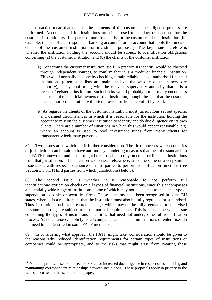not in practice mean that none of the elements of the customer due diligence process are performed. Accounts held for institutions are either used to conduct transactions for the customer institution itself or perhaps more frequently for the customers of that institution (for example, the use of a correspondent banking account<sup>14</sup>, or an account that pools the funds of clients of the customer institution for investment purposes). The key issue therefore is whether the institution holding the account should be subject to identification obligations concerning (a) the customer institution and (b) the clients of the customer institution.

- (a) Concerning the customer institution itself, in practice its identity would be checked through independent sources, to confirm that it is a credit or financial institution. This would normally be done by checking certain reliable lists of authorised financial institutions (often such lists are maintained on the website of the supervisory authority), or by confirming with the relevant supervisory authority that it is a licensed/registered institution. Such checks would probably not normally encompass checks on the beneficial owners of that institution, though the fact that the customer is an authorised institution will often provide sufficient comfort by itself.
- (b) As regards the clients of the customer institution, most jurisdictions set out specific and defined circumstances in which it is reasonable for the institution holding the account to rely on the customer institution to identify and do due diligence on its own clients. There are a number of situations in which this would appear reasonable, e.g. where an account is used to pool investment funds from many clients for transparently legitimate purposes.

87. Two issues arise which merit further consideration. The first concerns which countries or jurisdictions can be said to have anti-money laundering measures that meet the standards in the FATF framework, and thus it might be reasonable to rely on credit or financial institutions from that jurisdiction. This question is discussed elsewhere, since the same or a very similar issue arises with respect to reliance on third parties to perform identification functions (see Section 3.5.3.1 (Third parties from which jurisdictions) below).

88. The second issue is whether it is reasonable to not perform full identification/verification checks on all types of financial institutions, since this encompasses a potentially wide range of institutions, some of which may not be subject to the same type of supervision as banks or securities firms. These concerns have been recognised in some EU states, where it is a requirement that the institution must also be fully regulated or supervised. Thus, institutions such as bureaux de change, which may not be fully regulated or supervised in some countries, are subject to all the normal requirements. This is part of the wider issue concerning the types of institutions or entities that need not undergo the full identification process. As noted above, publicly listed companies and state administrations or enterprises do not need to be identified in some FATF members.

89. In considering what approach the FATF might take, consideration should be given to the reasons why reduced identification requirements for certain types of institutions or companies could be appropriate, and to the risks that might arise from creating these

 $\overline{a}$  $14$  Note the proposals set out at section 3.3.2. for increased due diligence in respect of establishing and maintaining correspondent relationships between institutions. These proposals apply in priority to the issues discussed in this section of the paper.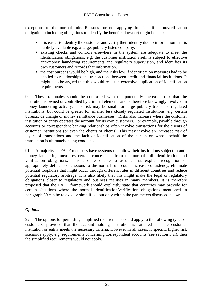exceptions to the normal rule. Reasons for not applying full identification/verification obligations (including obligations to identify the beneficial owner) might be that:

- it is easier to identify the customer and verify their identity due to information that is publicly available e.g. a large, publicly listed company.
- existing checks and controls elsewhere in the system are adequate to meet the identification obligations, e.g. the customer institution itself is subject to effective anti-money laundering requirements and regulatory supervision, and identifies its own customers and records that information.
- the cost burdens would be high, and the risks low if identification measures had to be applied to relationships and transactions between credit and financial institutions. It might also be argued that this would result in extensive duplication of identification requirements.

90. These rationales should be contrasted with the potentially increased risk that the institution is owned or controlled by criminal elements and is therefore knowingly involved in money laundering activity. This risk may be small for large publicly traded or regulated institutions, but could be greater for smaller less closely regulated institutions, e.g. certain bureaux de change or money remittance businesses. Risks also increase where the customer institution or entity operates the account for its own customers. For example, payable through accounts or correspondent banking relationships often involve transactions for the clients of customer institutions (or even the clients of clients). This may involve an increased risk of layers of transactions and the lack of identification of the person on whose behalf the transaction is ultimately being conducted.

91. A majority of FATF members have systems that allow their institutions subject to antimoney laundering measures certain concessions from the normal full identification and verification obligations. It is also reasonable to assume that explicit recognition of appropriately defined concessions to the normal rule could increase consistency, eliminate potential loopholes that might occur through different rules in different countries and reduce potential regulatory arbitrage. It is also likely that this might make the legal or regulatory obligations closer to regulatory and business realities in many members. It is therefore proposed that the FATF framework should explicitly state that countries may provide for certain situations where the normal identification/verification obligations mentioned in paragraph 30 can be relaxed or simplified, but only within the parameters discussed below.

#### *Options*

92. The options for permitting simplified requirements could apply to the following types of customers, provided that the account holding institution is satisfied that the customer institution or entity meets the necessary criteria. However in all cases, if specific higher risk scenarios apply, e.g. requirements concerning correspondent accounts (see section 3.2.), then the simplified requirements would not apply.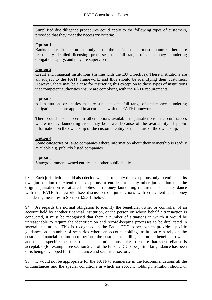Simplified due diligence procedures could apply to the following types of customers, provided that they meet the necessary criteria:

#### **Option 1**

Banks or credit institutions only  $-$  on the basis that in most countries there are reasonably detailed licensing processes, the full range of anti-money laundering obligations apply, and they are supervised.

#### **Option 2**

Credit and financial institutions (in line with the EU Directive). These institutions are all subject to the FATF framework, and thus should be identifying their customers. However, there may be a case for restricting this exception to those types of institutions that competent authorities ensure are complying with the FATF requirements.

#### **Option 3**

All institutions or entities that are subject to the full range of anti-money laundering obligations that are applied in accordance with the FATF framework.

There could also be certain other options available to jurisdictions in circumstances where money laundering risks may be lower because of the availability of public information on the ownership of the customer entity or the nature of the ownership:

#### **Option 4**

Some categories of large companies where information about their ownership is readily available e.g. publicly listed companies.

#### **Option 5**

State/government owned entities and other public bodies.

93. Each jurisdiction could also decide whether to apply the exceptions only to entities in its own jurisdiction or extend the exceptions to entities from any other jurisdiction that the original jurisdiction is satisfied applies anti-money laundering requirements in accordance with the FATF framework. [see discussion on jurisdictions with equivalent anti-money laundering measures in Section 3.5.3.1. below]

94. As regards the normal obligation to identify the beneficial owner or controller of an account held by another financial institution, or the person on whose behalf a transaction is conducted, it must be recognised that there a number of situations in which it would be unreasonable to require the identification and record-keeping processes to be duplicated in several institutions. This is recognised in the Basel CDD paper, which provides specific guidance on a number of scenarios where an account holding institution can rely on the customer financial institution to perform the customer due diligence on the beneficial owner, and on the specific measures that the institution must take to ensure that such reliance is acceptable (for example see section 2.2.4 of the Basel CDD paper). Similar guidance has been or is being developed for the insurance and securities sectors.

95. It would not be appropriate for the FATF to enumerate in the Recommendations all the circumstances and the special conditions in which an account holding institution should or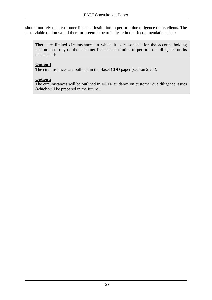should not rely on a customer financial institution to perform due diligence on its clients. The most viable option would therefore seem to be to indicate in the Recommendations that:

There are limited circumstances in which it is reasonable for the account holding institution to rely on the customer financial institution to perform due diligence on its clients, and:

## **Option 1**

The circumstances are outlined in the Basel CDD paper (section 2.2.4).

## **Option 2**

The circumstances will be outlined in FATF guidance on customer due diligence issues (which will be prepared in the future).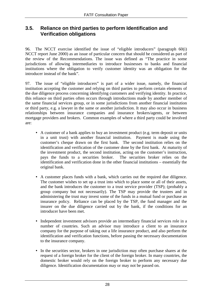## **3.5. Reliance on third parties to perform Identification and Verification obligations**

96. The NCCT exercise identified the issue of "eligible introducers" (paragraph 60(i) NCCT report June 2000) as an issue of particular concern that should be considered as part of the review of the Recommendations. The issue was defined as "The practice in some jurisdictions of allowing intermediaries to introduce businesses to banks and financial institutions where the obligation to verify customer identity was an obligation for the introducer instead of the bank".

97. The issue of "eligible introducers" is part of a wider issue, namely, the financial institution accepting the customer and relying on third parties to perform certain elements of the due diligence process concerning identifying customers and verifying identity. In practice, this reliance on third parties often occurs through introductions made by another member of the same financial services group, or in some jurisdictions from another financial institution or third party, e.g. a lawyer in the same or another jurisdiction. It may also occur in business relationships between insurance companies and insurance brokers/agents, or between mortgage providers and brokers. Common examples of where a third party could be involved are:

- A customer of a bank applies to buy an investment product (e.g. term deposit or units in a unit trust) with another financial institution. Payment is made using the customer's cheque drawn on the first bank. The second institution relies on the identification and verification of the customer done by the first bank. At maturity of the investment product, the second institution, acting on the customer's instruction, pays the funds to a securities broker. The securities broker relies on the identification and verification done in the other financial institutions – essentially the original bank.
- A customer places funds with a bank, which carries out the required due diligence. The customer wishes to set up a trust into which to place some or all of their assets, and the bank introduces the customer to a trust service provider (TSP); (probably a group company but not necessarily). The TSP may provide the trustees and in administering the trust may invest some of the funds in a mutual fund or purchase an insurance policy. Reliance can be placed by the TSP, the fund manager and the insurer on the due diligence carried out by the bank, if the conditions for an introducer have been met.
- Independent investment advisors provide an intermediary financial services role in a number of countries. Such an advisor may introduce a client to an insurance company for the purpose of taking out a life insurance product, and also perform the identification and verification functions, before passing the necessary documentation to the insurance company.
- In the securities sector, brokers in one jurisdiction may often purchase shares at the request of a foreign broker for the client of the foreign broker. In many countries, the domestic broker would rely on the foreign broker to perform any necessary due diligence. Identification documentation may or may not be passed on.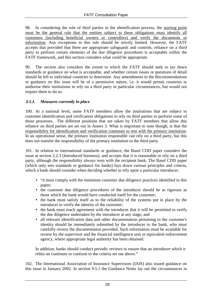98. In considering the role of third parties in the identification process, the starting point must be the general rule that the entities subject to these obligations must identify all customers (including beneficial owners or controllers) and verify the documents or information. Any exceptions to this rule should be strictly limited. However, the FATF accepts that provided that there are appropriate safeguards and controls, reliance on a third party to perform certain elements of the due diligence procedures is acceptable within the FATF framework, and this section considers what could be appropriate.

99. The section also considers the extent to which the FATF should seek to lay down standards or guidance on what is acceptable, and whether certain issues or questions of detail should be left to individual countries to determine. Any amendments to the Recommendations or guidance on this issue will be of a permissive nature, i.e. it would permit countries to authorise their institutions to rely on a third party in particular circumstances, but would not require them to do so.

## **3.5.1.** *Measures currently in place*

100. At a national level, some FATF members allow the institutions that are subject to customer identification and verification obligations to rely on third parties to perform some of those processes. The different positions that are taken by FATF members that allow this reliance on third parties are set out in Annex 3. What is important to note though, is that the responsibility for identification and verification continues to rest with the primary institution. In an operational sense, the primary institution responsible can rely on a third party, but this does not transfer the responsibility of the primary institution to the third party.

101. In relation to international standards or guidance, the Basel CDD paper considers the issue at section 2.2.3 (Introduced business), and accepts that it is reasonable to rely on a third party, although the responsibility always rests with the recipient bank. The Basel CDD paper (which only sets standards or guidance for banks) lays down various principles and criteria, which a bank should consider when deciding whether to rely upon a particular introducer:

- "it must comply with the minimum customer due diligence practices identified in this paper;
- the customer due diligence procedures of the introducer should be as rigorous as those which the bank would have conducted itself for the customer;
- the bank must satisfy itself as to the reliability of the systems put in place by the introducer to verify the identity of the customer;
- the bank must reach agreement with the introducer that it will be permitted to verify the due diligence undertaken by the introducer at any stage; and
- all relevant identification data and other documentation pertaining to the customer's identity should be immediately submitted by the introducer to the bank, who must carefully review the documentation provided. Such information must be available for review by the supervisor and the financial intelligence unit or equivalent enforcement agency, where appropriate legal authority has been obtained.

In addition, banks should conduct periodic reviews to ensure that an introducer which it relies on continues to conform to the criteria set out above."

102. The International Association of Insurance Supervisors (IAIS) also issued guidance on this issue in January 2002. In section 9.5.1 the Guidance Notes lay out the circumstances in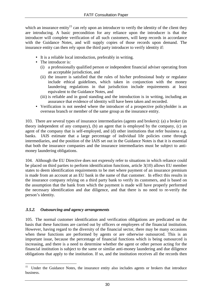which an insurance entity<sup>15</sup> can rely upon an introducer to verify the identity of the client they are introducing. A basic precondition for any reliance upon the introducer is that the introducer will complete verification of all such customers, will keep records in accordance with the Guidance Notes, and will supply copies of those records upon demand. The insurance entity can then rely upon the third party introducer to verify identity if:

- It is a reliable local introduction, preferably in writing.
- The introducer is:
	- (i) a professionally qualified person or independent financial adviser operating from an acceptable jurisdiction, and
	- (ii) the insurer is satisfied that the rules of his/her professional body or regulator include ethical guidelines, which taken in conjunction with the money laundering regulations in that jurisdiction include requirements at least equivalent to the Guidance Notes, and
	- (iii) is reliable and in good standing and the introduction is in writing, including an assurance that evidence of identity will have been taken and recorded.
- Verification is not needed where the introducer of a prospective policyholder is an overseas branch or member of the same group as the insurance entity.

103. There are several types of insurance intermediaries (agents and brokers): (a) a broker (in theory independent of any company), (b) an agent that is employed by the company, (c) an agent of the company that is self-employed, and (d) other institutions that refer business e.g. banks. IAIS estimate that a large percentage of individual life policies come through intermediaries, and the position of the IAIS set out in the Guidance Notes is that it is essential that both the insurance companies and the insurance intermediaries must be subject to antimoney laundering obligations.

104. Although the EU Directive does not expressly refer to situations in which reliance could be placed on third parties to perform identification functions, article 3(10) allows EU member states to deem identification requirements to be met where payment of an insurance premium is made from an account at an EU bank in the name of that customer. In effect this results in the insurance company relying on a third party bank to verify its customers, and is based on the assumption that the bank from which the payment is made will have properly performed the necessary identification and due diligence, and that there is no need to re-verify the person's identity.

## **3.5.2.** *Outsourcing and agency arrangements*

105. The normal customer identification and verification obligations are predicated on the basis that these functions are carried out by officers or employees of the financial institution. However, having regard to the diversity of the financial sector, there may be many occasions when these functions are performed by agents or are otherwise outsourced. This is an important issue, because the percentage of financial functions which is being outsourced is increasing, and there is a need to determine whether the agent or other person acting for the financial institution is subject to the same or similar anti-money laundering and due diligence obligations that apply to the institution. If so, and the institution receives all the records then

<sup>15</sup> 15 Under the Guidance Notes, the insurance entity also includes agents or brokers that introduce business.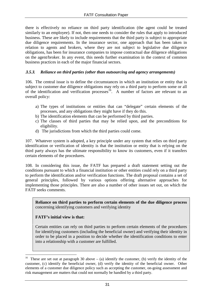there is effectively no reliance on third party identification (the agent could be treated similarly to an employee). If not, then one needs to consider the rules that apply to introduced business. These are likely to include requirements that the third party is subject to appropriate due diligence requirements. In the insurance sector, one approach that has been taken in relation to agents and brokers, where they are not subject to legislative due diligence obligations, has been for insurance companies to impose contractual due diligence obligations on the agent/broker. In any event, this needs further examination in the context of common business practices in each of the major financial sectors.

#### **3.5.3.** *Reliance on third parties (other than outsourcing and agency arrangements)*

106. The central issue is to define the circumstances in which an institution or entity that is subject to customer due diligence obligations may rely on a third party to perform some or all of the identification and verification processes<sup>16</sup>. A number of factors are relevant to an overall policy:

- a) The types of institutions or entities that can "delegate" certain elements of the processes, and any obligations they might have if they do this.
- b) The identification elements that can be performed by third parties.
- c) The classes of third parties that may be relied upon, and the preconditions for eligibility.
- d) The jurisdictions from which the third parties could come.

107. Whatever system is adopted, a key principle under any system that relies on third party identification or verification of identity is that the institution or entity that is relying on the third party always has the ultimate responsibility to know its customers, even if it transfers certain elements of the procedures.

108. In considering this issue, the FATF has prepared a draft statement setting out the conditions pursuant to which a financial institution or other entities could rely on a third party to perform the identification and/or verification functions. The draft proposal contains a set of general principles, followed by various options offering alternative approaches for implementing those principles. There are also a number of other issues set out, on which the FATF seeks comments.

**Reliance on third parties to perform certain elements of the due diligence process** concerning identifying customers and verifying identity

## **FATF's initial view is that:**

 $\overline{a}$ 

Certain entities can rely on third parties to perform certain elements of the procedures for identifying customers (including the beneficial owner) and verifying their identity in order to be placed in a position to decide whether the identification conditions to enter into a relationship with a customer are fulfilled.

These are set out at paragraph 30 above  $-$  (a) identify the customer, (b) verify the identity of the customer, (c) identify the beneficial owner, (d) verify the identity of the beneficial owner. Other elements of a customer due diligence policy such as accepting the customer, on-going assessment and risk management are matters that could not normally be handled by a third party.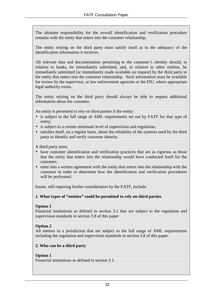The ultimate responsibility for the overall identification and verification procedure remains with the entity that enters into the customer relationship.

The entity relying on the third party must satisfy itself as to the adequacy of the identification information it receives.

All relevant data and documentation pertaining to the customer's identity should, in relation to banks, be immediately submitted, and, in relation to other entities, be immediately submitted [or immediately made available on request] by the third party to the entity that enters into the customer relationship. Such information must be available for review by the supervisor, or law enforcement agencies or the FIU, where appropriate legal authority exists.

The entity relying on the third party should always be able to request additional information about the customer.

An entity is permitted to rely on third parties if the entity:

- is subject to the full range of AML requirements set out by FATF for that type of entity;
- is subject to a certain minimum level of supervision and regulation;
- satisfies itself, on a regular basis, about the reliability of the systems used by the third party to identify and verify customer identity.

A third party must:

- have customer identification and verification practices that are as rigorous as those that the entity that enters into the relationship would have conducted itself for the customer;
- enter into a written agreement with the entity that enters into the relationship with the customer in order to determine how the identification and verification procedures will be performed.

Issues, still requiring further consideration by the FATF, include:

## **1. What types of "entities" could be permitted to rely on third parties**

## **Option 1**

Financial institutions as defined in section 3.1 that are subject to the regulation and supervision standards in section 3.8 of this paper

## **Option 2**

All entities in a jurisdiction that are subject to the full range of AML requirements including the regulation and supervision standards in section 3.8 of this paper.

## **2. Who can be a third party**

## **Option 1**

Financial institutions as defined in section 3.1.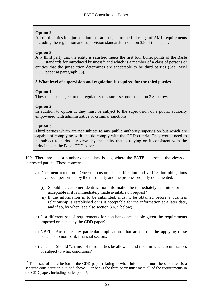## **Option 2**

All third parties in a jurisdiction that are subject to the full range of AML requirements including the regulation and supervision standards in section 3.8 of this paper.

## **Option 3**

Any third party that the entity is satisfied meets the first four bullet points of the Basle CDD standards for introduced business<sup>17</sup> and which is a member of a class of persons or entities that the jurisdiction determines are acceptable to be third parties (See Basel CDD paper at paragraph 36).

## **3 What level of supervision and regulation is required for the third parties**

## **Option 1**

They must be subject to the regulatory measures set out in section 3.8. below.

## **Option 2**

In addition to option 1, they must be subject to the supervision of a public authority empowered with administrative or criminal sanctions.

## **Option 3**

Third parties which are not subject to any public authority supervision but which are capable of complying with and do comply with the CDD criteria. They would need to be subject to periodic reviews by the entity that is relying on it consistent with the principles in the Basel CDD paper.

109. There are also a number of ancillary issues, where the FATF also seeks the views of interested parties. These concern:

- a) Document retention Once the customer identification and verification obligations have been performed by the third party and the process properly documented:
	- (i) Should the customer identification information be immediately submitted or is it acceptable if it is immediately made available on request?
	- (ii) If the information is to be submitted, must it be obtained before a business relationship is established or is it acceptable for the information at a later date, and if so, by when (see also section 3.6.2. below).
- b) Is a different set of requirements for non-banks acceptable given the requirements imposed on banks by the CDD paper?
- c) NBFI Are there any particular implications that arise from the applying these concepts to non-bank financial sectors.
- d) Chains Should "chains" of third parties be allowed, and if so, in what circumstances or subject to what conditions?

 $\overline{a}$  $17$  The issue of the criterion in the CDD paper relating to when information must be submitted is a separate consideration outlined above. For banks the third party must meet all of the requirements in the CDD paper, including bullet point 5.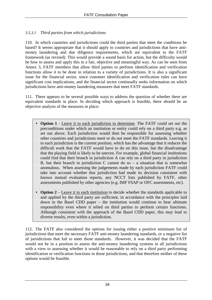## *3.5.3.1 Third parties from which jurisdictions*

110. In which countries and jurisdictions could the third parties that meet the conditions be based? It seems appropriate that it should apply to countries and jurisdictions that have antimoney laundering and due diligence requirements, which are equivalent to the FATF framework (as revised). This would provide a sound basis for action, but the difficulty would be how to assess and apply this in a fair, objective and meaningful way. As can be seen from Annex 3, FATF members that allow third parties to perform identification and verification functions allow it to be done in relation to a variety of jurisdictions. It is also a significant issue for the financial sector, since customer identification and verification rules can have significant cost implications, and the financial sector continually seeks information on which jurisdictions have anti-money laundering measures that meet FATF standards.

111. There appears to be several possible ways to address the question of whether there are equivalent standards in place. In deciding which approach is feasible, there should be an objective analysis of the measures in place:

- **Option 1** Leave it to each jurisdiction to determine. The FATF could set out the preconditions under which an institution or entity could rely on a third party e.g. as set out above. Each jurisdiction would then be responsible for assessing whether other countries and jurisdictions meet or do not meet the FATF standards. Leaving it to each jurisdiction is the current position, which has the advantage that it reduces the difficult work that the FATF would have to do on this issue, but the disadvantage that the playing field is likely to be uneven. For example, global financial institutions could find that their branch in jurisdiction A can rely on a third party in jurisdiction B, but their branch in jurisdiction C cannot do so  $-$  a situation that is somewhat anomalous. When assessing the judgements made by each jurisdiction FATF could take into account whether that jurisdiction had made its decision consistent with known mutual evaluation reports, any NCCT lists published by FATF, other assessments published by other agencies (e.g. IMF FSAP or OFC assessments, etc).
- **Option 2** Leave it to each institution to decide whether the standards applicable to and applied by the third party are sufficient, in accordance with the principles laid down in the Basel CDD paper – the institution would continue to bear ultimate responsibility even where it relied on third parties to perform certain functions. Although consistent with the approach of the Basel CDD paper, this may lead to diverse results, even within a jurisdiction.

112. The FATF also considered the options for issuing either a positive minimum list of jurisdictions that meet the necessary FATF anti-money laundering standards, or a negative list of jurisdictions that fail to meet those standards. However, it was decided that the FATF would not be in a position to assess the anti-money laundering systems in all jurisdictions with a view to assessing whether it would be reasonable to rely on a third party performing identification or verification functions in those jurisdictions, and that therefore neither of these options would be feasible.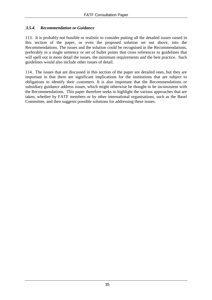## **3.5.4.** *Recommendation or Guidance*

113. It is probably not feasible or realistic to consider putting all the detailed issues raised in this section of the paper, or even the proposed solution set out above, into the Recommendations. The issues and the solution could be recognised in the Recommendations, preferably in a single sentence or set of bullet points that cross references to guidelines that will spell out in more detail the issues, the minimum requirements and the best practice. Such guidelines would also include other issues of detail.

114. The issues that are discussed in this section of the paper are detailed ones, but they are important in that there are significant implications for the institutions that are subject to obligations to identify their customers. It is also important that the Recommendations or subsidiary guidance address issues, which might otherwise be thought to be inconsistent with the Recommendations. This paper therefore seeks to highlight the various approaches that are taken, whether by FATF members or by other international organisations, such as the Basel Committee, and then suggests possible solutions for addressing these issues.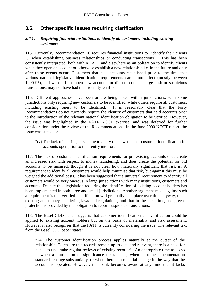# **3.6. Other specific issues requiring clarification**

#### *3.6.1. Requiring financial institutions to identify all customers, including existing customers*

115. Currently, Recommendation 10 requires financial institutions to "identify their clients … when establishing business relationships or conducting transactions". This has been consistently interpreted, both within FATF and elsewhere as an obligation to identify clients when they open an account or otherwise establish a new relationship i.e. in the future and only after these events occur. Customers that held accounts established prior to the time that various national legislative identification requirements came into effect (mostly between 1990-95), and who did not open new accounts or did not conduct large cash or suspicious transactions, may not have had their identity verified.

116. Different approaches have been or are being taken within jurisdictions, with some jurisdictions only requiring new customers to be identified, while others require all customers, including existing ones, to be identified. It is reasonably clear that the Forty Recommendations do not currently require the identity of customers that held accounts prior to the introduction of the relevant national identification obligation to be verified. However, the issue was highlighted in the FATF NCCT exercise, and was deferred for further consideration under the review of the Recommendations. In the June 2000 NCCT report, the issue was stated as:

"(v) The lack of a stringent scheme to apply the new rules of customer identification for accounts open prior to their entry into force."

117. The lack of customer identification requirements for pre-existing accounts does create an increased risk with respect to money laundering, and does create the potential for old accounts to be misused, though it is not clear how materially significant that risk is. A requirement to identify all customers would help minimise that risk, but against this must be weighed the additional costs. It has been suggested that a universal requirement to identify all customers would be very onerous in large jurisdictions with many institutions, customers and accounts. Despite this, legislation requiring the identification of existing account holders has been implemented in both large and small jurisdictions. Another argument made against such a requirement is that verified identification will gradually take place over time anyway, under existing anti-money laundering laws and regulations, and that in the meantime, a degree of protection is provided by the obligation to report suspicious transactions.

118. The Basel CDD paper suggests that customer identification and verification could be applied to existing account holders but on the basis of materiality and risk assessment. However it also recognises that the FATF is currently considering the issue. The relevant text from the Basel CDD paper states:

"24. The customer identification process applies naturally at the outset of the relationship. To ensure that records remain up-to-date and relevant, there is a need for banks to undertake regular reviews of existing records\*. An appropriate time to do so is when a transaction of significance takes place, when customer documentation standards change substantially, or when there is a material change in the way that the account is operated. However, if a bank becomes aware at any time that it lacks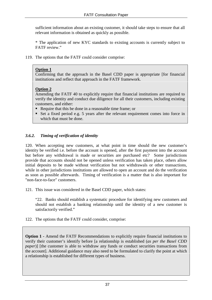sufficient information about an existing customer, it should take steps to ensure that all relevant information is obtained as quickly as possible.

\* The application of new KYC standards to existing accounts is currently subject to FATF review."

119. The options that the FATF could consider comprise:

## **Option 1**

Confirming that the approach in the Basel CDD paper is appropriate [for financial institutions and reflect that approach in the FATF framework.

## **Option 2**

Amending the FATF 40 to explicitly require that financial institutions are required to verify the identity and conduct due diligence for all their customers, including existing customers, and either:

- Require that this be done in a reasonable time frame; or
- Set a fixed period e.g. 5 years after the relevant requirement comes into force in which that must be done.

## *3.6.2. Timing of verification of identity*

120. When accepting new customers, at what point in time should the new customer's identity be verified i.e. before the account is opened, after the first payment into the account but before any withdrawal is made or securities are purchased etc? Some jurisdictions provide that accounts should not be opened unless verification has taken place, others allow initial deposits to be made without verification but not withdrawals or other transactions, while in other jurisdictions institutions are allowed to open an account and do the verification as soon as possible afterwards. Timing of verification is a matter that is also important for "non-face-to-face" customers.

121. This issue was considered in the Basel CDD paper, which states:

"22. Banks should establish a systematic procedure for identifying new customers and should not establish a banking relationship until the identity of a new customer is satisfactorily verified."

122. The options that the FATF could consider, comprise:

**Option 1 -** Amend the FATF Recommendations to explicitly require financial institutions to verify their customer's identify before [a relationship is established (*as per the Basel CDD paper*)] [the customer is able to withdraw any funds or conduct securities transactions from the account]. Additional guidance may also need to be formulated to clarify the point at which a relationship is established for different types of business.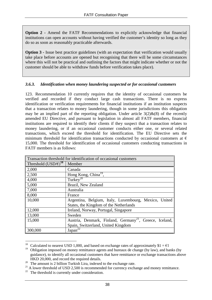**Option 2 - Amend the FATF Recommendations to explicitly acknowledge that financial** institutions can open accounts without having verified the customer's identity so long as they do so as soon as reasonably practicable afterwards.

**Option 3 - Issue best practice guidelines (with an expectation that verification would usually** take place before accounts are opened but recognising that there will be some circumstances where this will not be practical and outlining the factors that might indicate whether or not the customer should be able to withdraw funds before verification takes place).

#### *3.6.3. Identification when money laundering suspected or for occasional customers*

123. Recommendation 10 currently requires that the identity of occasional customers be verified and recorded if they conduct large cash transactions. There is no express identification or verification requirements for financial institutions if an institution suspects that a transaction relates to money laundering, though in some jurisdictions this obligation may be an implied part of the reporting obligation. Under article  $3(2)\&(8)$  of the recently amended EU Directive, and pursuant to legislation in almost all FATF members, financial institutions are required to identify their clients if they suspect that a transaction relates to money laundering, or if an occasional customer conducts either one, or several related transactions, which exceed the threshold for identification. The EU Directive sets the minimum threshold for identification transactions conducted by occasional customers at  $\epsilon$ 15,000. The threshold for identification of occasional customers conducting transactions in FATF members is as follows:

| Transaction threshold for identification of occasional customers |                                                                     |
|------------------------------------------------------------------|---------------------------------------------------------------------|
| Threshold $(USD/E)^{18}$                                         | Member                                                              |
| 2,000                                                            | Canada                                                              |
| 2,500                                                            | Hong Kong, China <sup>19</sup> ,                                    |
| 4,000                                                            | Turkey <sup>20</sup>                                                |
| 5,000                                                            | Brazil, New Zealand                                                 |
| 7,000                                                            | Australia                                                           |
| 8,000                                                            | France                                                              |
| 10,000                                                           | Argentina, Belgium, Italy, Luxembourg, Mexico, United               |
|                                                                  | States, the Kingdom of the Netherlands                              |
| 12,000                                                           | Ireland, Norway, Portugal, Singapore                                |
| 13,000                                                           | Sweden                                                              |
| 15,000                                                           | Austria, Denmark, Finland, Germany <sup>21</sup> , Greece, Iceland, |
|                                                                  | Spain, Switzerland, United Kingdom                                  |
| 300,000                                                          | Japan                                                               |

 $\overline{a}$ <sup>18</sup> Calculated to nearest USD 1,000, and based on exchange rates of approximately  $$1 = \mathcal{E}1$ 

<sup>19</sup> Obligation imposed on money remittance agents and bureaux de change (by law), and banks (by guidance), to identify all occasional customers that have remittance or exchange transactions above HKD 20,000, and record the required details.

<sup>&</sup>lt;sup>20</sup> The amount is 2 billion Turkish Lira, indexed to the exchange rate.

 $^{21}$  A lower threshold of USD 2,500 is recommended for currency exchange and money remittance.

 $22$  The threshold is currently under consideration.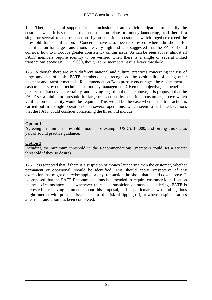124. There is general support for the inclusion of an explicit obligation to identify the customer when it is suspected that a transaction relates to money laundering, or if there is a single or several related transactions by an occasional customer, which together exceed the threshold for identification. Concerns have also been expressed where thresholds for identification for large transactions are very high and it is suggested that the FATF should consider how to introduce greater consistency on this issue. As can be seen above, almost all FATF members require identity to be verified when there is a single or several linked transactions above USD/ $\epsilon$  15,000, though some members have a lower threshold.

125. Although there are very different national and cultural practices concerning the use of large amounts of cash, FATF members have recognised the desirability of using other payment and transfer methods. Recommendation 24 expressly encourages the replacement of cash transfers by other techniques of money management. Given this objective, the benefits of greater consistency and certainty, and having regard to the table above, it is proposed that the FATF set a minimum threshold for large transactions by occasional customers, above which verification of identity would be required. This would be the case whether the transaction is carried out in a single operation or in several operations, which seem to be linked. Options that the FATF could consider concerning the threshold include:

## **Option 1**

Agreeing a minimum threshold amount, for example USD/ $\epsilon$  15,000, and setting this out as part of sound practice guidance.

## **Option 2**

Including the minimum threshold in the Recommendations (members could set a stricter threshold if they so desire).

126. It is accepted that if there is a suspicion of money laundering then the customer, whether permanent or occasional, should be identified. This should apply irrespective of any exemption that might otherwise apply, or any transaction threshold that is laid down above. It is proposed that the FATF Recommendations be amended to require customer identification in these circumstances, i.e. whenever there is a suspicion of money laundering. FATF is interested in receiving comments about this proposal, and in particular, how the obligations might interact with practical issues such as the risk of tipping off, or where suspicion arises after the transaction has been completed.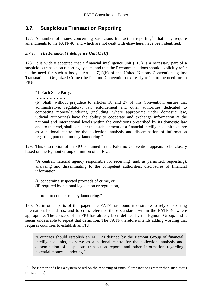# **3.7. Suspicious Transaction Reporting**

127. A number of issues concerning suspicious transaction reporting<sup>23</sup> that may require amendments to the FATF 40, and which are not dealt with elsewhere, have been identified.

## *3.7.1. The Financial Intelligence Unit (FIU)*

128. It is widely accepted that a financial intelligence unit (FIU) is a necessary part of a suspicious transaction reporting system, and that the Recommendations should explicitly refer to the need for such a body. Article 7(1)(b) of the United Nations Convention against Transnational Organized Crime (the Palermo Convention) expressly refers to the need for an FIU:

"1. Each State Party:

……………………

(b) Shall, without prejudice to articles 18 and 27 of this Convention, ensure that administrative, regulatory, law enforcement and other authorities dedicated to combating money-laundering (including, where appropriate under domestic law, judicial authorities) have the ability to cooperate and exchange information at the national and international levels within the conditions prescribed by its domestic law and, to that end, shall consider the establishment of a financial intelligence unit to serve as a national centre for the collection, analysis and dissemination of information regarding potential money-laundering."

129. This description of an FIU contained in the Palermo Convention appears to be closely based on the Egmont Group definition of an FIU:

"A central, national agency responsible for receiving (and, as permitted, requesting), analysing and disseminating to the competent authorities, disclosures of financial information

(i) concerning suspected proceeds of crime, or

(ii) required by national legislation or regulation,

in order to counter money laundering."

130. As in other parts of this paper, the FATF has found it desirable to rely on existing international standards, and to cross-reference those standards within the FATF 40 where appropriate. The concept of an FIU has already been defined by the Egmont Group, and it seems undesirable to repeat that definition. The FATF therefore intends adding wording that requires countries to establish an FIU:

"Countries should establish an FIU, as defined by the Egmont Group of financial intelligence units, to serve as a national centre for the collection, analysis and dissemination of suspicious transaction reports and other information regarding potential money-laundering."

 $\overline{a}$ 23 The Netherlands has a system based on the reporting of unusual transactions (rather than suspicious transactions).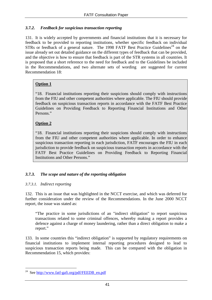## *3.7.2. Feedback for suspicious transaction reporting*

131. It is widely accepted by governments and financial institutions that it is necessary for feedback to be provided to reporting institutions, whether specific feedback on individual STRs or feedback of a general nature. The 1998 FATF Best Practice Guidelines<sup>24</sup> on the issue already set out detailed guidance on the different types of feedback that can be provided, and the objective is how to ensure that feedback is part of the STR systems in all countries. It is proposed that a short reference to the need for feedback and to the Guidelines be included in the Recommendations, and two alternate sets of wording are suggested for current Recommendation 18:

## **Option 1**

"18. Financial institutions reporting their suspicions should comply with instructions from the FIU and other competent authorities where applicable. The FIU should provide feedback on suspicious transaction reports in accordance with the FATF Best Practice Guidelines on Providing Feedback to Reporting Financial Institutions and Other Persons."

## **Option 2**

"18. Financial institutions reporting their suspicions should comply with instructions from the FIU and other competent authorities where applicable. In order to enhance suspicious transaction reporting in each jurisdiction, FATF encourages the FIU in each jurisdiction to provide feedback on suspicious transaction reports in accordance with the FATF Best Practice Guidelines on Providing Feedback to Reporting Financial Institutions and Other Persons."

## *3.7.3. The scope and nature of the reporting obligation*

## *3.7.3.1. Indirect reporting*

 $\overline{a}$ 

132. This is an issue that was highlighted in the NCCT exercise, and which was deferred for further consideration under the review of the Recommendations. In the June 2000 NCCT report, the issue was stated as:

"The practice in some jurisdictions of an "indirect obligation" to report suspicious transactions related to some criminal offences, whereby making a report provides a defence against a charge of money laundering, rather than a direct obligation to make a report."

133. In some countries this "indirect obligation" is supported by regulatory requirements on financial institutions to implement internal reporting procedures designed to lead to suspicious transaction reports being made. This can be compared with the obligation in Recommendation 15, which provides:

<sup>&</sup>lt;sup>24</sup> See http://www.fatf-gafi.org/pdf/FEEDB\_en.pdf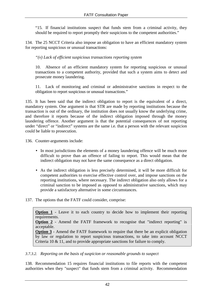"15. If financial institutions suspect that funds stem from a criminal activity, they should be required to report promptly their suspicions to the competent authorities."

134. The 25 NCCT Criteria also impose an obligation to have an efficient mandatory system for reporting suspicious or unusual transactions:

*"(v) Lack of efficient suspicious transactions reporting system*

10. Absence of an efficient mandatory system for reporting suspicious or unusual transactions to a competent authority, provided that such a system aims to detect and prosecute money laundering.

11. Lack of monitoring and criminal or administrative sanctions in respect to the obligation to report suspicious or unusual transactions."

135. It has been said that the indirect obligation to report is the equivalent of a direct, mandatory system. One argument is that STR are made by reporting institutions because the transaction is out of the ordinary, the institution does not usually know the underlying crime, and therefore it reports because of the indirect obligation imposed through the money laundering offence. Another argument is that the potential consequences of not reporting under "direct" or "indirect" systems are the same i.e. that a person with the relevant suspicion could be liable to prosecution.

136. Counter-arguments include:

- In most jurisdictions the elements of a money laundering offence will be much more difficult to prove than an offence of failing to report. This would mean that the indirect obligation may not have the same consequence as a direct obligation.
- As the indirect obligation is less precisely determined, it will be more difficult for competent authorities to exercise effective control over, and impose sanctions on the reporting institutions, where necessary. The indirect obligation also only allows for a criminal sanction to be imposed as opposed to administrative sanctions, which may provide a satisfactory alternative in some circumstances.
- 137. The options that the FATF could consider, comprise:

**Option 1** - Leave it to each country to decide how to implement their reporting requirements.

**Option 2** - Amend the FATF framework to recognise that "indirect reporting" is acceptable.

**Option 3** - Amend the FATF framework to require that there be an explicit obligation by law or regulation to report suspicious transactions, to take into account NCCT Criteria 10 & 11, and to provide appropriate sanctions for failure to comply.

*3.7.3.2. Reporting on the basis of suspicion or reasonable grounds to suspect*

138. Recommendation 15 requires financial institutions to file reports with the competent authorities when they "suspect" that funds stem from a criminal activity. Recommendation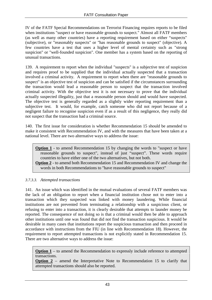IV of the FATF Special Recommendations on Terrorist Financing requires reports to be filed when institutions "suspect or have reasonable grounds to suspect." Almost all FATF members (as well as many other countries) have a reporting requirement based on either "suspects" (subjective), or "reasonably suspects" or "has reasonable grounds to suspect" (objective). A few countries have a test that uses a higher level of mental certainty such as "strong suspicion" or "well-founded suspicion". One member has a system based on the reporting of unusual transactions.

139. A requirement to report when the individual "suspects" is a subjective test of suspicion and requires proof to be supplied that the individual actually suspected that a transaction involved a criminal activity. A requirement to report when there are "reasonable grounds to suspect" is an objective test of suspicion and can be satisfied if the circumstances surrounding the transaction would lead a reasonable person to suspect that the transaction involved criminal activity. With the objective test it is not necessary to prove that the individual actually suspected illegality, just that a reasonable person should and would have suspected. The objective test is generally regarded as a slightly wider reporting requirement than a subjective test. It would, for example, catch someone who did not report because of a negligent failure to recognise suspicion even if as a result of this negligence, they really did not suspect that the transaction had a criminal source.

140. The first issue for consideration is whether Recommendation 15 should be amended to make it consistent with Recommendation IV, and with the measures that have been taken at a national level. There are two alternative ways to address the issue:

**Option 1** - to amend Recommendation 15 by changing the words to "suspect or have reasonable grounds to suspect", instead of just "suspect". These words require countries to have either one of the two alternatives, but not both.

**Option 2** - to amend both Recommendation 15 and Recommendation IV and change the words in both Recommendations to "have reasonable grounds to suspect"

## *3.7.3.3. Attempted transactions*

141. An issue which was identified in the mutual evaluations of several FATF members was the lack of an obligation to report when a financial institution chose not to enter into a transaction which they suspected was linked with money laundering. While financial institutions are not prevented from terminating a relationship with a suspicious client, or refusing to enter into a transaction, it is clearly desirable that attempts to launder money be reported. The consequence of not doing so is that a criminal would then be able to approach other institutions until one was found that did not find the transaction suspicious. It would be desirable in many cases that institutions report the suspicious transaction and then proceed in accordance with instructions from the FIU (in line with Recommendation 18). However, the requirement to report attempted transactions is not explicitly stated in Recommendation 15. There are two alternative ways to address the issue:

**Option 1** – to amend the Recommendation to expressly include reference to attempted transactions.

**Option 2** – amend the Interpretative Note to Recommendation 15 to clarify that attempted transactions should also be reported.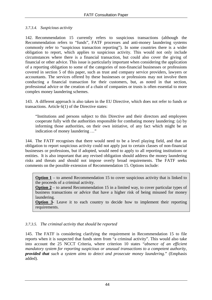#### *3.7.3.4. Suspicious activity*

142. Recommendation 15 currently refers to suspicious transactions (although the Recommendation refers to "funds", FATF processes and anti-money laundering systems commonly refer to "suspicious transaction reporting"). In some countries there is a wider obligation to report, which applies to suspicious activity. This would not only include circumstances where there is a financial transaction, but could also cover the giving of financial or other advice. This issue is particularly important when considering the application of a reporting obligation to some of the categories of non-financial businesses or professions covered in section 5 of this paper, such as trust and company service providers, lawyers or accountants. The services offered by these businesses or professions may not involve them conducting a financial transaction for their customers, but, as noted in that section, professional advice or the creation of a chain of companies or trusts is often essential to more complex money laundering schemes.

143. A different approach is also taken in the EU Directive, which does not refer to funds or transactions. Article 6(1) of the Directive states:

"Institutions and persons subject to this Directive and their directors and employees cooperate fully with the authorities responsible for combating money laundering: (a) by informing those authorities, on their own initiative, of any fact which might be an indication of money laundering …"

144. The FATF recognises that there would need to be a level playing field, and that an obligation to report suspicious activity could not apply just to certain classes of non-financial businesses or professions, but if adopted, would need to apply to all reporting institutions or entities. It is also important that any revised obligation should address the money laundering risks and threats and should not impose overly broad requirements. The FATF seeks comments on the possible extension of Recommendation 15. Options include:

**Option 1** – to amend Recommendation 15 to cover suspicious activity that is linked to the proceeds of a criminal activity.

**Option 2** – to amend Recommendation 15 in a limited way, to cover particular types of business transactions or advice that have a higher risk of being misused for money laundering.

**Option 3-** Leave it to each country to decide how to implement their reporting requirements.

#### *3.7.3.5. The criminal activity that should be reported*

145. The FATF is considering clarifying the requirement in Recommendation 15 to file reports when it is suspected that funds stem from "a criminal activity". This would also take into account the 25 NCCT Criteria, where criterion 10 states "*absence of an efficient mandatory system for reporting suspicious or unusual transactions to a competent authority, provided that such a system aims to detect and prosecute money laundering.*" (Emphasis added).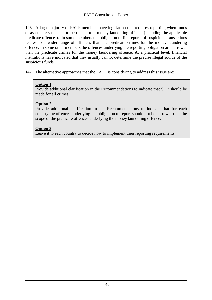146. A large majority of FATF members have legislation that requires reporting when funds or assets are suspected to be related to a money laundering offence (including the applicable predicate offences). In some members the obligation to file reports of suspicious transactions relates to a wider range of offences than the predicate crimes for the money laundering offence. In some other members the offences underlying the reporting obligation are narrower than the predicate crimes for the money laundering offence. At a practical level, financial institutions have indicated that they usually cannot determine the precise illegal source of the suspicious funds.

147. The alternative approaches that the FATF is considering to address this issue are:

## **Option 1**

Provide additional clarification in the Recommendations to indicate that STR should be made for all crimes.

## **Option 2**

Provide additional clarification in the Recommendations to indicate that for each country the offences underlying the obligation to report should not be narrower than the scope of the predicate offences underlying the money laundering offence.

## **Option 3**

Leave it to each country to decide how to implement their reporting requirements.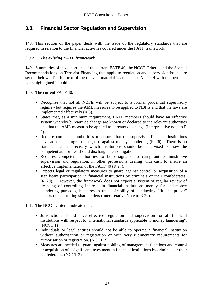# **3.8. Financial Sector Regulation and Supervision**

148. This section of the paper deals with the issue of the regulatory standards that are required in relation to the financial activities covered under the FATF framework.

## *3.8.2. The existing FATF framework*

149. Summaries of those portions of the current FATF 40, the NCCT Criteria and the Special Recommendations on Terrorist Financing that apply to regulation and supervision issues are set out below. The full text of the relevant material is attached at Annex 4 with the pertinent parts highlighted in bold.

150. The current FATF 40:

- Recognise that not all NBFIs will be subject to a formal prudential supervisory regime - but requires the AML measures to be applied to NBFIs and that the laws are implemented effectively (R 8).
- States that, as a minimum requirement, FATF members should have an effective system whereby bureaux de change are known or declared to the relevant authorities and that the AML measures be applied to bureaux de change (Interpretative note to R 9).
- Require competent authorities to ensure that the supervised financial institutions have adequate programs to guard against money laundering (R 26). There is no statement about precisely which institutions should be supervised or how the competent authorities should discharge their obligation.
- Requires competent authorities to be designated to carry out administrative supervision and regulation, in other professions dealing with cash to ensure an effective implementation of the FATF 40 (R 27).
- Expects legal or regulatory measures to guard against control or acquisition of a significant participation in financial institutions by criminals or their confederates' (R 29). However, the framework does not expect a system of regular review of licensing of controlling interests in financial institutions merely for anti-money laundering purposes, but stresses the desirability of conducting "fit and proper" checks on controlling shareholders (Interpretative Note to R 29).
- 151. The NCCT Criteria indicate that:
	- Jurisdictions should have effective regulation and supervision for all financial institutions with respect to "international standards applicable to money laundering". (NCCT 1)
	- Individuals or legal entities should not be able to operate a financial institution without authorisation or registration or with very rudimentary requirements for authorisation or registration. (NCCT 2)
	- Measures are needed to guard against holding of management functions and control or acquisition of a significant investment in financial institutions by criminals or their confederates. (NCCT 3)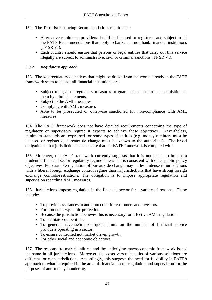- 152. The Terrorist Financing Recommendations require that:
	- Alternative remittance providers should be licensed or registered and subject to all the FATF Recommendations that apply to banks and non-bank financial institutions (TF SR VI).
	- Each country should ensure that persons or legal entities that carry out this service illegally are subject to administrative, civil or criminal sanctions (TF SR VI).

#### *3.8.2. Regulatory approach*

153. The key regulatory objectives that might be drawn from the words already in the FATF framework seem to be that all financial institutions are:

- Subject to legal or regulatory measures to guard against control or acquisition of them by criminal elements.
- Subject to the AML measures.
- Complying with AML measures
- Able to be prosecuted or otherwise sanctioned for non-compliance with AML measures.

154. The FATF framework does not have detailed requirements concerning the type of regulatory or supervisory regime it expects to achieve these objectives. Nevertheless, minimum standards are expressed for some types of entities (e.g. money remitters must be licensed or registered, bureaux de change must be known to the authorities). The broad obligation is that jurisdictions must ensure that the FATF framework is complied with.

155. Moreover, the FATF framework currently suggests that it is not meant to impose a prudential financial sector regulatory regime unless that is consistent with other public policy objectives. For example regulation of bureaux de change may be less intense in jurisdictions with a liberal foreign exchange control regime than in jurisdictions that have strong foreign exchange controls/restrictions. The obligation is to impose appropriate regulation and supervision regarding AML measures.

156. Jurisdictions impose regulation in the financial sector for a variety of reasons. These include:

- To provide assurances to and protection for customers and investors.
- For prudential/systemic protection.
- Because the jurisdiction believes this is necessary for effective AML regulation.
- To facilitate competition.
- To generate revenue/impose quota limits on the number of financial service providers operating in a sector.
- To ensure controlled not market driven growth.
- For other social and economic objectives.

157. The response to market failures and the underlying macroeconomic framework is not the same in all jurisdictions. Moreover, the costs versus benefits of various solutions are different for each jurisdiction. Accordingly, this suggests the need for flexibility in FATF's approach to what is required in the area of financial sector regulation and supervision for the purposes of anti-money laundering.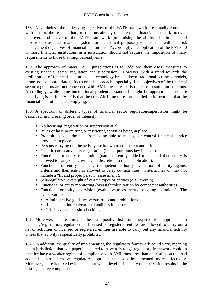158. Nevertheless, the underlying objectives of the FATF framework are broadly consistent with most of the reasons that jurisdictions already regulate their financial sector. Moreover, the overall objective of the FATF framework (minimising the ability of criminals and terrorists to use the financial system for their illicit purposes) is consistent with the risk management objectives of financial institutions. Accordingly, the application of the FATF 40 to most financial institutions in a jurisdiction should not require the imposition of many requirements to those that might already exist.

159. The approach of many FATF jurisdictions is to "add on" their AML measures to existing financial sector regulation and supervision. However, with a trend towards the proliferation of financial institutions as technology breaks down traditional business models, it may not be appropriate to focus on this approach, especially if the objectives of the financial sector regulators are not concerned with AML measures as is the case in some jurisdictions. Accordingly, while some international prudential standards might be appropriate, the core underlying issue for FATF is that the core AML measures are applied to it/them and that the financial institutions are complying.

160. A spectrum of different types of financial sector regulation/supervision might be described, in increasing order of intensity:

- No licensing, registration or supervision at all.
- Rules or laws permitting or restricting activities being in place.
- Prohibitions on criminals from being able to manage or control financial service providers in place.
- Persons carrying out the activity are known to competent authorities.
- Generic corporate/entity registration (i.e. corporations law in place).
- Functional or entity registration (name of entity added to list and then entity is allowed to carry out activities, no discretion to reject application).
- Functional or entity licensing (competent authority evaluation of entity against criteria and then entity is allowed to carry out activities. Criteria may or may not include a "fit and proper person" assessment.).
- Self-regulatory oversight of certain types of entities (e.g. lawyers).
- Functional or entity monitoring (oversight/observation by competent authorities).
- Functional or entity supervision (evaluative assessment of ongoing operations). The extent varies:
	- Administrative guidance versus rules and prohibitions.
	- Reliance on internal/external auditors for assurances.
	- Off site versus on-site checking.

161. Moreover, there might be a positive-list or negative-list approach to licensing/registration/regulation i.e. licensed or registered entities are allowed to carry out a list of activities or licensed or registered entities are able to carry out any financial activity unless that activity is specifically prohibited.

162. In addition, the quality of implementing the regulatory framework could vary, meaning that a jurisdiction that "on paper" appeared to have a "strong" regulatory framework could in practice have a weaker regime of compliance with AML measures than a jurisdiction that had adopted a less intensive regulatory approach that was implemented more effectively. Moreover, there is mixed evidence about which level of intensity of supervision results in the best legislative compliance.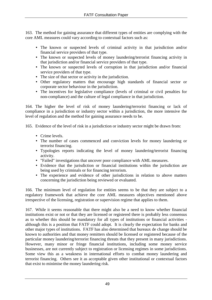163. The method for gaining assurance that different types of entities are complying with the core AML measures could vary according to contextual factors such as:

- The known or suspected levels of criminal activity in that jurisdiction and/or financial service providers of that type.
- The known or suspected levels of money laundering/terrorist financing activity in that jurisdiction and/or financial service providers of that type.
- The known or suspected levels of corruption in that jurisdiction and/or financial service providers of that type.
- The size of that sector or activity in the jurisdiction.
- Other regulatory matters that encourage high standards of financial sector or corporate sector behaviour in the jurisdiction.
- The incentives for legislative compliance (levels of criminal or civil penalties for non-compliance) and the culture of legal compliance in that jurisdiction.

164. The higher the level of risk of money laundering/terrorist financing or lack of compliance in a jurisdiction or industry sector within a jurisdiction, the more intensive the level of regulation and the method for gaining assurance needs to be.

165. Evidence of the level of risk in a jurisdiction or industry sector might be drawn from:

- Crime levels.
- The number of cases commenced and conviction levels for money laundering or terrorist financing.
- Typologies reports indicating the level of money laundering/terrorist financing activity.
- "Failed" investigations that uncover poor compliance with AML measures.
- Evidence that the jurisdiction or financial institutions within the jurisdiction are being used by criminals or for financing terrorism.
- The experience and evidence of other jurisdictions in relation to above matters concerning the jurisdiction being reviewed or evaluated.

166. The minimum level of regulation for entities seems to be that they are subject to a regulatory framework that achieve the core AML measures objectives mentioned above irrespective of the licensing, registration or supervision regime that applies to them.

167. While it seems reasonable that there might also be a need to know whether financial institutions exist or not or that they are licensed or registered there is probably less consensus as to whether this should be mandatory for all types of institutions or financial activities although this is a position that FATF could adopt. It is clearly the expectation for banks and other major types of institutions. FATF has also determined that bureaux de change should be known to authorities and that money remitters should be licensed or registered because of the particular money laundering/terrorist financing threats that they present in many jurisdictions. However, many minor or fringe financial institutions, including some money service businesses, are not currently subject to registration or licensing regimes in some jurisdictions. Some view this as a weakness in international efforts to combat money laundering and terrorist financing. Others see it as acceptable given other institutional or contextual factors that exist to minimise the money laundering risk.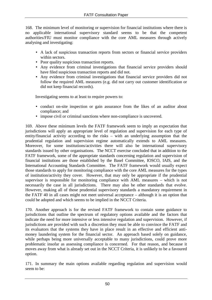168. The minimum level of monitoring or supervision for financial institutions where there is no applicable international supervisory standard seems to be that the competent authorities/FIU must monitor compliance with the core AML measures through actively analysing and investigating:

- A lack of suspicious transaction reports from sectors or financial service providers within sectors.
- Poor quality suspicious transaction reports.
- Any evidence from criminal investigations that financial service providers should have filed suspicious transaction reports and did not.
- Any evidence from criminal investigations that financial service providers did not follow the required AML measures (e.g. did not carry out customer identification or did not keep financial records).

Investigating seems to at least to require powers to:

- conduct on-site inspection or gain assurance from the likes of an auditor about compliance; and
- impose civil or criminal sanctions where non-compliance is uncovered.

169. Above these minimum levels the FATF framework seem to imply an expectation that jurisdictions will apply an appropriate level of regulation and supervision for each type of entity/financial activity according to the risks – with an underlying assumption that the prudential regulation and supervision regime automatically extends to AML measures. Moreover, for some institutions/activities there will also be international supervisory standards issued by other organisations. The NCCT exercise concluded that in addition to the FATF framework, some of the appropriate standards concerning regulation and supervision of financial institutions are those established by the Basel Committee, IOSCO, IAIS, and the International Accounting Standards Committee. The FATF framework would usually expect those standards to apply for monitoring compliance with the core AML measures for the types of institution/activity they cover. However, that may only be appropriate if the prudential supervisor is responsible for monitoring compliance with AML measures – which is not necessarily the case in all jurisdictions. There may also be other standards that evolve. However, making all of those prudential supervisory standards a mandatory requirement in the FATF 40 in all cases might not meet universal acceptance – although it is an option that could be adopted and which seems to be implied in the NCCT Criteria.

170. Another approach is for the revised FATF framework to contain some guidance to jurisdictions that outline the spectrum of regulatory options available and the factors that indicate the need for more intensive or less intensive regulation and supervision. However, if jurisdictions are provided with such a discretion they must be able to convince the FATF and its evaluators that the systems they have in place result in an effective and efficient antimoney laundering system for the financial sector. An approach based solely on guidance, while perhaps being more universally acceptable to many jurisdictions, could prove more problematic insofar as assessing compliance is concerned. For that reason, and because it moves away from what is already set out in the NCCT Criteria, it is unlikely to be a favoured option.

171. In summary the main options available regarding regulation and supervision would seem to be: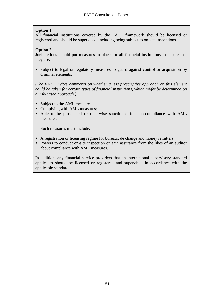## **Option 1**

All financial institutions covered by the FATF framework should be licensed or registered and should be supervised, including being subject to on-site inspections.

## **Option 2**

Jurisdictions should put measures in place for all financial institutions to ensure that they are:

• Subject to legal or regulatory measures to guard against control or acquisition by criminal elements.

*(The FATF invites comments on whether a less prescriptive approach on this element could be taken for certain types of financial institutions, which might be determined on a risk-based approach.)*

- Subject to the AML measures;
- Complying with AML measures;
- Able to be prosecuted or otherwise sanctioned for non-compliance with AML measures.

Such measures must include:

- A registration or licensing regime for bureaux de change and money remitters;
- Powers to conduct on-site inspection or gain assurance from the likes of an auditor about compliance with AML measures.

In addition, any financial service providers that an international supervisory standard applies to should be licensed or registered and supervised in accordance with the applicable standard.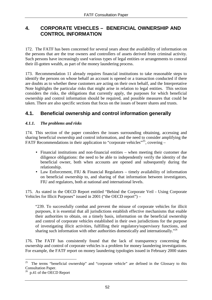## **4. CORPORATE VEHICLES – BENEFICIAL OWNERSHIP AND CONTROL INFORMATION**

172. The FATF has been concerned for several years about the availability of information on the persons that are the true owners and controllers of assets derived from criminal activity. Such persons have increasingly used various types of legal entities or arrangements to conceal their ill-gotten wealth, as part of the money laundering process.

173. Recommendation 11 already requires financial institutions to take reasonable steps to identify the persons on whose behalf an account is opened or a transaction conducted if there are doubts as to whether these customers are acting on their own behalf, and the Interpretative Note highlights the particular risks that might arise in relation to legal entities. This section considers the risks, the obligations that currently apply, the purposes for which beneficial ownership and control information should be required, and possible measures that could be taken. There are also specific sections that focus on the issues of bearer shares and trusts.

# **4.1. Beneficial ownership and control information generally**

## *4.1.1. The problems and risks*

174. This section of the paper considers the issues surrounding obtaining, accessing and sharing beneficial ownership and control information, and the need to consider amplifying the FATF Recommendations in their application to "corporate vehicles"<sup>25</sup>, covering -

- Financial institutions and non-financial entities when meeting their customer due diligence obligations: the need to be able to independently verify the identity of the beneficial owner, both when accounts are opened and subsequently during the relationship.
- Law Enforcement, FIU & Financial Regulators timely availability of information on beneficial ownership to, and sharing of that information between investigators, FIU and regulators, both at national and international levels.

175. As stated in the OECD Report entitled "Behind the Corporate Veil - Using Corporate Vehicles for Illicit Purposes" issued in 2001 ("the OECD report") –

"239. To successfully combat and prevent the misuse of corporate vehicles for illicit purposes, it is essential that all jurisdictions establish effective mechanisms that enable their authorities to obtain, on a timely basis, information on the beneficial ownership and control of corporate vehicles established in their own jurisdictions for the purpose of investigating illicit activities, fulfilling their regulatory/supervisory functions, and sharing such information with other authorities domestically and internationally."26

176. The FATF has consistently found that the lack of transparency concerning the ownership and control of corporate vehicles is a problem for money laundering investigations. For example, the FATF report on money laundering typologies issued in February 2000 states

 $\overline{a}$ 

<sup>&</sup>lt;sup>25</sup> The terms "beneficial ownership" and "corporate vehicle" are defined in the Glossary to this Consultation Paper.

 $26$  p.41 of the OECD Report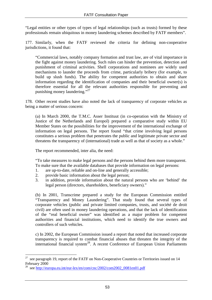"Legal entities or other types of types of legal relationships (such as trusts) formed by these professionals remain ubiquitous in money laundering schemes described by FATF members".

177. Similarly, when the FATF reviewed the criteria for defining non-cooperative jurisdictions, it found that:

"Commercial laws, notably company formation and trust law, are of vital importance in the fight against money laundering. Such rules can hinder the prevention, detection and punishment of criminal activities. Shell corporations and nominees are widely used mechanisms to launder the proceeds from crime, particularly bribery (for example, to build up slush funds). The ability for competent authorities to obtain and share information regarding the identification of companies and their beneficial owner(s) is therefore essential for all the relevant authorities responsible for preventing and punishing money laundering."<sup>27</sup>

178. Other recent studies have also noted the lack of transparency of corporate vehicles as being a matter of serious concern:

(a) In March 2000, the T.M.C. Asser Instituut (in co-operation with the Ministry of Justice of the Netherlands and Europol) prepared a comparative study within EU Member States on the possibilities for the improvement of the international exchange of information on legal persons. The report found "that crime involving legal persons constitutes a serious problem that penetrates the public and legitimate private sector and threatens the transparency of (international) trade as well as that of society as a whole."

The report recommended, inter alia, the need:

"To take measures to make legal persons and the persons behind them more transparent. To make sure that the available databases that provide information on legal persons:

- 1. are up-to-date, reliable and on-line and generally accessible;
- 2. provide basic information about the legal person;
- 3. in addition, provide information about the natural persons who are 'behind' the legal person (directors, shareholders, beneficiary owners)."

(b) In 2001, Transcrime prepared a study for the European Commission entitled "Transparency and Money Laundering". That study found that several types of corporate vehicles (public and private limited companies, trusts, and société de droit civil) are often used in money laundering operations, and that the lack of identification of the "real beneficial owner" was identified as a major problem for competent authorities and financial institutions, which need to identify the true owners and controllers of such vehicles.

c) In 2002, the European Commission issued a report that noted that increased corporate transparency is required to combat financial abuses that threaten the integrity of the international financial system<sup>28</sup>. A recent Conference of European Union Parliaments

 $\overline{a}$ 

see paragraph 19, report of the FATF on Non-Cooperative Countries or Territories issued on 14 February 2000

<sup>28</sup> see http://europa.eu.int/eur-lex/en/com/cnc/2002/com2002\_0081en01.pdf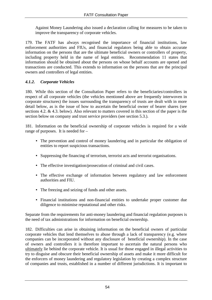Against Money Laundering also issued a declaration calling for measures to be taken to improve the transparency of corporate vehicles.

179. The FATF has always recognised the importance of financial institutions, law enforcement authorities and FIUs, and financial regulators being able to obtain accurate information on the persons that are the ultimate beneficial owners or controllers of property, including property held in the name of legal entities. Recommendation 11 states that information should be obtained about the persons on whose behalf accounts are opened and transactions are conducted. This extends to information on the persons that are the principal owners and controllers of legal entities.

## *4.1.2. Corporate Vehicles*

180. While this section of the Consultation Paper refers to the beneficiaries/controllers in respect of all corporate vehicles (the vehicles mentioned above are frequently interwoven in corporate structures) the issues surrounding the transparency of trusts are dealt with in more detail below, as is the issue of how to ascertain the beneficial owner of bearer shares (see sections 4.2. & 4.3. below). Also relevant to matters covered in this section of the paper is the section below on company and trust service providers (see section 5.3.).

181. Information on the beneficial ownership of corporate vehicles is required for a wide range of purposes. It is needed for –

- The prevention and control of money laundering and in particular the obligation of entities to report suspicious transactions.
- Suppressing the financing of terrorism, terrorist acts and terrorist organisations.
- The effective investigation/prosecution of criminal and civil cases.
- The effective exchange of information between regulatory and law enforcement authorities and FIU.
- The freezing and seizing of funds and other assets.
- Financial institutions and non-financial entities to undertake proper customer due diligence to minimise reputational and other risks.

Separate from the requirements for anti-money laundering and financial regulation purposes is the need of tax administrations for information on beneficial ownership.

182. Difficulties can arise in obtaining information on the beneficial owners of particular corporate vehicles that lend themselves to abuse through a lack of transparency (e.g. where companies can be incorporated without any disclosure of beneficial ownership). In the case of owners and controllers it is therefore important to ascertain the natural persons who ultimately lie behind the corporate vehicle. It is usual for those engaged in illegal activities to try to disguise and obscure their beneficial ownership of assets and make it more difficult for the enforcers of money laundering and regulatory legislation by creating a complex structure of companies and trusts, established in a number of different jurisdictions. It is important to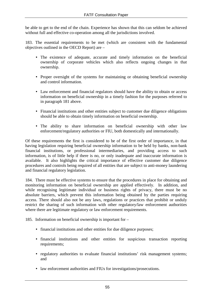be able to get to the end of the chain. Experience has shown that this can seldom be achieved without full and effective co-operation among all the jurisdictions involved.

183. The essential requirements to be met (which are consistent with the fundamental objectives outlined in the OECD Report) are –

- The existence of adequate, accurate and timely information on the beneficial ownership of corporate vehicles which also reflects ongoing changes in that ownership.
- Proper oversight of the systems for maintaining or obtaining beneficial ownership and control information.
- Law enforcement and financial regulators should have the ability to obtain or access information on beneficial ownership in a timely fashion for the purposes referred to in paragraph 181 above.
- Financial institutions and other entities subject to customer due diligence obligations should be able to obtain timely information on beneficial ownership.
- The ability to share information on beneficial ownership with other law enforcement/regulatory authorities or FIU, both domestically and internationally.

Of these requirements the first is considered to be of the first order of importance, in that having legislation requiring beneficial ownership information to be held by banks, non-bank financial institutions, or professional intermediaries, and providing access to such information, is of little help if there is no, or only inadequate and inaccurate information is available. It also highlights the critical importance of effective customer due diligence procedures and controls being required of all entities that are subject to anti-money laundering and financial regulatory legislation.

184. There must be effective systems to ensure that the procedures in place for obtaining and monitoring information on beneficial ownership are applied effectively. In addition, and while recognising legitimate individual or business rights of privacy, there must be no absolute barriers, which prevent this information being obtained by the parties requiring access. There should also not be any laws, regulations or practices that prohibit or unduly restrict the sharing of such information with other regulatory/law enforcement authorities where there are legitimate regulatory or law enforcement requirements.

185. Information on beneficial ownership is important for –

- financial institutions and other entities for due diligence purposes;
- financial institutions and other entities for suspicious transaction reporting requirements:
- regulatory authorities to evaluate financial institutions' risk management systems; and
- law enforcement authorities and FIUs for investigations/prosecutions.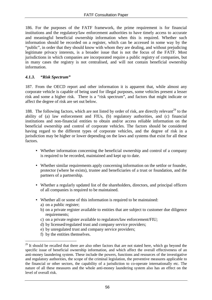186. For the purposes of the FATF framework, the prime requirement is for financial institutions and the regulatory/law enforcement authorities to have timely access to accurate and meaningful beneficial ownership information when this is required. Whether such information should be recorded on a register, which can be accessed in some way by the "public", in order that they should know with whom they are dealing, and without prejudicing legitimate privacy interests, is a broader issue that is not the focus of the FATF. Most jurisdictions in which companies are incorporated require a public registry of companies, but in many cases the registry is not centralised, and will not contain beneficial ownership information.

## *4.1.3. "Risk Spectrum"*

187. From the OECD report and other information it is apparent that, while almost any corporate vehicle is capable of being used for illegal purposes, some vehicles present a lesser risk and some a higher risk. There is a "risk spectrum", and factors that might indicate or affect the degree of risk are set out below.

188. The following factors, which are not listed by order of risk, are directly relevant<sup>29</sup> to the ability of (a) law enforcement and FIUs, (b) regulatory authorities, and (c) financial institutions and non-financial entities to obtain and/or access reliable information on the beneficial ownership and control of corporate vehicles. The factors should be considered having regard to the different types of corporate vehicles, and the degree of risk in a jurisdiction may be higher or lower depending on the laws and systems that exist for all these factors.

- Whether information concerning the beneficial ownership and control of a company is required to be recorded, maintained and kept up to date.
- Whether similar requirements apply concerning information on the settlor or founder, protector (where he exists), trustee and beneficiaries of a trust or foundation, and the partners of a partnership.
- Whether a regularly updated list of the shareholders, directors, and principal officers of all companies is required to be maintained.
- Whether all or some of this information is required to be maintained:
	- a) on a public register;
	- b) on a private register available to entities that are subject to customer due diligence requirements;
	- c) on a private register available to regulators/law enforcement/FIU;
	- d) by licensed/regulated trust and company service providers;
	- e) by unregulated trust and company service providers;
	- f) by the entities themselves.

 $\overline{a}$ 

<sup>&</sup>lt;sup>29</sup> It should be recalled that there are also other factors that are not stated here, which go beyond the specific issue of beneficial ownership information, and which affect the overall effectiveness of an anti-money laundering system. These include the powers, functions and resources of the investigative and regulatory authorities, the scope of the criminal legislation, the preventive measures applicable to the financial or other sectors, the capability of a jurisdiction to co-operate internationally etc. The nature of all these measures and the whole anti-money laundering system also has an effect on the level of overall risk.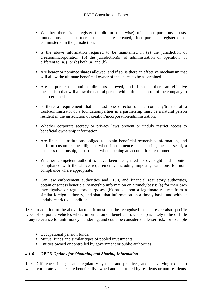- Whether there is a register (public or otherwise) of the corporations, trusts, foundations and partnerships that are created, incorporated, registered or administered in the jurisdiction.
- Is the above information required to be maintained in (a) the jurisdiction of creation/incorporation, (b) the jurisdiction(s) of administration or operation {if different to  $(a)$ , or  $(c)$  both  $(a)$  and  $(b)$ .
- Are bearer or nominee shares allowed, and if so, is there an effective mechanism that will allow the ultimate beneficial owner of the shares to be ascertained.
- Are corporate or nominee directors allowed, and if so, is there an effective mechanism that will allow the natural person with ultimate control of the company to be ascertained.
- Is there a requirement that at least one director of the company/trustee of a trust/administrator of a foundation/partner in a partnership must be a natural person resident in the jurisdiction of creation/incorporation/administration.
- Whether corporate secrecy or privacy laws prevent or unduly restrict access to beneficial ownership information.
- Are financial institutions obliged to obtain beneficial ownership information, and perform customer due diligence when it commences, and during the course of, a business relationship, in particular when opening an account for a customer.
- Whether competent authorities have been designated to oversight and monitor compliance with the above requirements, including imposing sanctions for noncompliance where appropriate.
- Can law enforcement authorities and FIUs, and financial regulatory authorities, obtain or access beneficial ownership information on a timely basis: (a) for their own investigative or regulatory purposes, (b) based upon a legitimate request from a similar foreign authority, and share that information on a timely basis, and without unduly restrictive conditions.

189. In addition to the above factors, it must also be recognised that there are also specific types of corporate vehicles where information on beneficial ownership is likely to be of little if any relevance for anti-money laundering, and could be considered a lesser risk; for example -

- Occupational pension funds.
- Mutual funds and similar types of pooled investments.
- Entities owned or controlled by government or public authorities.

## *4.1.4. OECD Options for Obtaining and Sharing Information*

190. Differences in legal and regulatory systems and practices, and the varying extent to which corporate vehicles are beneficially owned and controlled by residents or non-residents,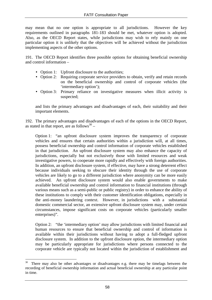may mean that no one option is appropriate to all jurisdictions. However the key requirements outlined in paragraphs 181-183 should be met, whatever option is adopted. Also, as the OECD Report states, while jurisdictions may wish to rely mainly on one particular option it is unlikely that the objectives will be achieved without the jurisdiction implementing aspects of the other options.

191. The OECD Report identifies three possible options for obtaining beneficial ownership and control information –

- Option 1: Upfront disclosure to the authorities;
- Option 2: Requiring corporate service providers to obtain, verify and retain records on the beneficial ownership and control of corporate vehicles (the 'intermediary option');
- Option 3: Primary reliance on investigative measures when illicit activity is suspected;

and lists the primary advantages and disadvantages of each, their suitability and their important elements.

192. The primary advantages and disadvantages of each of the options in the OECD Report, as stated in that report, are as follows $30 -$ 

Option 1: "an upfront disclosure system improves the transparency of corporate vehicles and ensures that certain authorities within a jurisdiction will, at all times, possess beneficial ownership and control information of corporate vehicles established in that jurisdiction. An upfront disclosure system may also enhance the capacity of jurisdictions, especially but not exclusively those with limited resources and weak investigative powers, to cooperate more rapidly and effectively with foreign authorities. In addition, an upfront disclosure system, if effective, may have a strong deterrent effect because individuals seeking to obscure their identity through the use of corporate vehicles are likely to go to a different jurisdiction where anonymity can be more easily achieved. An upfront disclosure system would also enable governments to make available beneficial ownership and control information to financial institutions (through various means such as a semi-public or public registry) in order to enhance the ability of these institutions to comply with their customer identification obligations, especially in the anti-money laundering context. However, in jurisdictions with a substantial domestic commercial sector, an extensive upfront disclosure system may, under certain circumstances, impose significant costs on corporate vehicles (particularly smaller enterprises)".

Option 2: "the 'intermediary option' may allow jurisdictions with limited financial and human resources to ensure that beneficial ownership and control of information is available within their jurisdictions without having to adopt a full-fledged upfront disclosure system. In addition to the upfront disclosure option, the intermediary option may be particularly appropriate for jurisdictions where persons connected to the corporate vehicle are typically not located within the jurisdiction of establishment and

 $\overline{a}$ There may also be other advantages or disadvantages e.g. there may be timelags between the recording of beneficial ownership information and actual beneficial ownership at any particular point in time.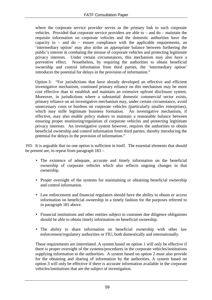where the corporate service provider serves as the primary link to such corporate vehicles. Provided that corporate service providers are able to – and do – maintain the requisite information on corporate vehicles and the domestic authorities have the capacity to – and do – ensure compliance with the applicable requirements, an 'intermediary option' may also strike an appropriate balance between furthering the public's interest in combating the misuse of corporate vehicles and protecting legitimate privacy interests. Under certain circumstances, this mechanism may also have a preventive effect. Nonetheless, by requiring the authorities to obtain beneficial ownership and control information from third parties, the 'intermediary option' introduces the potential for delays in the provision of information."

Option 3: "For jurisdictions that have already developed an effective and efficient investigative mechanism, continued primary reliance on this mechanism may be more cost effective than to establish and maintain an extensive upfront disclosure system. Moreover, in jurisdictions where a substantial domestic commercial sector exists, primary reliance on an investigative mechanism may, under certain circumstance, avoid unnecessary costs or burdens on corporate vehicles (particularly smaller enterprises), which may stifle legitimate business formation. An investigative mechanism, if effective, may also enable policy makers to maintain a reasonable balance between ensuring proper monitoring/regulation of corporate vehicles and protecting legitimate privacy interests. An investigative system however, requires the authorities to obtain beneficial ownership and control information from third parties, thereby introducing the potential for delays in the provision of information."

193. It is arguable that no one option is sufficient in itself. The essential elements that should be present are, to repeat from paragraph 183 –

- The existence of adequate, accurate and timely information on the beneficial ownership of corporate vehicles which also reflects ongoing changes in that ownership.
- Proper oversight of the systems for maintaining or obtaining beneficial ownership and control information.
- Law enforcement and financial regulators should have the ability to obtain or access information on beneficial ownership in a timely fashion for the purposes referred to in paragraph 181 above.
- Financial institutions and other entities subject to customer due diligence obligations should be able to obtain timely information on beneficial ownership.
- The ability to share information on beneficial ownership with other law enforcement/regulatory authorities or FIU, both domestically and internationally.

These requirements are interrelated. A system based on option 1 will only be effective if there is proper oversight of the systems/procedures in the corporate vehicles/institutions supplying information to the authorities. A system based on option 2 must also provide for the obtaining and sharing of information by the authorities. A system based on option 3 will only be effective if there is accurate information available in the corporate vehicles/institutions that are the subject of investigation.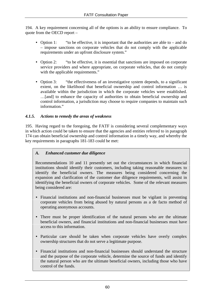194. A key requirement concerning all of the options is an ability to ensure compliance. To quote from the OECD report –

- Option 1: "to be effective, it is important that the authorities are able to and do – impose sanctions on corporate vehicles that do not comply with the applicable requirements under an upfront disclosure system."
- Option 2: "to be effective, it is essential that sanctions are imposed on corporate service providers and where appropriate, on corporate vehicles, that do not comply with the applicable requirements."
- Option 3: "the effectiveness of an investigative system depends, to a significant extent, on the likelihood that beneficial ownership and control information … is available within the jurisdiction in which the corporate vehicles were established. …[and] to enhance the capacity of authorities to obtain beneficial ownership and control information, a jurisdiction may choose to require companies to maintain such information."

## *4.1.5. Actions to remedy the areas of weakness*

195. Having regard to the foregoing, the FATF is considering several complementary ways in which action could be taken to ensure that the agencies and entities referred to in paragraph 174 can obtain beneficial ownership and control information in a timely way, and whereby the key requirements in paragraphs 181-183 could be met:

## *A. Enhanced customer due diligence*

Recommendations 10 and 11 presently set out the circumstances in which financial institutions should identify their customers, including taking reasonable measures to identify the beneficial owners. The measures being considered concerning the expansion and clarification of the customer due diligence requirements, will assist in identifying the beneficial owners of corporate vehicles. Some of the relevant measures being considered are:

- Financial institutions and non-financial businesses must be vigilant in preventing corporate vehicles from being abused by natural persons as a de facto method of operating anonymous accounts.
- There must be proper identification of the natural persons who are the ultimate beneficial owners, and financial institutions and non-financial businesses must have access to this information.
- Particular care should be taken when corporate vehicles have overly complex ownership structures that do not serve a legitimate purpose.
- Financial institutions and non-financial businesses should understand the structure and the purpose of the corporate vehicle, determine the source of funds and identify the natural person who are the ultimate beneficial owners, including those who have control of the funds.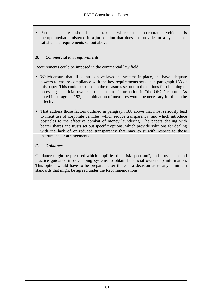• Particular care should be taken where the corporate vehicle is incorporated/administered in a jurisdiction that does not provide for a system that satisfies the requirements set out above.

## *B. Commercial law requirements*

Requirements could be imposed in the commercial law field:

- Which ensure that all countries have laws and systems in place, and have adequate powers to ensure compliance with the key requirements set out in paragraph 183 of this paper. This could be based on the measures set out in the options for obtaining or accessing beneficial ownership and control information in "the OECD report". As noted in paragraph 193, a combination of measures would be necessary for this to be effective.
- That address those factors outlined in paragraph 188 above that most seriously lead to illicit use of corporate vehicles, which reduce transparency, and which introduce obstacles to the effective combat of money laundering. The papers dealing with bearer shares and trusts set out specific options, which provide solutions for dealing with the lack of or reduced transparency that may exist with respect to those instruments or arrangements.

#### *C. Guidance*

Guidance might be prepared which amplifies the "risk spectrum", and provides sound practice guidance in developing systems to obtain beneficial ownership information. This option would have to be prepared after there is a decision as to any minimum standards that might be agreed under the Recommendations.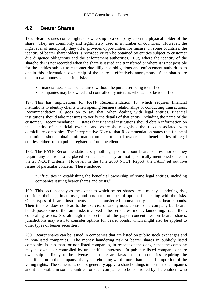## **4.2. Bearer Shares**

196. Bearer shares confer rights of ownership to a company upon the physical holder of the share. They are commonly and legitimately used in a number of countries. However, the high level of anonymity they offer provides opportunities for misuse. In some countries, the identity of bearer shareholders is recorded or can be obtained by entities subject to customer due diligence obligations and the enforcement authorities. But, where the identity of the shareholder is not recorded when the share is issued and transferred or where it is not possible for the entities subject to customer due diligence obligations and enforcement authorities to obtain this information, ownership of the share is effectively anonymous. Such shares are open to two money laundering risks:

- financial assets can be acquired without the purchaser being identified;
- companies may be owned and controlled by interests who cannot be identified.

197. This has implications for FATF Recommendation 10, which requires financial institutions to identify clients when opening business relationships or conducting transactions. Recommendation 10 goes on to say that, when dealing with legal entities, financial institutions should take measures to verify the details of that entity, including the name of the customer. Recommendation 11 states that financial institutions should obtain information on the identity of beneficial owners, and expressly recognises the risks associated with domiciliary companies. The Interpretative Note to that Recommendation states that financial institutions should obtain information on the principal owners and beneficiaries of legal entities, either from a public register or from the client.

198. The FATF Recommendations say nothing specific about bearer shares, nor do they require any controls to be placed on their use. They are not specifically mentioned either in the 25 NCCT Criteria. However, in the June 2000 NCCT Report, the FATF set out five issues of particular concern. These included:

"Difficulties in establishing the beneficial ownership of some legal entities, including companies issuing bearer shares and trusts."

199. This section analyses the extent to which bearer shares are a money laundering risk, considers their legitimate uses, and sets out a number of options for dealing with the risks. Other types of bearer instruments can be transferred anonymously, such as bearer bonds. Their transfer does not lead to the exercise of anonymous control of a company but bearer bonds pose some of the same risks involved in bearer shares: money laundering, fraud, theft, concealing assets. So, although this section of the paper concentrates on bearer shares, jurisdictions may wish to consider options for bearer bonds, which might also be applied to other types of bearer securities.

200. Bearer shares can be issued in companies that are listed on public stock exchanges and in non-listed companies. The money laundering risk of bearer shares in publicly listed companies is less than for non-listed companies, in respect of the danger that the company may be owned or controlled by unidentified interests. In publicly listed companies share ownership is likely to be diverse and there are laws in most countries requiring the identification to the company of any shareholding worth more than a small proportion of the voting rights. The same rules do not generally apply to shareholdings in non-listed companies and it is possible in some countries for such companies to be controlled by shareholders who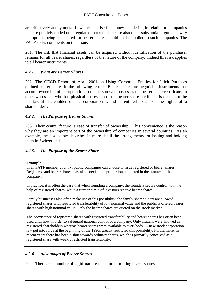are effectively anonymous. Lower risks arise for money laundering in relation to companies that are publicly traded on a regulated market. There are also other substantial arguments why the options being considered for bearer shares should not be applied to such companies. The FATF seeks comments on this issue.

201. The risk that financial assets can be acquired without identification of the purchaser remains for all bearer shares, regardless of the nature of the company. Indeed this risk applies to all bearer instruments.

## *4.2.1. What are Bearer Shares*

202. The OECD Report of April 2001 on Using Corporate Entities for Illicit Purposes defined bearer shares in the following terms: "Bearer shares are negotiable instruments that accord ownership of a corporation to the person who possesses the bearer share certificate. In other words, the who has physical possession of the bearer share certificate is deemed to be the lawful shareholder of the corporation …and is entitled to all of the rights of a shareholder".

## *4.2.2. The Purpose of Bearer Shares*

203. Their central feature is ease of transfer of ownership. This convenience is the reason why they are an important part of the ownership of companies in several countries. As an example, the box below describes in more detail the arrangements for issuing and holding them in Switzerland.

## *4.2.3. The Purpose of the Bearer Share*

#### **Example:**

In an FATF member country, public companies can choose to issue registered or bearer shares. Registered and bearer shares may also coexist in a proportion stipulated in the statutes of the company.

In practice, it is often the case that when founding a company, the founders secure control with the help of registered shares, while a further circle of investors receive bearer shares.

Family businesses also often make use of this possibility: the family shareholders are allowed registered shares with restricted transferability of low nominal value and the public is offered bearer shares with high nominal value. Only the bearer shares are quoted on the stock market.

The coexistence of registered shares with restricted transferability and bearer shares has often been used until now in order to safeguard national control of a company: Only citizens were allowed as registered shareholders whereas bearer shares were available to everybody. A new stock corporation law put into force at the beginning of the 1990s greatly restricted this possibility. Furthermore, in recent years there has been a shift towards ordinary shares, which is primarily conceived as a registered share with weakly restricted transferability.

## *4.2.4. Advantages of Bearer Shares*

. 204. There are a number of **legitimate** reasons for permitting bearer shares.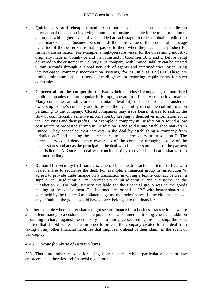- **Quick, easy and cheap control**: A corporate vehicle is formed to handle an international transaction involving a number of business people in the transformation of a product, with higher levels of value added at each stage. In order to obtain credit from their financiers, each business person holds the entire value of the product at that stage by virtue of the bearer share that is passed to them when they accept the product for further transformation. For example, a high-pressure vessel for the oil refining industry, originally made in Country A and then finished in Countries B, C and D before being delivered to the customer in Country E. A company with limited liability can be created within seconds through a global network of agents and intermediaries, often using internet-based company incorporation systems, for as little as US\$100. There are limited minimum capital reserve, due diligence or reporting requirements for such companies.
- **Concern about the competition:** Privately-held or closed companies, or non-listed public companies that are popular in Europe, operate in a fiercely competitive market. Many companies are structured to maintain flexibility in the control and transfer of ownership of one's company and to restrict the availability of commercial information pertaining to the company. Closed companies may issue bearer shares to restrict the flow of commercially sensitive information by keeping to themselves information about their activities and their profits. For example, a company in jurisdiction A found a low cost source of processed shrimp in jurisdiction B and sold it into established markets in Europe. They concealed their interests in the deal by establishing a company from jurisdiction C and handing the bearer shares to an intermediary in jurisdiction D. The intermediary could demonstrate ownership of the company through custody of the bearer shares and act as the principal in the deal with financiers on behalf of the partners in jurisdiction A. Once the deal was concluded they recovered the bearer shares from the intermediary.
- **Demand for security by financiers:** One-off business transactions often use IBCs with bearer shares to securitise the deal. For example, a financial group in jurisdiction W agreed to provide trade finance on a transaction involving a textile contract between a supplier in jurisdiction X, an intermediary in jurisdiction Y and a customer in the jurisdiction Z. The only security available for the financial group was in the goods making up the consignment. The intermediary formed an IBC with bearer shares that were held by the financial as collateral against the trade finance. In the circumstances of any default all the goods would have clearly belonged to the financier.

Another example where bearer shares might secure finance for a business transaction is where a bank lent money to a customer for the purchase of a commercial trading vessel. In addition to seeking a charge against the company and a mortgage secured against the ship, the bank insisted that it hold bearer shares in order to prevent the company created for the deal from taking on any other financial liabilities that might rank ahead of their claim, in the event of bankruptcy.

## *4.2.5. Scope for Abuse of Bearer Shares*

205. There are other reasons for using bearer shares which particularly concern law enforcement authorities and financial regulators: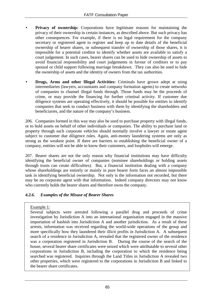- **Privacy of ownership:** Corporations have legitimate reasons for maintaining the privacy of their ownership in certain instances, as described above. But such privacy has other consequences. For example, if there is no legal requirement for the company secretary or registered agent to register and keep up to date details of the beneficial ownership of bearer shares, or subsequent transfer of ownership of those shares, it is impossible for a potential creditor to identify whether assets are available to satisfy a court judgement. In such cases, bearer shares can be used to hide ownership of assets to avoid financial responsibility and court judgements in favour of creditors or to pay spousal or child support following marriage breakdown. They can also be used to hide the ownership of assets and the identity of owners from the tax authorities.
- **Drugs, Arms and other Illegal Activities:** Criminals have grown adept at using intermediaries (lawyers, accountants and company formation agents) to create networks of companies to channel illegal funds through. Those funds may be the proceeds of crime, or may provide the financing for further criminal activity. If customer due diligence systems are operating effectively, it should be possible for entities to identify companies that seek to conduct business with them by identifying the shareholders and beneficiaries, and the nature of the company's business.

206. Companies formed in this way may also be used to purchase property with illegal funds, or to hold assets on behalf of other individuals or companies. The ability to purchase land or property through such corporate vehicles should normally involve a lawyer or estate agent subject to customer due diligence rules. Again, anti-money laundering systems are only as strong as the weakest point. If there are barriers to establishing the beneficial owner of a company, entities will not be able to know their customers, and loopholes will emerge.

207. Bearer shares are not the only reason why financial institutions may have difficulty identifying the beneficial owner of companies (nominee shareholdings or holding assets through trusts can create difficulties). But, a financial institution dealing with a company whose shareholdings are entirely or mainly in pure bearer form faces an almost impossible task in identifying beneficial ownership. Not only is the information not recorded, but there may be no corporate agent with that information. Indeed company directors may not know who currently holds the bearer shares and therefore owns the company.

## *4.2.6. Examples of the Misuse of Bearer Shares*

#### Example 1:

Several subjects were arrested following a parallel drug and proceeds of crime investigation by Jurisdiction A into an international organisation engaged in the massive importation of hashish into Jurisdiction A and another jurisdiction. As a result of these arrests, information was received regarding the world-wide operations of the group and more specifically how they laundered their illicit profits in Jurisdiction A. A subsequent search of a residence in Jurisdiction A, revealed that the registered owner of the residence was a corporation registered in Jurisdiction B. During the course of the search of the house, several bearer share certificates were seized which were attributable to several other corporations in Jurisdiction B, including the corporation to which the residence being searched was registered. Inquiries through the Land Titles in Jurisdiction A revealed two other properties, which were registered to the corporations in Jurisdiction B and linked to the bearer share certificates.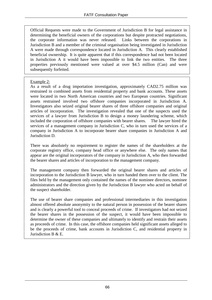Official Requests were made to the Government of Jurisdiction B for legal assistance in determining the beneficial owners of the corporations but despite protracted negotiations, the corporate information was never released. Links between the corporations in Jurisdiction B and a member of the criminal organisation being investigated in Jurisdiction A were made through correspondence located in Jurisdiction A. This clearly established beneficial ownership. It is quite apparent that if this correspondence had not been located in Jurisdiction A it would have been impossible to link the two entities. The three properties previously mentioned were valued at over \$4.5 million (Can) and were subsequently forfeited.

#### Example 2:

As a result of a drug importation investigation, approximately CAD2.75 million was restrained in combined assets from residential property and bank accounts. These assets were located in two North American countries and two European countries. Significant assets restrained involved two offshore companies incorporated in Jurisdiction A. Investigators also seized original bearer shares of three offshore companies and original articles of incorporation. The investigation revealed that one of the suspects used the services of a lawyer from Jurisdiction B to design a money laundering scheme, which included the corporation of offshore companies with bearer shares. The lawyer hired the services of a management company in Jurisdiction C, who in turn used the services of a company in Jurisdiction A to incorporate bearer share companies in Jurisdiction A and Jurisdiction D.

There was absolutely no requirement to register the names of the shareholders at the corporate registry office, company head office or anywhere else. The only names that appear are the original incorporators of the company in Jurisdiction A, who then forwarded the bearer shares and articles of incorporation to the management company.

The management company then forwarded the original bearer shares and articles of incorporation to the Jurisdiction B lawyer, who in turn handed them over to the client. The files held by the management only contained the names of the nominee directors, nominee administrators and the direction given by the Jurisdiction B lawyer who acted on behalf of the suspect shareholder.

The use of bearer share companies and professional intermediaries in this investigation almost offered absolute anonymity to the natural person in possession of the bearer shares and is clearly a powerful tool to conceal proceeds of crime. If investigators had not seized the bearer shares in the possession of the suspect, it would have been impossible to determine the owner of these companies and ultimately to identify and restrain their assets as proceeds of crime. In this case, the offshore companies held significant assets alleged to be the proceeds of crime, bank accounts in Jurisdiction C, and residential property in Jurisdiction B & E.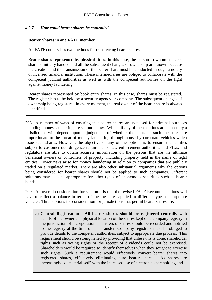## *4.2.7. How could bearer shares be controlled*

#### **Bearer Shares in one FATF member**

An FATF country has two methods for transferring bearer shares:

Bearer shares represented by physical titles. In this case, the person to whom a bearer share is initially handed and all the subsequent changes of ownership are known because the creation and the transmission of the bearer share must be conducted through a notary or licensed financial institution. These intermediaries are obliged to collaborate with the competent judicial authorities as well as with the competent authorities on the fight against money laundering.

Bearer shares represented by book entry shares. In this case, shares must be registered. The register has to be held by a security agency or company. The subsequent changes of ownership being registered in every moment, the real owner of the bearer share is always identified.

208. A number of ways of ensuring that bearer shares are not used for criminal purposes including money laundering are set out below. Which, if any of these options are chosen by a jurisdiction, will depend upon a judgement of whether the costs of such measures are proportionate to the threat of money laundering through abuse by corporate vehicles which issue such shares. However, the objective of any of the options is to ensure that entities subject to customer due diligence requirements, law enforcement authorities and FIUs, and regulators are able to obtain accurate information on the persons that are the ultimate beneficial owners or controllers of property, including property held in the name of legal entities. Lower risks arise for money laundering in relation to companies that are publicly traded on a regulated market. There are also other substantial arguments why the options being considered for bearer shares should not be applied to such companies. Different solutions may also be appropriate for other types of anonymous securities such as bearer bonds.

209. An overall consideration for section 4 is that the revised FATF Recommendations will have to reflect a balance in terms of the measures applied to different types of corporate vehicles. Three options for consideration for jurisdictions that permit bearer shares are:

a) **Central Registration - All bearer shares should be registered centrally** with details of the owner and physical location of the shares kept on a company registry in the jurisdiction of incorporation. Transfers of shares should be recorded and notified to the registry at the time of that transfer. Company registrars must be obliged to provide details to the competent authorities, subject to appropriate due process. This requirement should be strengthened by providing that unless this is done, shareholder rights such as voting rights or the receipt of dividends could not be exercised. Shareholders would be required to identify themselves when they sought to exercise such rights. Such a requirement would effectively convert bearer shares into registered shares, effectively eliminating pure bearer shares. As shares are increasingly "dematerialised" with the increased use of electronic shareholding and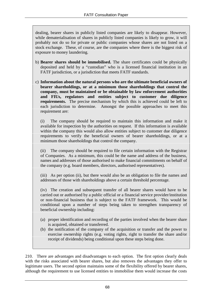dealing, bearer shares in publicly listed companies are likely to disappear. However, while dematerialisation of shares in publicly listed companies is likely to grow, it will probably not do so for private or public companies whose shares are not listed on a stock exchange. These, of course, are the companies where there is the biggest risk of exposure to money laundering.

- b) **Bearer shares should be immobilised.** The share certificates could be physically deposited and held by a "custodian" who is a licensed financial institution in an FATF jurisdiction, or a jurisdiction that meets FATF standards.
- c) **Information about the natural persons who are the ultimate beneficial owners of bearer shareholdings, or at a minimum those shareholdings that control the company, must be maintained or be obtainable by law enforcement authorities and FIUs, regulators and entities subject to customer due diligence requirements.** The precise mechanism by which this is achieved could be left to each jurisdiction to determine. Amongst the possible approaches to meet this requirement are:

(i) The company should be required to maintain this information and make it available for inspection by the authorities on request. If this information is available within the company this would also allow entities subject to customer due diligence requirements to verify the beneficial owners of bearer shareholdings, or at a minimum those shareholdings that control the company.

(ii) The company should be required to file certain information with the Registrar of Companies. As a minimum, this could be the name and address of the business, names and addresses of those authorised to make financial commitments on behalf of the company (e.g. board members, directors, authorised representatives).

(iii) As per option (ii), but there would also be an obligation to file the names and addresses of those with shareholdings above a certain threshold percentage.

(iv) The creation and subsequent transfer of all bearer shares would have to be carried out or authorised by a public official or a financial service provider/institution or non-financial business that is subject to the FATF framework. This would be conditional upon a number of steps being taken to strengthen transparency of beneficial ownership including:

- (a) proper identification and recording of the parties involved when the bearer share is acquired, obtained or transferred.
- (b) the notification of the company of the acquisition or transfer and the power to exercise ownership rights (e.g. voting rights, right to transfer the share and/or receipt of dividends) being conditional upon these steps being done.

210. There are advantages and disadvantages to each option. The first option clearly deals with the risks associated with bearer shares, but also removes the advantages they offer to legitimate users. The second option maintains some of the flexibility offered by bearer shares, although the requirement to use licensed entities to immobilise them would increase the costs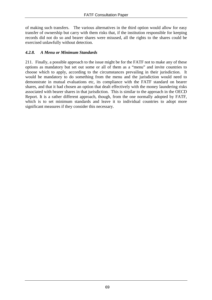of making such transfers. The various alternatives in the third option would allow for easy transfer of ownership but carry with them risks that, if the institution responsible for keeping records did not do so and bearer shares were misused, all the rights to the shares could be exercised unlawfully without detection.

### *4.2.8. A Menu or Minimum Standards*

211. Finally, a possible approach to the issue might be for the FATF not to make any of these options as mandatory but set out some or all of them as a "menu" and invite countries to choose which to apply, according to the circumstances prevailing in their jurisdiction. It would be mandatory to do something from the menu and the jurisdiction would need to demonstrate in mutual evaluations etc, its compliance with the FATF standard on bearer shares, and that it had chosen an option that dealt effectively with the money laundering risks associated with bearer shares in that jurisdiction. This is similar to the approach in the OECD Report. It is a rather different approach, though, from the one normally adopted by FATF, which is to set minimum standards and leave it to individual countries to adopt more significant measures if they consider this necessary.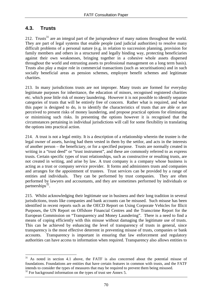## **4.3. Trusts**

212. Trusts<sup>31</sup> are an integral part of the jurisprudence of many nations throughout the world. They are part of legal systems that enable people (and judicial authorities) to resolve many difficult problems of a personal nature (e.g. in relation to succession planning, provision for family members and others in a structured and legally binding way, protecting beneficiaries against their own weaknesses, bringing together in a cohesive whole assets dispersed throughout the world and entrusting assets to professional management on a long term basis). Trusts also play a major role in commercial transactions (such as securitisations) and in such socially beneficial areas as pension schemes, employee benefit schemes and legitimate charities.

213. In many jurisdictions trusts are not improper. Many trusts are formed for everyday legitimate purposes for inheritance, the education of minors, recognised registered charities etc. which pose little risk of money laundering. However it is not possible to identify separate categories of trusts that will be entirely free of concern. Rather what is required, and what this paper is designed to do, is to identify the characteristics of trusts that are able or are perceived to present risks of money laundering, and propose practical options for eliminating or minimising such risks. In presenting the options however it is recognised that the circumstances pertaining in individual jurisdictions will call for some flexibility in translating the options into practical action.

214. A trust is not a legal entity. It is a description of a relationship wherein the trustee is the legal owner of assets, having had them vested in them by the settlor, and acts in the interests of another person – the beneficiary, or for a specified purpose. Trusts are normally created in writing in a "trust deed" or "trust instrument", and these are commonly referred to as express trusts. Certain specific types of trust relationships, such as constructive or resulting trusts, are not created in writing, and arise by law. A trust company is a company whose business is acting as a trust or company service provider. It forms and administers trusts and companies and arranges for the appointment of trustees. Trust services can be provided by a range of entities and individuals. They can be performed by trust companies. They are often performed by lawyers and accountants, and they are sometimes performed by individuals or partnerships $32$ .

215. Whilst acknowledging their legitimate use in business and their long tradition in several jurisdictions, trusts like companies and bank accounts can be misused. Such misuse has been identified in recent reports such as the OECD Report on Using Corporate Vehicles for Illicit Purposes, the UN Report on Offshore Financial Centres and the Transcrime Report for the European Commission on "Transparency and Money Laundering". There is a need to find a means of coping efficiently with this misuse without damaging the legitimate use of trusts. This can be achieved by enhancing the level of transparency of trusts in general, since transparency is the most effective deterrent in preventing misuse of trusts, companies or bank accounts. Transparency is important in ensuring that law enforcement and regulatory authorities can have access to information when required. Transparency also allows entities to

<sup>31</sup> As noted in section 4.1 above, the FATF is also concerned about the potential misuse of foundations. Foundations are entities that have certain features in common with trusts, and the FATF intends to consider the types of measures that may be required to prevent them being misused.  $32$  For background information on the types of trust see Annex 5.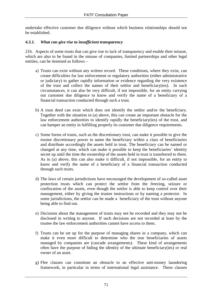undertake effective customer due diligence without which business relationships should not be established.

#### *4.3.1. What can give rise to insufficient transparency*

216. Aspects of some trusts that can give rise to lack of transparency and enable their misuse, which are also to be found in the misuse of companies, limited partnerships and other legal entities, can be itemised as follows –

- a) Trusts can exist without any written record.These conditions, where they exist, can create difficulties for law enforcement or regulatory authorities (either administrative or judiciary) to gather rapidly information or evidence regarding the very existence of the trust and collect the names of their settlor and beneficiary(ies). In such circumstances, it can also be very difficult, if not impossible, for an entity carrying out customer due diligence to know and verify the name of a beneficiary of a financial transaction conducted through such a trust.
- b) A trust deed can exist which does not identify the settlor and/or the beneficiary. Together with the situation in (a) above, this can create an important obstacle for the law enforcement authorities to identify rapidly the beneficiary(ies) of the trust, and can hamper an entity in fulfilling properly its customer due diligence requirements.
- c) Some forms of trusts, such as the discretionary trust, can make it possible to give the trustee discretionary power to name the beneficiary within a class of beneficiaries and distribute accordingly the assets held in trust. The beneficiary can be named or changed at any time, which can make it possible to keep the beneficiaries' identity secret up until the time the ownership of the assets held in trust is transferred to them. As in (a) above, this can also make it difficult, if not impossible, for an entity to know and verify the name of a beneficiary of a financial transaction conducted through such trusts.
- d) The laws of certain jurisdictions have encouraged the development of so-called asset protection trusts which can protect the settlor from the freezing, seizure or confiscation of the assets, even though the settlor is able to keep control over their management, either by giving the trustee instructions or by naming a protector. In some jurisdictions, the settlor can be made a beneficiary of the trust without anyone being able to find out.
- e) Decisions about the management of trusts may not be recorded and they may not be disclosed in writing to anyone. If such decisions are not recorded at least by the trustee the law enforcement authorities cannot have access to them.
- f) Trusts can be set up for the purpose of managing shares in a company, which can make it even more difficult to determine who the true beneficiaries of assets managed by companies are (cascade arrangements). These kind of arrangements often have the purpose of hiding the identity of the ultimate beneficiary(ies) or real owner of an asset.
- g) Flee clauses can constitute an obstacle to an effective anti-money laundering framework, in particular in terms of international legal assistance. These clauses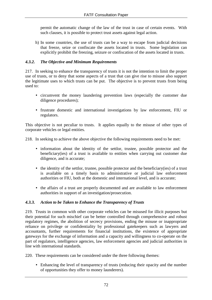permit the automatic change of the law of the trust in case of certain events. With such clauses, it is possible to protect trust assets against legal action.

h) In some countries, the use of trusts can be a way to escape from judicial decisions that freeze, seize or confiscate the assets located in trusts. Some legislation can explicitly prohibit the freezing, seizure or confiscation of the assets located in trusts.

### *4.3.2. The Objective and Minimum Requirements*

217. In seeking to enhance the transparency of trusts it is not the intention to limit the proper use of trusts, or to deny that some aspects of a trust that can give rise to misuse also support the legitimate uses to which trusts can be put. The objective is to prevent trusts from being used to:

- circumvent the money laundering prevention laws (especially the customer due diligence procedures);
- frustrate domestic and international investigations by law enforcement, FIU or regulators.

This objective is not peculiar to trusts. It applies equally to the misuse of other types of corporate vehicles or legal entities.

218. In seeking to achieve the above objective the following requirements need to be met:

- information about the identity of the settlor, trustee, possible protector and the beneficiary(ies) of a trust is available to entities when carrying out customer due diligence, and is accurate;
- the identity of the settlor, trustee, possible protector and the beneficiary(ies) of a trust is available on a timely basis to administrative or judicial law enforcement authorities or FIU, both at the domestic and international level, and is accurate;
- the affairs of a trust are properly documented and are available to law enforcement authorities in support of an investigation/prosecution.

## *4.3.3. Action to be Taken to Enhance the Transparency of Trusts*

219. Trusts in common with other corporate vehicles can be misused for illicit purposes but their potential for such mischief can be better controlled through comprehensive and robust regulatory regimes, the abolition of secrecy provisions, ending the misuse or inappropriate reliance on privilege or confidentiality by professional gatekeepers such as lawyers and accountants, further requirements for financial institutions, the existence of appropriate gateways for the exchange of information and a capacity and willingness to co-operate on the part of regulators, intelligence agencies, law enforcement agencies and judicial authorities in line with international standards.

220. These requirements can be considered under the three following themes:

• Enhancing the level of transparency of trusts (reducing their opacity and the number of opportunities they offer to money launderers).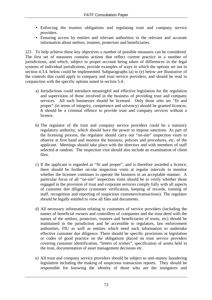- Enforcing the trustees obligations and regulating trust and company service providers.
- Ensuring access by entities and relevant authorities to the relevant and accurate information about settlors, trustees, protectors and beneficiaries.

221. To help achieve these key objectives a number of possible measures can be considered. The first set of measures contains actions that reflect current practice in a number of jurisdictions, and which, subject to proper account being taken of differences in the legal systems of individual jurisdictions, provide examples of ways in which the options set out in section 4.3.4. below could be implemented. Subparagraphs (a) to (e) below are illustrative of the controls that could apply to company and trust service providers, and should be read in conjunction with the specific options noted in section 5.4.

- a) Jurisdictions could introduce meaningful and effective legislation for the regulation and supervision of those involved in the business of providing trust and company services. All such businesses should be licensed. Only those who are "fit and proper" (in terms of integrity, competence and solvency) should be granted licences. It should be a criminal offence to provide trust and company services without a licence.
- b) The regulator of the trust and company service providers could be a statutory regulatory authority, which should have the power to impose sanctions. As part of the licensing process, the regulator should carry out "on-site" inspection visits to observe at first hand and monitor the business, policies and procedures, etc. of the applicant. Meetings should take place with the directors and with members of staff selected at random. The inspection visit should also include an examination of client files.
- c) If the applicant is regarded as "fit and proper", and is therefore awarded a licence, there should be further on-site inspection visits at regular intervals to monitor whether the licensee continues to operate the business in an acceptable manner. A particular focus of all "on-site" inspection visits should be to verify whether those engaged in the provision of trust and corporate services comply fully with all aspects of customer due diligence (customer verification, keeping of records, training of staff, recognition and reporting of suspicious customers/transactions). The regulator should be legally entitled to view all files and documents.
- d) All necessary information relating to customers of service providers (including the names of beneficial owners and controllers of companies and the trust deed with the names of the settlors, protectors, trustees and beneficiaries of trusts, etc) should be maintained in the jurisdiction and be accessible to regulators, law enforcement authorities, FIU as well as entities which need such information to undertake effective customer due diligence. There should be specific provisions in legislation or codes of good practice on the obligations placed on trust service providers covering customer identification, "letters of wishes", specification of assets held in the trust, documentation of asset management decisions etc.
- e) All trust and company service providers should be subject to anti-money laundering legislation including the making of suspicious transaction reports. They should be responsible for knowing the identity of those who are the instigators and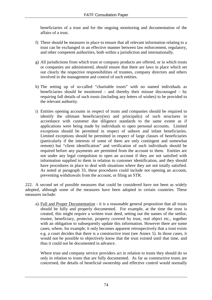beneficiaries of a trust and for the ongoing monitoring and documentation of the affairs of a trust.

- f) There should be measures in place to ensure that all relevant information relating to a trust can be exchanged in an effective manner between law enforcement, regulatory, and other competent authorities, both within a jurisdiction and internationally.
- g) All jurisdictions from which trust or company products are offered, or in which trusts or companies are administered, should ensure that there are laws in place which set out clearly the respective responsibilities of trustees, company directors and others involved in the management and control of such entities.
- h) The setting up of so-called "charitable trusts" with no named individuals as beneficiaries should be monitored – and thereby their misuse discouraged – by requiring full details of such trusts (including any letters of wishes) to be provided to the relevant authority.
- i) Entities opening accounts in respect of trusts and companies should be required to identify the ultimate beneficiary(ies) and principal(s) of such structures in accordance with customer due diligence standards to the same extent as if applications were being made by individuals to open personal accounts. Limited exceptions should be permitted in respect of unborn and infant beneficiaries. Limited exceptions should be permitted in respect of large classes of beneficiaries (particularly if the interests of some of them are only contingent and somewhat remote) but "client identification" and verification of such individuals should be required before any payments are permitted from the account to them. Entities are not under any legal compulsion to open an account if they are not satisfied with information supplied to them in relation to customer identification, and they should have procedures in place to deal with situations where they are not totally satisfied. As noted at paragraph 33, these procedures could include not opening an account, preventing withdrawals from the account, or filing an STR.

222. A second set of possible measures that could be considered have not been as widely adopted, although some of the measures have been adopted in certain countries. These measures include:

a). Full and Proper Documentation - it is a reasonable general proposition that all trusts should be fully and properly documented. For example, at the time the trust is created, this might require a written trust deed, setting out the names of the settlor, trustee, beneficiary, protector, property covered by trust, real object etc., together with an obligation to subsequently update this information. However there are some cases, where, for example, it only becomes apparent retrospectively that a trust exists e.g. a court decides that there is a constructive trust (see Annex 5). In those cases, it would not be possible to objectively know that the trust existed until that time, and thus it could not be documented in advance.

Where trust and company service providers act in relation to trusts they should do so only in relation to trusts that are fully documented. As far as constructive trusts are concerned, the details of beneficial ownership and effective control would normally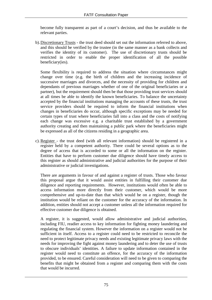become fully transparent as part of a court's decision, and thus be available to the relevant parties.

b).Discretionary Trusts - the trust deed should set out the information referred to above, and this should be verified by the trustee (in the same manner as a bank collects and verifies the identity of its customer). The use of discretionary trusts should be restricted in order to enable the proper identification of all the possible beneficiary(ies).

Some flexibility is required to address the situation where circumstances might change over time (e.g. the birth of children and the increasing incidence of successive marriages and divorces, and the necessity of providing for children and dependants of previous marriages whether of one of the original beneficiaries or a partner), but the requirement should then be that those providing trust services should at all times be able to identify the known beneficiaries. To balance the uncertainty accepted by the financial institutions managing the accounts of these trusts, the trust service providers should be required to inform the financial institutions when changes in beneficiaries do occur, although specific exceptions may be needed for certain types of trust where beneficiaries fall into a class and the costs of notifying each change was excessive e.g. a charitable trust established by a government authority creating and then maintaining a public park where the beneficiaries might be expressed as all of the citizens residing in a geographic area.

c). Register - the trust deed (with all relevant information) should be registered in a register held by a competent authority. There could be several options as to the degree of access that is accorded to some or all the information on the register. Entities that have to perform customer due diligence should have timely access to this register as should administrative and judicial authorities for the purpose of their administrative or judicial investigations.

There are arguments in favour of and against a register of trusts. Those who favour this proposal argue that it would assist entities in fulfilling their customer due diligence and reporting requirements. However, institutions would often be able to access information more directly from their customer, which would be more comprehensive and up-to-date than that which would be on a register, though the institution would be reliant on the customer for the accuracy of the information. In addition, entities should not accept a customer unless all the information required for effective customer due diligence is obtained.

A register, it is suggested, would allow administrative and judicial authorities, including FIU, readier access to key information for fighting money laundering and regulating the financial system. However the information on a register would not be sufficient in itself. Access to a register could need to be restricted to reconcile the need to protect legitimate privacy needs and existing legitimate privacy laws with the needs for improving the fight against money laundering and to deter the use of trusts to obscure individuals' identities. A failure to update information contained in the register would need to constitute an offence, for the accuracy of the information provided, to be ensured. Careful consideration will need to be given to comparing the benefits that might be obtained from a register and comparing them with the costs that would be incurred.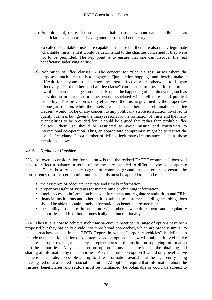d).Prohibition of, or restrictions on "charitable trusts" without named individuals as beneficiaries and on trusts having another trust as beneficiary.

So called "charitable trusts" are capable of misuse but there are also many legitimate "charitable trusts" and it would be detrimental to the charities concerned if they were not to be permitted. The key point is to ensure that one can discover the real beneficiary underlying a trust.

e). Prohibition of "flee clauses" - The concern for "flee clauses" arises where the purpose of such a clause is to engage in "jurisdiction hopping" and thereby make it difficult for anyone to challenge the trust effectively or otherwise to litigate effectively. On the other hand a "flee clause" can be used to provide for the proper law of the trust to change automatically upon the happening of certain events, such as a revolution or invasion or other event associated with civil unrest and political instability. This provision is only effective if the trust is governed by the proper law of one jurisdiction, while the assets are held in another. The elimination of "flee clauses" would not be of any concern to any politically stable jurisdiction involved in quality business but, given the many reasons for the formation of trusts and the many eventualities to be provided for, it could be argued that rather than prohibit "flee clauses", their use should be restricted to avoid misuse and constraints to international co-operation. Thus, an appropriate compromise might be to restrict the use of "flee clauses" to a number of defined legitimate circumstances, such as those mentioned above.

## *4.3.4. Options to Consider*

223. An overall consideration for section 4 is that the revised FATF Recommendations will have to reflect a balance in terms of the measures applied to different types of corporate vehicles. There is a reasonable degree of common ground that in order to ensure the transparency of trusts certain minimum standards must be applied to them i.e.:

- the existence of adequate, accurate and timely information;
- proper oversight of systems for maintaining or obtaining information;
- timely access to information by law enforcement and regulatory authorities and FIU;
- financial institutions and other entities subject to customer due diligence obligations should be able to obtain timely information on beneficial ownership;
- the ability to share information with other law enforcement and regulatory authorities, and FIU, both domestically and internationally.

224. The issue is how to achieve such transparency in practice. A range of options have been proposed but they basically divide into three broad approaches, which are broadly similar to the approaches set out in the OECD Report in which "corporate vehicles" is defined to include trusts and foundations. A system based on option 1 below will only be fully effective if there is proper oversight of the system/procedures in the institution supplying information into the authorities. A system based on option 2 must also provide for the obtaining and sharing of information by the authorities. A system based on option 3 would only be effective if there is accurate, accessible and up to date information available at the legal entity being investigated or at a related financial institution. All options require that information about the trustees, beneficiaries and settlors must be maintained, be obtainable or could be subject to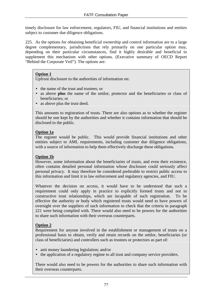timely disclosure for law enforcement, regulators, FIU, and financial institutions and entities subject to customer due diligence obligations.

225. As the options for obtaining beneficial ownership and control information are to a large degree complementary, jurisdictions that rely primarily on one particular option may, depending on their particular circumstances, find it highly desirable and beneficial to supplement this mechanism with other options. (Executive summary of OECD Report "Behind the Corporate Veil"). The options are:

## **Option 1**

Upfront disclosure to the authorities of information on:

- the name of the trust and trustees; or
- as above **plus** the name of the settlor, protector and the beneficiaries or class of beneficiaries; or
- as above plus the trust deed.

This amounts to registration of trusts. There are also options as to whether the register should be one kept by the authorities and whether it contains information that should be disclosed to the public.

#### **Option 1a**

The register would be public. This would provide financial institutions and other entities subject to AML requirements, including customer due diligence obligations, with a source of information to help them effectively discharge these obligations.

## **Option 1b**

However, some information about the beneficiaries of trusts, and even their existence, often contains detailed personal information whose disclosure could seriously affect personal privacy. It may therefore be considered preferable to restrict public access to this information and limit it to law enforcement and regulatory agencies, and FIU.

Whatever the decision on access, it would have to be understood that such a requirement could only apply in practice to explicitly formed trusts and not to constructive trust relationships, which are incapable of such registration. To be effective the authority or body which registered trusts would need to have powers of oversight over the suppliers of such information to check that the criteria in paragraph 221 were being complied with. There would also need to be powers for the authorities to share such information with their overseas counterparts.

## **Option 2**

Requirement for anyone involved in the establishment or management of trusts on a professional basis to obtain, verify and retain records on the settlor, beneficiaries (or class of beneficiaries) and controllers such as trustees or protectors as part of:

- anti money laundering legislation; and/or
- the application of a regulatory regime to all trust and company service providers.

There would also need to be powers for the authorities to share such information with their overseas counterparts.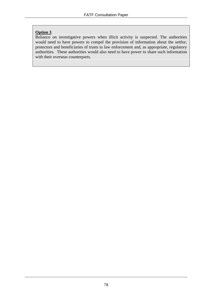## **Option 3**

Reliance on investigative powers when illicit activity is suspected. The authorities would need to have powers to compel the provision of information about the settlor, protectors and beneficiaries of trusts to law enforcement and, as appropriate, regulatory authorities. These authorities would also need to have power to share such information with their overseas counterparts.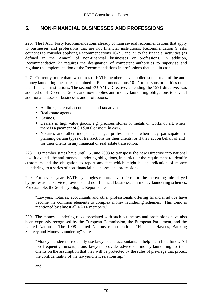# **5. NON-FINANCIAL BUSINESSES AND PROFESSIONS**

226. The FATF Forty Recommendations already contain several recommendations that apply to businesses and professions that are not financial institutions. Recommendation 9 asks countries to consider applying Recommendations 10-21, and 23 to the financial activities (as defined in the Annex) of non-financial businesses or professions. In addition, Recommendation 27 requires the designation of competent authorities to supervise and regulate the implementation of the Recommendations in professions that deal in cash.

227. Currently, more than two-thirds of FATF members have applied some or all of the antimoney laundering measures contained in Recommendations 10-21 to persons or entities other than financial institutions. The second EU AML Directive, amending the 1991 directive, was adopted on 4 December 2001, and now applies anti-money laundering obligations to several additional classes of businesses and professions:

- Auditors, external accountants, and tax advisors.
- Real estate agents.
- Casinos.
- Dealers in high value goods, e.g. precious stones or metals or works of art, when there is a payment of  $\epsilon$  15,000 or more in cash.
- Notaries and other independent legal professionals when they participate in planning certain types of transactions for their clients, or if they act on behalf of and for their clients in any financial or real estate transaction.

228. EU member states have until 15 June 2003 to transpose the new Directive into national law. It extends the anti-money laundering obligations, in particular the requirement to identify customers and the obligation to report any fact which might be an indication of money laundering, to a series of non-financial businesses and professions.

229. For several years FATF Typologies reports have referred to the increasing role played by professional service providers and non-financial businesses in money laundering schemes. For example, the 2001 Typologies Report states:

"Lawyers, notaries, accountants and other professionals offering financial advice have become the common elements to complex money laundering schemes. This trend is mentioned by almost all FATF members."

230. The money laundering risks associated with such businesses and professions have also been expressly recognised by the European Commission, the European Parliament, and the United Nations. The 1998 United Nations report entitled "Financial Havens, Banking Secrecy and Money Laundering" states –

"Money launderers frequently use lawyers and accountants to help them hide funds. All too frequently, unscrupulous lawyers provide advice on money-laundering to their clients on the assumption that they will be protected by the rules of privilege that protect the confidentiality of the lawyer/client relationship."

and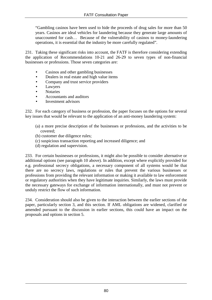"Gambling casinos have been used to hide the proceeds of drug sales for more than 50 years. Casinos are ideal vehicles for laundering because they generate large amounts of unaccounted for cash… Because of the vulnerability of casinos to money-laundering operations, it is essential that the industry be more carefully regulated".

231. Taking these significant risks into account, the FATF is therefore considering extending the application of Recommendations 10-21 and 26-29 to seven types of non-financial businesses or professions. Those seven categories are:

- Casinos and other gambling businesses
- Dealers in real estate and high value items
- Company and trust service providers
- **Lawyers**
- **Notaries**
- Accountants and auditors
- Investment advisors

232. For each category of business or profession, the paper focuses on the options for several key issues that would be relevant to the application of an anti-money laundering system:

- (a) a more precise description of the businesses or professions, and the activities to be covered;
- (b) customer due diligence rules;
- (c) suspicious transaction reporting and increased diligence; and
- (d) regulation and supervision.

233. For certain businesses or professions, it might also be possible to consider alternative or additional options (see paragraph 10 above). In addition, except where explicitly provided for e.g. professional secrecy obligations, a necessary component of all systems would be that there are no secrecy laws, regulations or rules that prevent the various businesses or professions from providing the relevant information or making it available to law enforcement or regulatory authorities when they have legitimate inquiries. Similarly, the laws must provide the necessary gateways for exchange of information internationally, and must not prevent or unduly restrict the flow of such information.

234. Consideration should also be given to the interaction between the earlier sections of the paper, particularly section 3, and this section. If AML obligations are widened, clarified or amended pursuant to the discussion in earlier sections, this could have an impact on the proposals and options in section 5.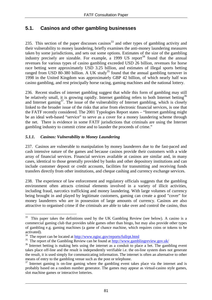# **5.1. Casinos and other gambling businesses**

235. This section of the paper discusses casinos<sup>33</sup> and other types of gambling activity and their vulnerability to money laundering, briefly examines the anti-money laundering measures taken by some jurisdictions, and sets out some options. Estimates of the size of the gambling industry precisely are sizeable. For example, a 1999 US report<sup>34</sup> found that the annual revenues for various types of casino gambling exceeded USD 26 billion, revenues for horse race betting were approximately USD 3.25 billion, and estimates of illegal sports betting ranged from USD 80-380 billion. A UK study<sup>35</sup> found that the annual gambling turnover in 1998 in the United Kingdom was approximately GBP 42 billion, of which nearly half was casino gambling, and rest principally horse racing, gaming machines and the national lottery.

236. Recent studies of internet gambling suggest that while this form of gambling may still be relatively small, it is growing rapidly. Internet gambling refers to both Internet betting<sup>36</sup> and Internet gaming<sup>37</sup>. The issue of the vulnerability of Internet gambling, which is closely linked to the broader issue of the risks that arise from electronic financial services, is one that the FATF recently considered. The 2001 Typologies Report states – "Internet gambling might be an ideal web-based "service" to serve as a cover for a money laundering scheme through the net. There is evidence in some FATF jurisdictions that criminals are using the Internet gambling industry to commit crime and to launder the proceeds of crime."

#### *5.1.1. Casinos: Vulnerability to Money Laundering*

237. Casinos are vulnerable to manipulation by money launderers due to the fast-paced and cash intensive nature of the games and because casinos provide their customers with a wide array of financial services. Financial services available at casinos are similar and, in many cases, identical to those generally provided by banks and other depository institutions and can include customer deposit or credit accounts, facilities for transmitting and receiving funds transfers directly from other institutions, and cheque cashing and currency exchange services.

238. The experience of law enforcement and regulatory officials suggests that the gambling environment often attracts criminal elements involved in a variety of illicit activities, including fraud, narcotics trafficking and money laundering. With large volumes of currency being brought in and played by legitimate customers, gaming can create a good "cover" for money launderers who are in possession of large amounts of currency. Casinos are also attractive to organised crime if the criminals are able to take over and control the casino, thus

<sup>33</sup> This paper takes the definitions used by the UK Gambling Review (see below). A casino is a commercial gaming club that provides table games other than bingo, but may also provide other types of gambling e.g. gaming machines (a game of chance machine, which requires coins or tokens to be activated).

 $34$  The report can be located at http://www.ngisc.gov/reports/fullrpt.html

<sup>&</sup>lt;sup>35</sup> The report of the Gambling Review can be found at http://www.gamblingreview.gov.uk/

<sup>&</sup>lt;sup>36</sup> Internet betting is making bets using the internet as a conduit to place a bet. The gambling event takes place off-line and the result is independently verifiable i.e. the on-line system does not generate the result, it is used simply for communicating information. The internet is often an alternative to other means of entry to the gambling venue such as the post or telephone.

 $37$  Internet gaming is on-line gaming where the gambling event takes place via the internet and is probably based on a random number generator. The games may appear as virtual-casino style games, slot machine games or interactive lotteries.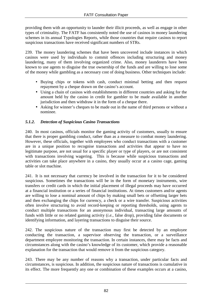providing them with an opportunity to launder their illicit proceeds, as well as engage in other types of criminality. The FATF has consistently noted the use of casinos in money laundering schemes in its annual Typologies Reports, while those countries that require casinos to report suspicious transactions have received significant numbers of STRs.

239. The money laundering schemes that have been uncovered include instances in which casinos were used by individuals to commit offences including structuring and money laundering, many of them involving organized crime. Also, money launderers have been known to use agents to disguise the true ownership of the funds and are willing to lose some of the money while gambling as a necessary cost of doing business. Other techniques include:

- Buying chips or tokens with cash, conduct minimal betting and then request repayment by a cheque drawn on the casino's account.
- Using a chain of casinos with establishments in different countries and asking for the amount held by the casino in credit for gambler to be made available in another jurisdiction and then withdraw it in the form of a cheque there.
- Asking for winner's cheques to be made out in the name of third persons or without a nominee.

## *5.1.2. Detection of Suspicious Casino Transactions*

240. In most casinos, officials monitor the gaming activity of customers, usually to ensure that there is proper gambling conduct, rather than as a measure to combat money laundering. However, these officials, together with employees who conduct transactions with a customer are in a unique position to recognise transactions and activities that appear to have no legitimate purpose, are not usual for a specific player or type of players, or are not consistent with transactions involving wagering. This is because while suspicious transactions and activities can take place anywhere in a casino, they usually occur at a casino cage, gaming table or slot machine.

241. It is not necessary that currency be involved in the transaction for it to be considered suspicious. Sometimes the transactions will be in the form of monetary instruments, wire transfers or credit cards in which the initial placement of illegal proceeds may have occurred at a financial institution or a series of financial institutions. At times customers and/or agents are willing to lose a nominal amount of chips by making small bets or offsetting larger bets and then exchanging the chips for currency, a check or a wire transfer. Suspicious activities often involve structuring to avoid record-keeping or reporting thresholds, using agents to conduct multiple transactions for an anonymous individual, transacting large amounts of funds with little or no related gaming activity (*i.e.*, false drop), providing false documents or identifying information, and layering transactions to disguise their source.

242. The suspicious nature of the transaction may first be detected by an employee conducting the transaction, a supervisor observing the transaction, or a surveillance department employee monitoring the transaction. In certain instances, there may be facts and circumstances along with the casino's knowledge of its customer, which provide a reasonable explanation for the transaction that would remove it from the suspicious category.

243. There may be any number of reasons why a transaction, under particular facts and circumstances, is suspicious. In addition, the suspicious nature of transactions is cumulative in its effect. The more frequently any one or combination of these examples occurs at a casino,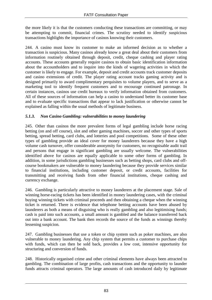the more likely it is that the customers conducting these transactions are committing, or may be attempting to commit, financial crimes. The scrutiny needed to identify suspicious transactions highlights the importance of casinos knowing their customers.

244. A casino must know its customer to make an informed decision as to whether a transaction is suspicious. Many casinos already know a great deal about their customers from information routinely obtained through deposit, credit, cheque cashing and player rating accounts. These accounts generally require casinos to obtain basic identification information about the accountholders and to inquire into the kinds of wagering activities in which the customer is likely to engage. For example, deposit and credit accounts track customer deposits and casino extensions of credit. The player rating account tracks gaming activity and is designed primarily to award complimentary perquisites to volume players, and to serve as a marketing tool to identify frequent customers and to encourage continued patronage. In certain instances, casinos use credit bureaux to verify information obtained from customers. All of these sources of information can help a casino to understand better its customer base and to evaluate specific transactions that appear to lack justification or otherwise cannot be explained as falling within the usual methods of legitimate business.

## *5.1.3. Non Casino Gambling: vulnerabilities to money laundering*

245. Other than casinos the more prevalent forms of legal gambling include horse racing betting (on and off course), slot and other gaming machines, soccer and other types of sports betting, spread betting, card clubs, and lotteries and pool competitions. Some of these other types of gambling provide an ideal cover for money launderers because they have a high volume cash turnover, offer considerable anonymity for customers, no recognisable audit trail and persons that engage in significant gambling are usually welcome. The vulnerabilities identified above for casinos are equally applicable to some other forms of gambling. In addition, in some jurisdictions gambling businesses such as betting shops, card clubs and offcourse bookmakers are vulnerable to money laundering because they provide services similar to financial institutions, including customer deposit, or credit accounts, facilities for transmitting and receiving funds from other financial institutions, cheque cashing and currency exchange.

246. Gambling is particularly attractive to money launderers at the placement stage. Sale of winning horse-racing tickets has been identified in money laundering cases, with the criminal buying winning tickets with criminal proceeds and then obtaining a cheque when the winning ticket is returned. There is evidence that telephone betting accounts have been abused by launderers as both a means of disguising who is really gambling and also legitimising funds; cash is paid into such accounts, a small amount is gambled and the balance transferred back out into a bank account. The bank then records the source of the funds as winnings thereby lessening suspicion.

247. Gambling businesses that use a token or chip system such as poker machines, are also vulnerable to money laundering. Any chip system that permits a customer to purchase chips with funds, which can then be sold back, provides a low cost, intensive opportunity for structuring and conversion of funds.

248. Historically organised crime and other criminal elements have always been attracted to gambling. The combination of large profits, cash transactions and the opportunity to launder funds attracts criminal operators. The large amounts of cash introduced daily by legitimate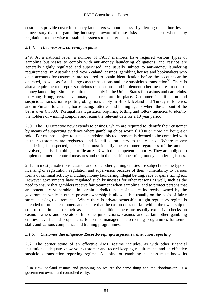customers provide cover for money launderers without necessarily alerting the authorities. It is necessary that the gambling industry is aware of these risks and takes steps whether by regulation or otherwise to establish systems to counter them.

#### *5.1.4. The measures currently in place*

249. At a national level, a number of FATF members have required various types of gambling businesses to comply with anti-money laundering obligations, and casinos are generally tightly regulated and supervised, and usually subject to anti-money laundering requirements. In Australia and New Zealand, casinos, gambling houses and bookmakers who open accounts for customers are required to obtain identification before the account can be operated, as well as for all large cash transactions and any suspicious transaction<sup>38</sup>. There is also a requirement to report suspicious transactions, and implement other measures to combat money laundering. Similar requirements apply in the United States for casinos and card clubs. In Hong Kong, certain voluntary measures are in place. Customer identification and suspicious transaction reporting obligations apply in Brazil, Iceland and Turkey to lotteries, and in Finland to casinos, horse racing, lotteries and betting agents where the amount of the bet is over  $\epsilon$  3000. Portugal has legislation requiring betting and lottery agencies to identity the holders of winning coupons and retain the relevant data for a 10 year period.

250. The EU Directive now extends to casinos, which are required to identify their customer by means of supporting evidence where gambling chips worth  $\epsilon$  1000 or more are bought or sold. For casinos subject to state supervision this requirement is deemed to be complied with if their customers are registered and identified on entry to the casino. Where money laundering is suspected, the casino must identify the customer regardless of the amount involved, and is also obliged to file an STR with the competent authority. They are obliged to implement internal control measures and train their staff concerning money laundering issues.

251. In most jurisdictions, casinos and some other gaming entities are subject to some type of licensing or registration, regulation and supervision because of their vulnerability to various forms of criminal activity including money laundering, illegal betting, race or game fixing etc. However governments have regulated such businesses for other reasons as well, such as the need to ensure that gamblers receive fair treatment when gambling, and to protect persons that are potentially vulnerable. In certain jurisdictions, casinos are indirectly owned by the government, while in others private ownership is allowed, but usually on the basis of fairly strict licensing requirements. Where there is private ownership, a tight regulatory regime is intended to protect customers and ensure that the casino does not fall within the ownership or control of criminals or their associates. In addition, there are usually extensive checks on casino owners and operators. In some jurisdictions, casinos and certain other gambling entities have fit and proper tests for senior management, screening programmes for senior staff, and various compliance and training programmes.

#### *5.1.5. Customer due diligence/ Record-keeping/Suspicious transaction reporting*

 $\overline{a}$ 

252. The corner stone of an effective AML regime includes, as with other financial institutions, adequate know your customer and record keeping requirements and an effective suspicious transaction reporting regime. A casino or gambling business must know its

<sup>&</sup>lt;sup>38</sup> In New Zealand casinos and gambling houses are the same thing and the "bookmaker" is a government owned and controlled entity.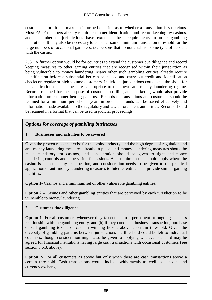customer before it can make an informed decision as to whether a transaction is suspicious. Most FATF members already require customer identification and record keeping by casinos, and a number of jurisdictions have extended these requirements to other gambling institutions. It may also be necessary to consider some minimum transaction threshold for the large numbers of occasional gamblers, i.e. persons that do not establish some type of account with the casino.

253. A further option would be for countries to extend the customer due diligence and record keeping measures to other gaming entities that are recognised within their jurisdiction as being vulnerable to money laundering. Many other such gambling entities already require identification before a substantial bet can be placed and carry out credit and identification checks on regular or high volume customers. Individual jurisdictions could set a threshold for the application of such measures appropriate to their own anti-money laundering regime. Records retained for the purpose of customer profiling and marketing would also provide information on customer betting patterns. Records of transactions and customers should be retained for a minimum period of 5 years in order that funds can be traced effectively and information made available to the regulatory and law enforcement authorities. Records should be retained in a format that can be used in judicial proceedings.

## *Options for coverage of gambling businesses*

## **1. Businesses and activities to be covered**

Given the proven risks that exist for the casino industry, and the high degree of regulation and anti-money laundering measures already in place, anti-money laundering measures should be made mandatory for casinos, and consideration should be given to tight anti-money laundering controls and supervision for casinos. As a minimum this should apply where the casino is an actual physical location, and consideration needs to be given to the practical application of anti-money laundering measures to Internet entities that provide similar gaming facilities.

**Option 1**- Casinos and a minimum set of other vulnerable gambling entities.

**Option 2** – Casinos and other gambling entities that are perceived by each jurisdiction to be vulnerable to money laundering.

## **2. Customer due diligence**

**Option 1-** For all customers whenever they (a) enter into a permanent or ongoing business relationship with the gambling entity, and (b) if they conduct a business transaction, purchase or sell gambling tokens or cash in winning tickets above a certain threshold. Given the diversity of gambling patterns between jurisdictions the threshold could be left to individual countries, though consideration might also be given to applying whatever standard may be agreed for financial institutions having large cash transactions with occasional customers (see section 3.6.3. above).

**Option 2-** For all customers as above but only when there are cash transactions above a certain threshold. Cash transactions would include withdrawals as well as deposits and currency exchange.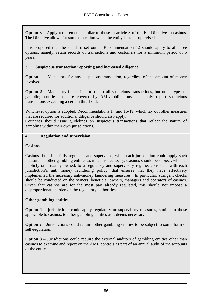**Option 3** – Apply requirements similar to those in article 3 of the EU Directive to casinos. The Directive allows for some discretion when the entity is state supervised.

It is proposed that the standard set out in Recommendation 12 should apply to all three options, namely, retain records of transactions and customers for a minimum period of 5 years.

### **3. Suspicious transaction reporting and increased diligence**

**Option 1** – Mandatory for any suspicious transaction, regardless of the amount of money involved.

**Option 2** – Mandatory for casinos to report all suspicious transactions, but other types of gambling entities that are covered by AML obligations need only report suspicious transactions exceeding a certain threshold.

Whichever option is adopted, Recommendations 14 and 16-19, which lay out other measures that are required for additional diligence should also apply.

Countries should issue guidelines on suspicious transactions that reflect the nature of gambling within their own jurisdictions.

#### **4. Regulation and supervision**

#### **Casinos**

Casinos should be fully regulated and supervised, while each jurisdiction could apply such measures to other gambling entities as it deems necessary. Casinos should be subject, whether publicly or privately owned, to a regulatory and supervisory regime, consistent with each jurisdiction's anti money laundering policy, that ensures that they have effectively implemented the necessary anti-money laundering measures. In particular, stringent checks should be conducted on the owners, beneficial owners, managers and operators of casinos. Given that casinos are for the most part already regulated, this should not impose a disproportionate burden on the regulatory authorities.

#### **Other gambling entities**

**Option 1** – jurisdictions could apply regulatory or supervisory measures, similar to those applicable to casinos, to other gambling entities as it deems necessary.

**Option 2** – Jurisdictions could require other gambling entities to be subject to some form of self-regulation.

**Option 3** – Jurisdictions could require the external auditors of gambling entities other than casinos to examine and report on the AML controls as part of an annual audit of the accounts of the entity.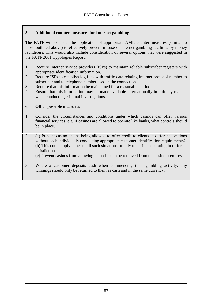## **5. Additional counter-measures for Internet gambling**

The FATF will consider the application of appropriate AML counter-measures (similar to those outlined above) to effectively prevent misuse of internet gambling facilities by money launderers. This would also include consideration of several options that were suggested in the FATF 2001 Typologies Report:

- 1. Require Internet service providers (ISPs) to maintain reliable subscriber registers with appropriate identification information.
- 2. Require ISPs to establish log files with traffic data relating Internet-protocol number to subscriber and to telephone number used in the connection.
- 3. Require that this information be maintained for a reasonable period.
- 4. Ensure that this information may be made available internationally in a timely manner when conducting criminal investigations.

#### **6. Other possible measures**

- 1. Consider the circumstances and conditions under which casinos can offer various financial services, e.g. if casinos are allowed to operate like banks, what controls should be in place.
- 2. (a) Prevent casino chains being allowed to offer credit to clients at different locations without each individually conducting appropriate customer identification requirements? (b) This could apply either to all such situations or only to casinos operating in different jurisdictions.

(c) Prevent casinos from allowing their chips to be removed from the casino premises.

3. Where a customer deposits cash when commencing their gambling activity, any winnings should only be returned to them as cash and in the same currency.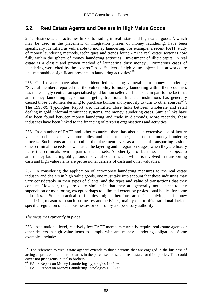# **5.2. Real Estate Agents and Dealers in High Value Goods**

254. Businesses and activities linked to trading in real estate and high value goods<sup>39</sup>, which may be used in the placement or integration phases of money laundering, have been specifically identified as vulnerable to money laundering. For example, a recent FATF study of money laundering methods, techniques and trends found - "The real estate sector is now fully within the sphere of money laundering activities. Investment of illicit capital in real estate is a classic and proven method of laundering dirty money… Numerous cases of laundering were cited by the experts." Also "sellers of high-value objects like artworks are unquestionably a significant presence in laundering activities"<sup>40</sup>.

255. Gold dealers have also been identified as being vulnerable to money laundering: "Several members reported that the vulnerability to money laundering within their countries has increasingly centred on specialised gold bullion sellers. This is due in part to the fact that anti-money laundering legislation targeting traditional financial institutions has generally caused those customers desiring to purchase bullion anonymously to turn to other sources"<sup>41</sup>. The 1998-99 Typologies Report also identified close links between wholesale and retail dealing in gold, informal remittance systems, and money laundering cases. Similar links have also been found between money laundering and trade in diamonds. More recently, these industries have been linked to the financing of terrorist organisations and activities.

256. In a number of FATF and other countries, there has also been extensive use of luxury vehicles such as expensive automobiles, and boats or planes, as part of the money laundering process. Such items are used both at the placement level, as a means of transporting cash or other criminal proceeds, as well as at the layering and integration stages, when they are luxury items that criminals own as part of their assets. Another type of business that is subject to anti-money laundering obligations in several countries and which is involved in transporting cash and high value items are professional carriers of cash and other valuables.

257. In considering the application of anti-money laundering measures to the real estate industry and dealers in high value goods, one must take into account that these industries may vary considerably in their types of clients, and the types and value of transactions that they conduct. However, they are quite similar in that they are generally not subject to any supervision or monitoring, except perhaps to a limited extent by professional bodies for some industries. Some practical difficulties might therefore arise in applying anti-money laundering measures to such businesses and activities, mainly due to this traditional lack of specific regulation of such businesses or control by a supervisory authority.

#### *The measures currently in place*

 $\overline{a}$ 

258. At a national level, relatively few FATF members currently require real estate agents or other dealers in high value items to comply with anti-money laundering obligations. Some examples include:

<sup>&</sup>lt;sup>39</sup> The reference to "real estate agents" extends to those persons that are engaged in the business of acting as professional intermediaries in the purchase and sale of real estate for third parties. This could cover not just agents, but also brokers.

<sup>40</sup> FATF Report on Money Laundering Typologies 1997-98

<sup>41</sup> FATF Report on Money Laundering Typologies 1998-99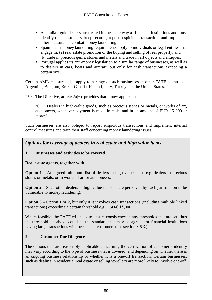- Australia gold dealers are treated in the same way as financial institutions and must identify their customers, keep records, report suspicious transaction, and implement other measures to combat money laundering.
- Spain anti-money laundering requirements apply to individuals or legal entities that engage in: (a) real estate promotion or the buying and selling of real property, and (b) trade in precious gems, stones and metals and trade in art objects and antiques.
- Portugal applies its anti-money legislation to a similar range of businesses, as well as to dealers in cars, boats and aircraft, but only for cash transactions exceeding a certain size.

Certain AML measures also apply to a range of such businesses in other FATF countries – Argentina, Belgium, Brazil, Canada, Finland, Italy, Turkey and the United States.

259. The Directive, article 2a(6), provides that it now applies to:

"6. Dealers in high-value goods, such as precious stones or metals, or works of art, auctioneers, whenever payment is made in cash, and in an amount of EUR 15 000 or more:"

Such businesses are also obliged to report suspicious transactions and implement internal control measures and train their staff concerning money laundering issues.

*Options for coverage of dealers in real estate and high value items*

#### **1. Businesses and activities to be covered**

**Real estate agents, together with:**

**Option 1** – An agreed minimum list of dealers in high value items e.g. dealers in precious stones or metals, or in works of art or auctioneers.

**Option 2** – Such other dealers in high value items as are perceived by each jurisdiction to be vulnerable to money laundering.

**Option 3** – Option 1 or 2, but only if it involves cash transactions (including multiple linked transactions) exceeding a certain threshold e.g. USD/ $\in$  15,000.

Where feasible, the FATF will seek to ensure consistency in any thresholds that are set, thus the threshold set above could be the standard that may be agreed for financial institutions having large transactions with occasional customers (see section 3.6.3.).

#### **2. Customer Due Diligence**

The options that are reasonably applicable concerning the verification of customer's identity may vary according to the type of business that is covered, and depending on whether there is an ongoing business relationship or whether it is a one-off transaction. Certain businesses, such as dealing in residential real estate or selling jewellery are more likely to involve one-off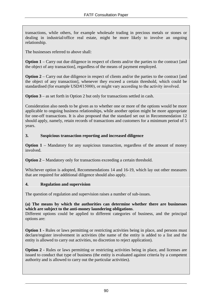transactions, while others, for example wholesale trading in precious metals or stones or dealing in industrial/office real estate, might be more likely to involve an ongoing relationship.

The businesses referred to above shall:

**Option 1** – Carry out due diligence in respect of clients and/or the parties to the contract [and the object of any transaction], regardless of the means of payment employed.

**Option 2** – Carry out due diligence in respect of clients and/or the parties to the contract [and the object of any transaction], whenever they exceed a certain threshold, which could be standardised (for example USD/ $E$ 15000), or might vary according to the activity involved.

**Option 3** – as set forth in Option 2 but only for transactions settled in cash.

Consideration also needs to be given as to whether one or more of the options would be more applicable to ongoing business relationships, while another option might be more appropriate for one-off transactions. It is also proposed that the standard set out in Recommendation 12 should apply, namely, retain records of transactions and customers for a minimum period of 5 years.

#### **3. Suspicious transaction reporting and increased diligence**

**Option 1** – Mandatory for any suspicious transaction, regardless of the amount of money involved.

**Option 2** – Mandatory only for transactions exceeding a certain threshold.

Whichever option is adopted, Recommendations 14 and 16-19, which lay out other measures that are required for additional diligence should also apply.

#### **4. Regulation and supervision**

The question of regulation and supervision raises a number of sub-issues.

#### **(a) The means by which the authorities can determine whether there are businesses which are subject to the anti-money laundering obligations**.

Different options could be applied to different categories of business, and the principal options are:

**Option 1 - Rules or laws permitting or restricting activities being in place, and persons must** declare/register involvement in activities (the name of the entity is added to a list and the entity is allowed to carry out activities, no discretion to reject application).

**Option 2 - Rules or laws permitting or restricting activities being in place, and licenses are** issued to conduct that type of business (the entity is evaluated against criteria by a competent authority and is allowed to carry out the particular activities).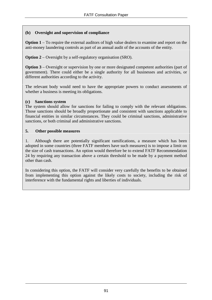## **(b) Oversight and supervision of compliance**

**Option 1** – To require the external auditors of high value dealers to examine and report on the anti-money laundering controls as part of an annual audit of the accounts of the entity.

**Option 2** – Oversight by a self-regulatory organisation (SRO).

**Option 3** – Oversight or supervision by one or more designated competent authorities (part of government). There could either be a single authority for all businesses and activities, or different authorities according to the activity.

The relevant body would need to have the appropriate powers to conduct assessments of whether a business is meeting its obligations.

#### **(c) Sanctions system**

The system should allow for sanctions for failing to comply with the relevant obligations. Those sanctions should be broadly proportionate and consistent with sanctions applicable to financial entities in similar circumstances. They could be criminal sanctions, administrative sanctions, or both criminal and administrative sanctions.

#### **5. Other possible measures**

1. Although there are potentially significant ramifications, a measure which has been adopted in some countries (three FATF members have such measures) is to impose a limit on the size of cash transactions. An option would therefore be to extend FATF Recommendation 24 by requiring any transaction above a certain threshold to be made by a payment method other than cash.

In considering this option, the FATF will consider very carefully the benefits to be obtained from implementing this option against the likely costs to society, including the risk of interference with the fundamental rights and liberties of individuals.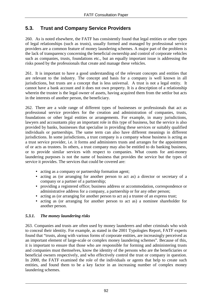# **5.3. Trust and Company Service Providers**

260. As is noted elsewhere, the FATF has consistently found that legal entities or other types of legal relationships (such as trusts), usually formed and managed by professional service providers are a common feature of money laundering schemes. A major part of the problem is the lack of transparency concerning the beneficial ownership and control of corporate vehicles such as companies, trusts, foundations etc., but an equally important issue is addressing the risks posed by the professionals that create and manage these vehicles.

261. It is important to have a good understanding of the relevant concepts and entities that are relevant to the industry. The concept and basis for a company is well known in all jurisdictions, but trusts are a concept that is less universal. A trust is not a legal entity. It cannot have a bank account and it does not own property. It is a description of a relationship wherein the trustee is the legal owner of assets, having acquired them from the settlor but acts in the interests of another person, the beneficiary.

262. There are a wide range of different types of businesses or professionals that act as professional service providers for the creation and administration of companies, trusts, foundations or other legal entities or arrangements. For example, in many jurisdictions, lawyers and accountants play an important role in this type of business, but the service is also provided by banks, businesses that specialise in providing these services or suitably qualified individuals or partnerships. The same term can also have different meanings in different jurisdictions. In some jurisdictions, a trust company is a company whose business is acting as a trust service provider, i.e. it forms and administers trusts and arranges for the appointment of or acts as trustees. In others, a trust company may also be entitled to do banking business, or to provide similar services with respect to companies. What counts for anti-money laundering purposes is not the name of business that provides the service but the types of service it provides. The services that could be covered are:

- acting as a company or partnership formation agent;
- acting as (or arranging for another person to act as) a director or secretary of a company or a partner of a partnership;
- providing a registered office; business address or accommodation, correspondence or administrative address for a company, a partnership or for any other person;
- acting as (or arranging for another person to act as) a trustee of an express trust;
- acting as (or arranging for another person to act as) a nominee shareholder for another person.

## *5.3.1. The money laundering risks*

263. Companies and trusts are often used by money launderers and other criminals who wish to conceal their identity. For example, as stated in the 2001 Typologies Report, FATF experts found that "trusts, along with various forms of corporate entities, are increasingly perceived as an important element of large-scale or complex money laundering schemes". Because of this, it is important to ensure that those who are responsible for forming and administering trusts and companies must themselves, know the identity of the persons who are the beneficiaries or beneficial owners respectively, and who effectively control the trust or company in question. In 2000, the FATF examined the role of the individuals or agents that help to create such entities, and found them to be a key factor in an increasing number of complex money laundering schemes.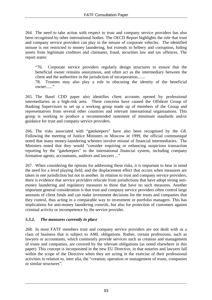264. The need to take action with respect to trust and company service providers has also been recognised by other international bodies. The OECD Report highlights the role that trust and company service providers can play in the misuse of corporate vehicles. The identified misuse is not restricted to money laundering, but extends to bribery and corruption, hiding assets from legitimate creditors and claimants, fraud, securities law and tax offences. The report states:

"76. Corporate service providers regularly design structures to ensure that the beneficial owner remains anonymous, and often act as the intermediary between the client and the authorities in the jurisdiction of incorporation.......

78. Trustees may also play a role in obscuring the identity of the beneficial owner......"

265. The Basel CDD paper also identifies client accounts opened by professional intermediaries as a high-risk area. These concerns have caused the Offshore Group of Banking Supervisors to set up a working group made up of members of the Group and representatives from several other countries and relevant international organisations. This group is working to produce a recommended statement of minimum standards and/or guidance for trust and company service providers.

266. The risks associated with "gatekeepers" have also been recognised by the G8. Following the meeting of Justice Ministers in Moscow in 1999, the official communiqué noted that many money-laundering schemes involve misuse of financial intermediaries. The Ministers noted that they would "consider requiring or enhancing suspicious transaction reporting by the "gatekeepers" to the international financial system, including company formation agents, accountants, auditors and lawyers ..."

267. When considering the options for addressing these risks, it is important to bear in mind the need for a level playing field, and the displacement effect that occurs when measures are taken in one jurisdiction but not in another. In relation to trust and company service providers, there is evidence that service providers relocate from jurisdictions that have adopt strong antimoney laundering and regulatory measures to those that have no such measures. Another important general consideration is that trust and company service providers often control large amounts of client funds and can make investment decisions for the trusts and companies that they control, thus acting in a comparable way to investment or portfolio managers. This has implications for anti-money laundering controls, but also for protection of customers against criminal activity or incompetence by the service provider.

#### *5.3.2. The measures currently in place*

268. In most FATF members trust and company service providers are not dealt with as a class of business that is subject to AML obligations. Rather, certain professions, such as lawyers or accountants, which commonly provide services such as creation and management of trusts and companies, are covered by the relevant obligations (as noted elsewhere in this paper). This concept is incorporated in the new EU Directive, in that notaries and lawyers fall within the scope of the Directive when they are acting in the exercise of their professional activities in relation to, inter alia, the "creation, operation or management of trusts, companies or similar structures".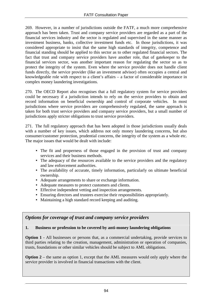269. However, in a number of jurisdictions outside the FATF, a much more comprehensive approach has been taken. Trust and company service providers are regarded as a part of the financial services industry and the sector is regulated and supervised in the same manner as investment business, banks, collective investment funds etc. In those jurisdictions, it was considered appropriate to insist that the same high standards of integrity, competence and financial standing should be applied to this sector as to other regulated financial sectors. The fact that trust and company service providers have another role, that of gatekeeper to the financial services sector, was another important reason for regulating the sector so as to protect the integrity of the system. Even where the service provider does not handle client funds directly, the service provider (like an investment advisor) often occupies a central and knowledgeable role with respect to a client's affairs – a factor of considerable importance in complex money laundering investigations.

270. The OECD Report also recognises that a full regulatory system for service providers could be necessary if a jurisdiction intends to rely on the service providers to obtain and record information on beneficial ownership and control of corporate vehicles. In most jurisdictions where service providers are comprehensively regulated, the same approach is taken for both trust service providers and company service providers, but a small number of jurisdictions apply stricter obligations to trust service providers.

271. The full regulatory approach that has been adopted in those jurisdictions usually deals with a number of key issues, which address not only money laundering concerns, but also consumer/customer protection, prudential concerns, the integrity of the system as a whole etc. The major issues that would be dealt with include:

- The fit and properness of those engaged in the provision of trust and company services and their business methods.
- The adequacy of the resources available to the service providers and the regulatory and law enforcement authorities.
- The availability of accurate, timely information, particularly on ultimate beneficial ownership.
- Adequate arrangements to share or exchange information.
- Adequate measures to protect customers and clients.
- Effective independent vetting and inspection arrangements.
- Ensuring directors and trustees exercise their responsibilities appropriately.
- Maintaining a high standard record keeping and auditing.

## *Options for coverage of trust and company service providers*

## **1. Business or profession to be covered by anti-money laundering obligations**

**Option 1** - All businesses or persons that, as a commercial undertaking, provide services to third parties relating to the creation, management, administration or operation of companies, trusts, foundations or other similar vehicles should be subject to AML obligations.

**Option 2** – the same as option 1, except that the AML measures would only apply where the service provider is involved in financial transactions with the client.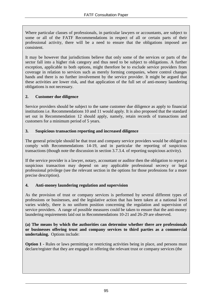Where particular classes of professionals, in particular lawyers or accountants, are subject to some or all of the FATF Recommendations in respect of all or certain parts of their professional activity, there will be a need to ensure that the obligations imposed are consistent.

It may be however that jurisdictions believe that only some of the services or parts of the sector fall into a higher risk category and thus need to be subject to obligations. A further exception, applicable to both options, might therefore be to exclude service providers from coverage in relation to services such as merely forming companies, where control changes hands and there is no further involvement by the service provider. It might be argued that these activities are lower risk, and that application of the full set of anti-money laundering obligations is not necessary.

#### **2. Customer due diligence**

Service providers should be subject to the same customer due diligence as apply to financial institutions i.e. Recommendations 10 and 11 would apply. It is also proposed that the standard set out in Recommendation 12 should apply, namely, retain records of transactions and customers for a minimum period of 5 years.

#### **3. Suspicious transaction reporting and increased diligence**

The general principle should be that trust and company service providers would be obliged to comply with Recommendations 14-19, and in particular the reporting of suspicious transactions (though note the discussion in section 3.7.3.4. of reporting suspicious activity).

If the service provider is a lawyer, notary, accountant or auditor then the obligation to report a suspicious transaction may depend on any applicable professional secrecy or legal professional privilege (see the relevant section in the options for those professions for a more precise description).

## **4. Anti-money laundering regulation and supervision**

As the provision of trust or company services is performed by several different types of professions or businesses, and the legislative action that has been taken at a national level varies widely, there is no uniform position concerning the regulation and supervision of service providers. A range of possible measures could be taken to ensure that the anti-money laundering requirements laid out in Recommendations 10-21 and 26-29 are observed.

**(a) The means by which the authorities can determine whether there are professionals or businesses offering trust and company services to third parties as a commercial undertaking.** Options include:

**Option 1 - Rules or laws permitting or restricting activities being in place, and persons must** declare/register that they are engaged in offering the relevant trust or company services (the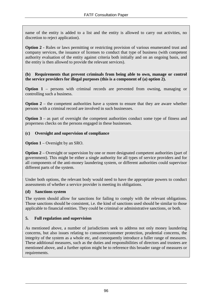name of the entity is added to a list and the entity is allowed to carry out activities, no discretion to reject application).

**Option 2 - Rules or laws permitting or restricting provision of various enumerated trust and** company services, the issuance of licenses to conduct that type of business (with competent authority evaluation of the entity against criteria both initially and on an ongoing basis, and the entity is then allowed to provide the relevant services).

#### **(b) Requirements that prevent criminals from being able to own, manage or control the service providers for illegal purposes (this is a component of (a) option 2).**

**Option 1** – persons with criminal records are prevented from owning, managing or controlling such a business.

**Option 2** – the competent authorities have a system to ensure that they are aware whether persons with a criminal record are involved in such businesses.

**Option 3** – as part of oversight the competent authorities conduct some type of fitness and properness checks on the persons engaged in these businesses.

## **(c) Oversight and supervision of compliance**

**Option 1** – Oversight by an SRO.

**Option 2** – Oversight or supervision by one or more designated competent authorities (part of government). This might be either a single authority for all types of service providers and for all components of the anti-money laundering system, or different authorities could supervisor different parts of the system.

Under both options, the relevant body would need to have the appropriate powers to conduct assessments of whether a service provider is meeting its obligations.

## **(d) Sanctions system**

The system should allow for sanctions for failing to comply with the relevant obligations. Those sanctions should be consistent, i.e. the kind of sanctions used should be similar to those applicable to financial entities. They could be criminal or administrative sanctions, or both.

## **5. Full regulation and supervision**

As mentioned above, a number of jurisdictions seek to address not only money laundering concerns, but also issues relating to consumer/customer protection, prudential concerns, the integrity of the system as a whole etc, and consequently introduce a fuller range of measures. These additional measures, such as the duties and responsibilities of directors and trustees are mentioned above, and a further option might be to reference this broader range of measures or requirements.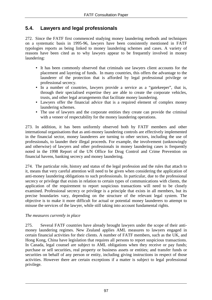# **5.4. Lawyers and legal professionals**

272. Since the FATF first commenced studying money laundering methods and techniques on a systematic basis in 1995-96, lawyers have been consistently mentioned in FATF typologies reports as being linked to money laundering schemes and cases. A variety of reasons have been cited as to why lawyers appear to be frequently involved in money laundering:

- It has been commonly observed that criminals use lawyers client accounts for the placement and layering of funds. In many countries, this offers the advantage to the launderer of the protection that is afforded by legal professional privilege or professional secrecy.
- In a number of countries, lawyers provide a service as a "gatekeeper", that is, through their specialised expertise they are able to create the corporate vehicles, trusts, and other legal arrangements that facilitate money laundering.
- Lawyers offer the financial advice that is a required element of complex money laundering schemes.
- The use of lawyers and the corporate entities they create can provide the criminal with a veneer of respectability for the money laundering operations.

273. In addition, it has been uniformly observed both by FATF members and other international organisations that as anti-money laundering controls are effectively implemented in the financial sector, money launderers are turning to other sectors, including the use of professionals, to launder their illegal proceeds. For example, the involvement (unknowingly and otherwise) of lawyers and other professionals in money laundering cases is frequently noted in the 1998 Report of the UN Office for Drug Control and Crime Prevention on financial havens, banking secrecy and money laundering.

274. The particular role, history and status of the legal profession and the rules that attach to it, means that very careful attention will need to be given when considering the application of anti-money laundering obligations to such professionals. In particular, due to the professional secrecy or privilege that exists in relation to certain types of communications with clients, the application of the requirement to report suspicious transactions will need to be closely examined. Professional secrecy or privilege is a principle that exists in all members, but its precise boundaries vary, depending on the structure of the relevant legal system. The objective is to make it more difficult for actual or potential money launderers to attempt to misuse the services of the lawyer, while still taking into account fundamental rights.

#### *The measures currently in place*

275. Several FATF countries have already brought lawyers under the scope of their antimoney laundering regimes. New Zealand applies AML measures to lawyers engaged in certain financial activities for their clients. A number of FATF members, such as the UK, and Hong Kong, China have legislation that requires all persons to report suspicious transactions. In Canada, legal counsel are subject to AML obligations when they receive or pay funds; purchase or sell securities, real property or business assets or entities; and transfer funds or securities on behalf of any person or entity, including giving instructions in respect of those activities. However there are certain exceptions if a matter is subject to legal professional privilege.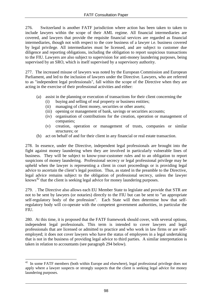276. Switzerland is another FATF jurisdiction where action has been taken to taken to include lawyers within the scope of their AML regime. All financial intermediaries are covered, and lawyers that provide the requisite financial services are regarded as financial intermediaries, though not with respect to the core business of a lawyer i.e. business covered by legal privilege. All intermediaries must be licensed, and are subject to customer due diligence and reporting obligations, including the obligation to report suspicious transactions to the FIU. Lawyers are also subject to supervision for anti-money laundering purposes, being supervised by an SRO, which is itself supervised by a supervisory authority.

277. The increased misuse of lawyers was noted by the European Commission and European Parliament, and led to the inclusion of lawyers under the Directive. Lawyers, who are referred to as "independent legal professionals", fall within the scope of the Directive when they are acting in the exercise of their professional activities and either:

- (a) assist in the planning or execution of transactions for their client concerning the
	- (i) buying and selling of real property or business entities;
	- (ii) managing of client money, securities or other assets;
	- (iii) opening or management of bank, savings or securities accounts;
	- (iv) organisation of contributions for the creation, operation or management of companies;
	- (v) creation, operation or management of trusts, companies or similar structures; or
- (b) act on behalf of and for their client in any financial or real estate transaction.

278. In essence, under the Directive, independent legal professionals are brought into the fight against money laundering when they are involved in particularly vulnerable lines of business. They will be subject to know-your-customer rules and to an obligation to report suspicions of money laundering. Professional secrecy or legal professional privilege may be upheld when the lawyer is representing a client in court proceedings or is providing legal advice to ascertain the client's legal position. Thus, as stated in the preamble to the Directive, legal advice remains subject to the obligation of professional secrecy, unless the lawyer knows<sup>42</sup> that the client is seeking legal advice for money laundering purposes.

279. . The Directive also allows each EU Member State to legislate and provide that STR are not to be sent by lawyers (or notaries) directly to the FIU but can be sent to "an appropriate self-regulatory body of the profession". Each State will then determine how that selfregulatory body will co-operate with the competent government authorities, in particular the FIU.

280. At this time, it is proposed that the FATF framework should cover, with several options, independent legal professionals. This term is intended to cover lawyers and legal professionals that are licensed or admitted to practice and who work in law firms or are selfemployed; it does not cover lawyers who have the status of employees in a legal undertaking that is not in the business of providing legal advice to third parties. A similar interpretation is taken in relation to accountants (see paragraph 294 below).

 $\overline{a}$  $42$  In some FATF members (both within Europe and elsewhere), legal professional privilege does not apply where a lawyer suspects or strongly suspects that the client is seeking legal advice for money laundering purposes.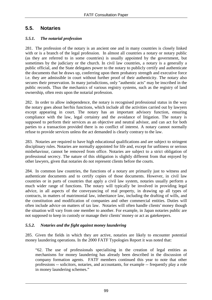# **5.5. Notaries**

## *5.5.1. The notarial profession*

281. The profession of the notary is an ancient one and in many countries is closely linked with or is a branch of the legal profession. In almost all countries a notary or notary public (as they are referred to in some countries) is usually appointed by the government, but sometimes by the judiciary or the church. In civil law countries, a notary is a generally a public official, and the State delegates power to the notary to publicly certify and authenticate the documents that he draws up, conferring upon them probatory strength and executive force i.e. they are admissible in court without further proof of their authenticity. The notary also secures their preservation. In many jurisdictions, only "authentic acts" may be inscribed in the public records. Thus the mechanics of various registry systems, such as the registry of land ownership, often rests upon the notarial profession.

282. In order to allow independence, the notary is recognised professional status in the way the notary goes about her/his functions, which include all the activities carried out by lawyers except appearing in court. The notary has an important advisory function, ensuring compliance with the law, legal certainty and the avoidance of litigation. The notary is supposed to perform their services as an objective and neutral advisor, and can act for both parties to a transaction provided there is no conflict of interest. A notary cannot normally refuse to provide services unless the act demanded is clearly contrary to the law.

283. Notaries are required to have high educational qualifications and are subject to stringent disciplinary rules. Notaries are normally appointed for life and, except for unfitness or serious misbehaviour, cannot be removed from office. Notaries are subject to a strict obligation of professional secrecy. The nature of this obligation is slightly different from that enjoyed by other lawyers, given that notaries do not represent clients before the courts.

284. In common law countries, the functions of a notary are primarily just to witness and authenticate documents and to certify copies of those documents. However, in civil law countries or in parts of countries that apply a civil law system, notaries usually perform a much wider range of functions. The notary will typically be involved in providing legal advice, in all aspects of the conveyancing of real property, in drawing up all types of contracts, in matters of matrimonial law, inheritance law, including the drafting of wills, and the constitution and modification of companies and other commercial entities. Duties will often include advice on matters of tax law. Notaries will often handle clients' money though the situation will vary from one member to another. For example, in Japan notaries public are not supposed to keep in custody or manage their clients' money or act as gatekeepers.

## *5.5.2. Notaries and the fight against money laundering*

285. Given the fields in which they are active, notaries are likely to encounter potential money laundering operations. In the 2000 FATF Typologies Report it was noted that:

"62. The use of professionals specialising in the creation of legal entities as mechanisms for money laundering has already been described in the discussion of company formation agents. FATF members continued this year to note that other professions -- solicitors, notaries, and accountants, for example -- frequently play a role in money laundering schemes."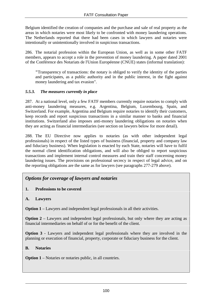Belgium identified the creation of companies and the purchase and sale of real property as the areas in which notaries were most likely to be confronted with money laundering operations. The Netherlands reported that there had been cases in which lawyers and notaries were intentionally or unintentionally involved in suspicious transactions.

286. The notarial profession within the European Union, as well as in some other FATF members, appears to accept a role in the prevention of money laundering. A paper dated 2001 of the Conférence des Notariats de l'Union Européenne (CNUE) states (informal translation):

**"**Transparency of transactions: the notary is obliged to verify the identity of the parties and participates, as a public authority and in the public interest, in the fight against money laundering and tax evasion".

## *5.5.3. The measures currently in place*

287. At a national level, only a few FATF members currently require notaries to comply with anti-money laundering measures, e.g. Argentina, Belgium, Luxembourg, Spain, and Switzerland. For example, Argentina and Belgium require notaries to identify their customers, keep records and report suspicious transactions in a similar manner to banks and financial institutions. Switzerland also imposes anti-money laundering obligations on notaries when they are acting as financial intermediaries (see section on lawyers below for more detail).

288. The EU Directive now applies to notaries (as with other independent legal professionals) in respect of the listed types of business (financial, property and company law and fiduciary business). When legislation is enacted by each State, notaries will have to fulfil the normal client identification obligations, and will also be obliged to report suspicious transactions and implement internal control measures and train their staff concerning money laundering issues. The provisions on professional secrecy in respect of legal advice, and on the reporting obligations are the same as for lawyers (see paragraphs 277-279 above).

# *Options for coverage of lawyers and notaries*

- **1. Professions to be covered**
- **A. Lawyers**

**Option 1** – Lawyers and independent legal professionals in all their activities.

**Option 2** – Lawyers and independent legal professionals, but only where they are acting as financial intermediaries on behalf of or for the benefit of the client.

**Option 3** - Lawyers and independent legal professionals where they are involved in the planning or execution of financial, property, corporate or fiduciary business for the client.

## **B. Notaries**

**Option 1** – Notaries or notaries public, in all countries.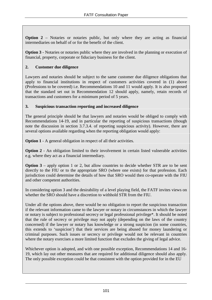**Option 2** – Notaries or notaries public, but only where they are acting as financial intermediaries on behalf of or for the benefit of the client.

**Option 3** - Notaries or notaries public where they are involved in the planning or execution of financial, property, corporate or fiduciary business for the client.

## **2. Customer due diligence**

Lawyers and notaries should be subject to the same customer due diligence obligations that apply to financial institutions in respect of customers activities covered in (1) above (Professions to be covered) i.e. Recommendations 10 and 11 would apply. It is also proposed that the standard set out in Recommendation 12 should apply, namely, retain records of transactions and customers for a minimum period of 5 years.

## **3. Suspicious transaction reporting and increased diligence**

The general principle should be that lawyers and notaries would be obliged to comply with Recommendations 14-19, and in particular the reporting of suspicious transactions (though note the discussion in section 3.7.3.4. of reporting suspicious activity). However, there are several options available regarding when the reporting obligation would apply:

**Option 1** - A general obligation in respect of all their activities.

**Option 2** - An obligation limited to their involvement in certain listed vulnerable activities e.g. where they act as a financial intermediary.

**Option 3** – apply option 1 or 2, but allow countries to decide whether STR are to be sent directly to the FIU or to the appropriate SRO (where one exists) for that profession. Each jurisdiction could determine the details of how that SRO would then co-operate with the FIU and other competent authorities.

In considering option 3 and the desirability of a level playing field, the FATF invites views on whether the SRO should have a discretion to withhold STR from the FIU.

Under all the options above, there would be no obligation to report the suspicious transaction if the relevant information came to the lawyer or notary in circumstances in which the lawyer or notary is subject to professional secrecy or legal professional privilege\*. It should be noted that the rule of secrecy or privilege may not apply (depending on the laws of the country concerned) if the lawyer or notary has knowledge or a strong suspicion (in some countries, this extends to 'suspicion') that their services are being abused for money laundering or criminal purposes. Such issues or secrecy or privilege would not be relevant in countries where the notary exercises a more limited function that excludes the giving of legal advice.

Whichever option is adopted, and with one possible exception, Recommendations 14 and 16- 19, which lay out other measures that are required for additional diligence should also apply. The only possible exception could be that consistent with the option provided for in the EU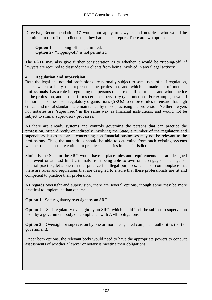Directive, Recommendation 17 would not apply to lawyers and notaries, who would be permitted to tip-off their clients that they had made a report. There are two options:

**Option 1** – "Tipping-off" is permitted. **Option 2-** "Tipping-off" is not permitted.

The FATF may also give further consideration as to whether it would be "tipping-off" if lawyers are required to dissuade their clients from being involved in any illegal activity.

## **4. Regulation and supervision**

Both the legal and notarial professions are normally subject to some type of self-regulation, under which a body that represents the profession, and which is made up of member professionals, has a role in regulating the persons that are qualified to enter and who practice in the profession, and also performs certain supervisory type functions. For example, it would be normal for these self-regulatory organisations (SROs) to enforce rules to ensure that high ethical and moral standards are maintained by those practising the profession. Neither lawyers nor notaries are "supervised" in the same way as financial institutions, and would not be subject to similar supervisory processes.

As there are already systems and controls governing the persons that can practice the profession, often directly or indirectly involving the State, a number of the regulatory and supervisory issues that arise concerning non-financial businesses may not be relevant to the professions. Thus, the authorities should be able to determine from such existing systems whether the persons are entitled to practice as notaries in their jurisdiction.

Similarly the State or the SRO would have in place rules and requirements that are designed to prevent or at least limit criminals from being able to own or be engaged in a legal or notarial practice, let alone run that practice for illegal purposes. It is also commonplace that there are rules and regulations that are designed to ensure that these professionals are fit and competent to practice their profession.

As regards oversight and supervision, there are several options, though some may be more practical to implement than others:

**Option 1** - Self-regulatory oversight by an SRO.

**Option 2** – Self-regulatory oversight by an SRO, which could itself be subject to supervision itself by a government body on compliance with AML obligations.

**Option 3** – Oversight or supervision by one or more designated competent authorities (part of government).

Under both options, the relevant body would need to have the appropriate powers to conduct assessments of whether a lawyer or notary is meeting their obligations.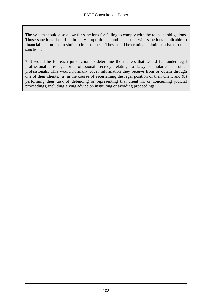The system should also allow for sanctions for failing to comply with the relevant obligations. Those sanctions should be broadly proportionate and consistent with sanctions applicable to financial institutions in similar circumstances. They could be criminal, administrative or other sanctions.

\* It would be for each jurisdiction to determine the matters that would fall under legal professional privilege or professional secrecy relating to lawyers, notaries or other professionals. This would normally cover information they receive from or obtain through one of their clients: (a) in the course of ascertaining the legal position of their client and (b) performing their task of defending or representing that client in, or concerning judicial proceedings, including giving advice on instituting or avoiding proceedings.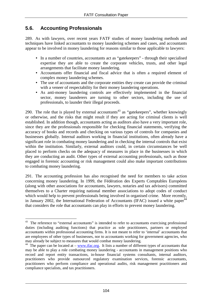# **5.6. Accounting Professionals**

 $\overline{a}$ 

289. As with lawyers, over recent years FATF studies of money laundering methods and techniques have linked accountants to money laundering schemes and cases, and accountants appear to be involved in money laundering for reasons similar to those applicable to lawyers:

- In a number of countries, accountants act as "gatekeepers" through their specialised expertise they are able to create the corporate vehicles, trusts, and other legal arrangements that facilitate money laundering.
- Accountants offer financial and fiscal advice that is often a required element of complex money laundering schemes.
- The use of accountants and the corporate entities they create can provide the criminal with a veneer of respectability for their money laundering operations.
- As anti-money laundering controls are effectively implemented in the financial sector, money launderers are turning to other sectors, including the use of professionals, to launder their illegal proceeds.

290. The role that is played by external accountants<sup>43</sup> as "gatekeepers", whether knowingly or otherwise, and the risks that might result if they are acting for criminal clients is well established. In addition though, accountants acting as auditors also have a very important role, since they are the professionals responsible for checking financial statements, verifying the accuracy of books and records and checking on various types of controls for companies and businesses globally. Internal auditors working in financial institutions, often already have a significant role in combating money laundering and in checking the internal controls that exist within the institution. Similarly, external auditors could, in certain circumstances be well placed to perform checks on the adequacy of measures in place in the businesses in which they are conducting an audit. Other types of external accounting professionals, such as those engaged in forensic accounting or risk management could also make important contributions to combating money laundering.

291. The accounting profession has also recognised the need for members to take action concerning money laundering. In 1999, the Fédération des Experts Comptables Européens (along with other associations for accountants, lawyers, notaries and tax advisors) committed themselves to a Charter requiring national member associations to adopt codes of conduct which would help to prevent professionals being involved in organised crime. More recently, in January 2002, the International Federation of Accountants (IFAC) issued a white paper<sup>44</sup> that considers the role that accountants can play in efforts to prevent money laundering.

<sup>&</sup>lt;sup>43</sup> The reference to "external accountants" is intended to refer to accountants exercising professional duties (including auditing functions) that practice as sole practitioners, partners or employed accountants within professional accounting firms. It is not meant to refer to 'internal' accountants that are employees of other types of businesses, nor to accountants working for government agencies, who may already be subject to measures that would combat money laundering.

<sup>&</sup>lt;sup>44</sup> The paper can be located at – www.ifac.org. It lists a number of different types of accountants that may be able to play a role combating money laundering - accountants in management positions who record and report entity transactions, in-house financial systems consultants, internal auditors, practitioners who provide outsourced regulatory examination services, forensic accountants, practitioners who perform compliance and operational audits, risk management practitioners and compliance specialists, and tax practitioners.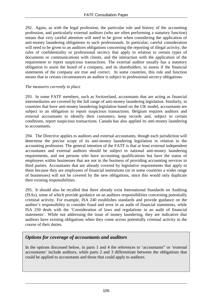292. Again, as with the legal profession, the particular role and history of the accounting profession, and particularly external auditors (who are often performing a statutory function) means that very careful attention will need to be given when considering the application of anti-money laundering obligations to such professionals. In particular, careful consideration will need to be given to an auditors obligations concerning the reporting of illegal activity, the rules of confidentiality or professional secrecy that apply in relation to certain types of documents or communications with clients, and the interaction with the application of the requirement to report suspicious transactions. The external auditor usually has a statutory obligation to assist the board of a company, and its shareholders, to assess if the financial statements of the company are true and correct. In some countries, this role and function means that in certain circumstances an auditor is subject to professional secrecy obligations.

#### *The measures currently in place*

293. In some FATF members, such as Switzerland, accountants that are acting as financial intermediaries are covered by the full range of anti-money laundering legislation. Similarly, in countries that have anti-money laundering legislation based on the UK model, accountants are subject to an obligation to report suspicious transactions. Belgium requires auditors and external accountants to identify their customers, keep records and, subject to certain conditions, report suspicious transactions. Canada has also applied its anti-money laundering to accountants.

294. The Directive applies to auditors and external accountants, though each jurisdiction will determine the precise scope of its anti-money laundering legislation in relation to the accounting profession. The general intention of the FATF is that at least external independent accountants and external auditors should be subject to national anti-money laundering requirements, and not persons who have accounting qualifications but have the status of employees within businesses that are not in the business of providing accounting services to third parties. Accountants that are already covered by legislative requirements that apply to them because they are employees of financial institutions (or in some countries a wider range of businesses) will not be covered by the new obligations, since this would only duplicate their existing responsibilities.

295. It should also be recalled that there already exist International Standards on Auditing (ISAs), some of which provide guidance on an auditors responsibilities concerning potentially criminal activity. For example, ISA 240 establishes standards and provide guidance on the auditor's responsibility to consider fraud and error in an audit of financial statements, while ISA 250 deals with the 'Consideration of laws and regulations in an audit of financial statements'. While not addressing the issue of money laundering, they are indicative that auditors have existing obligations when they come across potentially criminal activity in the course of their duties.

# *Options for coverage of accountants and auditors*

In the options discussed below, in parts 1 and 4 the references to 'accountants" or 'external accountants' include auditors, while parts 2 and 3 differentiate between the obligations that could be applied to accountants and those that could apply to auditors.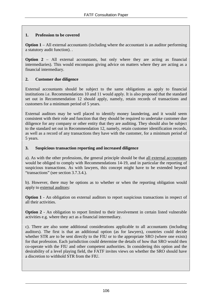# **1. Profession to be covered**

**Option 1** – All external accountants (including where the accountant is an auditor performing a statutory audit function). .

**Option 2** – All external accountants, but only where they are acting as financial intermediaries). This would encompass giving advice on matters where they are acting as a financial intermediary.

## **2. Customer due diligence**

External accountants should be subject to the same obligations as apply to financial institutions i.e. Recommendations 10 and 11 would apply. It is also proposed that the standard set out in Recommendation 12 should apply, namely, retain records of transactions and customers for a minimum period of 5 years.

External auditors may be well placed to identify money laundering, and it would seem consistent with their role and function that they should be required to undertake customer due diligence for any company or other entity that they are auditing. They should also be subject to the standard set out in Recommendation 12, namely, retain customer identification records, as well as a record of any transactions they have with the customer, for a minimum period of 5 years.

## **3. Suspicious transaction reporting and increased diligence**

a). As with the other professions, the general principle should be that all external accountants would be obliged to comply with Recommendations 14-19, and in particular the reporting of suspicious transactions. As with lawyers, this concept might have to be extended beyond "transactions" (see section 3.7.3.4.).

b). However, there may be options as to whether or when the reporting obligation would apply to external auditors:

**Option 1** - An obligation on external auditors to report suspicious transactions in respect of all their activities.

**Option 2** - An obligation to report limited to their involvement in certain listed vulnerable activities e.g. where they act as a financial intermediary.

c). There are also some additional considerations applicable to all accountants (including auditors). The first is that an additional option (as for lawyers), countries could decide whether STR are to be sent directly to the FIU or to the appropriate SRO (where one exists) for that profession. Each jurisdiction could determine the details of how that SRO would then co-operate with the FIU and other competent authorities. In considering this option and the desirability of a level playing field, the FATF invites views on whether the SRO should have a discretion to withhold STR from the FIU.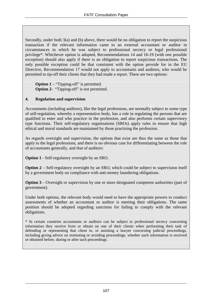Secondly, under both 3(a) and (b) above, there would be no obligation to report the suspicious transaction if the relevant information came to an external accountant or auditor in circumstances in which he was subject to professional secrecy or legal professional privilege\*. Whichever option is adopted, Recommendations 14 and 16-19 (with one possible exception) should also apply if there is an obligation to report suspicious transactions. The only possible exception could be that consistent with the option provide for in the EU Directive, Recommendation 17 would not apply to accountants and auditors, who would be permitted to tip-off their clients that they had made a report. There are two options:

**Option 1** – "Tipping-off" is permitted. **Option 2-** "Tipping-off" is not permitted.

#### **4. Regulation and supervision**

Accountants (including auditors), like the legal professions, are normally subject to some type of self-regulation, whereby a representative body, has a role in regulating the persons that are qualified to enter and who practice in the profession, and also performs certain supervisory type functions. Their self-regulatory organisations (SROs) apply rules to ensure that high ethical and moral standards are maintained by those practising the profession.

As regards oversight and supervision, the options that exist are thus the same as those that apply to the legal professions, and there is no obvious case for differentiating between the role of accountants generally, and that of auditors:

**Option 1** - Self-regulatory oversight by an SRO.

**Option 2** – Self-regulatory oversight by an SRO, which could be subject to supervision itself by a government body on compliance with anti-money laundering obligations.

**Option 3** – Oversight or supervision by one or more designated competent authorities (part of government).

Under both options, the relevant body would need to have the appropriate powers to conduct assessments of whether an accountant or auditor is meeting their obligations. The same position should be adopted regarding sanctions for failing to comply with the relevant obligations.

\* In certain countries accountants or auditors can be subject to professional secrecy concerning information they receive from or obtain on one of their clients when performing their task of defending or representing that client in, or assisting a lawyer concerning judicial proceedings, including giving advice on instituting or avoiding proceedings, whether such information is received or obtained before, during or after such proceedings.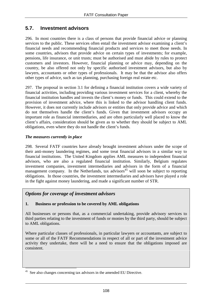# **5.7. Investment advisors**

296. In most countries there is a class of persons that provide financial advice or planning services to the public. These services often entail the investment advisor examining a client's financial needs and recommending financial products and services to meet those needs. In some countries, advisors that provide advice on certain types of investments; for example, pensions, life insurance, or unit trusts; must be authorised and must abide by rules to protect customers and investors. However, financial planning or advice may, depending on the country, be also offered not only by specific authorised investment advisors, but also by lawyers, accountants or other types of professionals. It may be that the advisor also offers other types of advice, such as tax planning, purchasing foreign real estate etc.

297. The proposal in section 3.1 for defining a financial institution covers a wide variety of financial activities, including providing various investment services for a client, whereby the financial institution handles and invests the client's money or funds. This could extend to the provision of investment advice, where this is linked to the advisor handling client funds. However, it does not currently include advisors or entities that only provide advice and which do not themselves handle the client's funds. Given that investment advisors occupy an important role as financial intermediaries, and are often particularly well placed to know the client's affairs, consideration should be given as to whether they should be subject to AML obligations, even where they do not handle the client's funds.

### *The measures currently in place*

 $\overline{a}$ 

298. Several FATF countries have already brought investment advisors under the scope of their anti-money laundering regimes, and some treat financial advisors in a similar way to financial institutions. The United Kingdom applies AML measures to independent financial advisors, who are also a regulated financial institution. Similarly, Belgium regulates investment companies, investment intermediaries and advisors in the form of a financial management company. In the Netherlands, tax advisors<sup>45</sup> will soon be subject to reporting obligations. In those countries, the investment intermediaries and advisors have played a role in the fight against money laundering, and made a significant number of STR.

# *Options for coverage of investment advisors*

#### **1. Business or profession to be covered by AML obligations**

All businesses or persons that, as a commercial undertaking, provide advisory services to third parties relating to the investment of funds or monies by the third party, should be subject to AML obligations.

Where particular classes of professionals, in particular lawyers or accountants, are subject to some or all of the FATF Recommendations in respect of all or part of the investment advice activity they undertake, there will be a need to ensure that the obligations imposed are consistent.

<sup>&</sup>lt;sup>45</sup> See also changes concerning tax advisors in the amended EU Directive.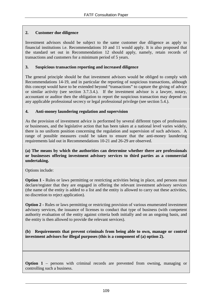# **2. Customer due diligence**

Investment advisors should be subject to the same customer due diligence as apply to financial institutions i.e. Recommendations 10 and 11 would apply. It is also proposed that the standard set out in Recommendation 12 should apply, namely, retain records of transactions and customers for a minimum period of 5 years.

## **3. Suspicious transaction reporting and increased diligence**

The general principle should be that investment advisors would be obliged to comply with Recommendations 14-19, and in particular the reporting of suspicious transactions, although this concept would have to be extended beyond "transactions" to capture the giving of advice or similar activity (see section 3.7.3.4.). If the investment advisor is a lawyer, notary, accountant or auditor then the obligation to report the suspicious transaction may depend on any applicable professional secrecy or legal professional privilege (see section 5.4.).

### **4. Anti-money laundering regulation and supervision**

As the provision of investment advice is performed by several different types of professions or businesses, and the legislative action that has been taken at a national level varies widely, there is no uniform position concerning the regulation and supervision of such advisors. A range of possible measures could be taken to ensure that the anti-money laundering requirements laid out in Recommendations 10-21 and 26-29 are observed.

#### **(a) The means by which the authorities can determine whether there are professionals or businesses offering investment advisory services to third parties as a commercial undertaking.**

Options include:

**Option 1 - Rules or laws permitting or restricting activities being in place, and persons must** declare/register that they are engaged in offering the relevant investment advisory services (the name of the entity is added to a list and the entity is allowed to carry out these activities, no discretion to reject application).

**Option 2 - Rules or laws permitting or restricting provision of various enumerated investment** advisory services, the issuance of licenses to conduct that type of business (with competent authority evaluation of the entity against criteria both initially and on an ongoing basis, and the entity is then allowed to provide the relevant services).

#### **(b) Requirements that prevent criminals from being able to own, manage or control investment advisors for illegal purposes (this is a component of (a) option 2).**

**Option 1** – persons with criminal records are prevented from owning, managing or controlling such a business.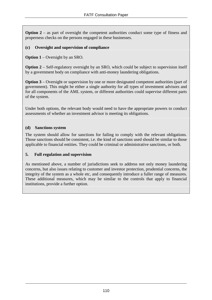**Option 2** – as part of oversight the competent authorities conduct some type of fitness and properness checks on the persons engaged in these businesses.

## **(c) Oversight and supervision of compliance**

**Option 1** – Oversight by an SRO.

**Option 2** – Self-regulatory oversight by an SRO, which could be subject to supervision itself by a government body on compliance with anti-money laundering obligations.

**Option 3** – Oversight or supervision by one or more designated competent authorities (part of government). This might be either a single authority for all types of investment advisors and for all components of the AML system, or different authorities could supervise different parts of the system.

Under both options, the relevant body would need to have the appropriate powers to conduct assessments of whether an investment advisor is meeting its obligations.

#### **(d) Sanctions system**

The system should allow for sanctions for failing to comply with the relevant obligations. Those sanctions should be consistent, i.e. the kind of sanctions used should be similar to those applicable to financial entities. They could be criminal or administrative sanctions, or both.

#### **5. Full regulation and supervision**

As mentioned above, a number of jurisdictions seek to address not only money laundering concerns, but also issues relating to customer and investor protection, prudential concerns, the integrity of the system as a whole etc, and consequently introduce a fuller range of measures. These additional measures, which may be similar to the controls that apply to financial institutions, provide a further option.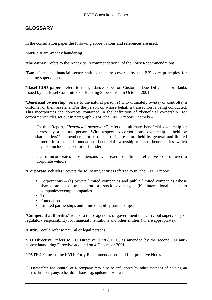# **GLOSSARY**

In the consultation paper the following abbreviations and references are used:

"**AML**" = anti-money laundering

"**the Annex**" refers to the Annex to Recommendation 9 of the Forty Recommendations.

"**Banks**" means financial sector entities that are covered by the BIS core principles for banking supervision.

"**Basel CDD paper**" refers to the guidance paper on Customer Due Diligence for Banks issued by the Basel Committee on Banking Supervision in October 2001.

"**Beneficial ownership**" refers to the natural person(s) who ultimately own(s) or control(s) a customer or their assets, and/or the person on whose behalf a transaction is being conducted. This incorporates the concepts contained in the definition of "beneficial ownership" for corporate vehicles set out in paragraph 20 of "the OECD report", namely –

"In this Report, *"beneficial ownership"* refers to ultimate beneficial ownership or interest by a natural person. With respect to corporations, ownership is held by shareholders<sup>46</sup> or members. In partnerships, interests are held by general and limited partners. In trusts and foundations, beneficial ownership refers to beneficiaries, which may also include the settlor or founder."

It also incorporates those persons who exercise ultimate effective control over a 'corporate vehicle.

"**Corporate Vehicles**" covers the following entities referred to in "the OECD report":

- Corporations  $-$  (a) private limited companies and public limited companies whose shares are not traded on a stock exchange, (b) international business companies/exempt companies.
- Trusts
- Foundations.
- Limited partnerships and limited liability partnerships.

"**Competent authorities**" refers to those agencies of government that carry out supervisory or regulatory responsibility for financial institutions and other entities (where appropriate).

"**Entity**" could refer to natural or legal persons.

"**EU Directive**" refers to EU Directive 91/308/EEC, as amended by the second EU antimoney laundering Directive adopted on 4 December 2001.

"**FATF 40**" means the FATF Forty Recommendations and Interpretative Notes.

 $46<sup>1</sup>$ Ownership and control of a company may also be influenced by other methods of holding an interest in a company, other than shares e.g. options or warrants.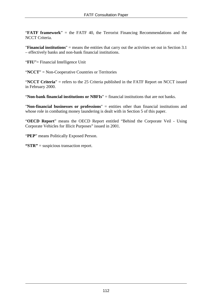"**FATF framework**" = the FATF 40, the Terrorist Financing Recommendations and the NCCT Criteria.

"**Financial institutions**" = means the entities that carry out the activities set out in Section 3.1 – effectively banks and non-bank financial institutions.

"**FIU**"= Financial Intelligence Unit

"**NCCT**" = Non-Cooperative Countries or Territories

"**NCCT Criteria**" = refers to the 25 Criteria published in the FATF Report on NCCT issued in February 2000.

"**Non-bank financial institutions or NBFIs**" = financial institutions that are not banks.

"**Non-financial businesses or professions**" = entities other than financial institutions and whose role in combating money laundering is dealt with in Section 5 of this paper.

"**OECD Report**" means the OECD Report entitled "Behind the Corporate Veil - Using Corporate Vehicles for Illicit Purposes" issued in 2001.

"**PEP**" means Politically Exposed Person.

**"STR"** = suspicious transaction report.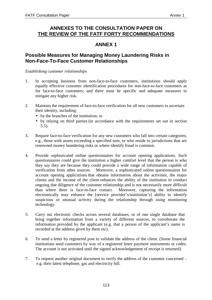# **ANNEXES TO THE CONSULTATION PAPER ON THE REVIEW OF THE FATF FORTY RECOMMENDATIONS**

# **ANNEX 1**

# **Possible Measures for Managing Money Laundering Risks in Non-Face-To-Face Customer Relationships**

#### *Establishing customer relationships*

- 1. In accepting business from non-face-to-face customers, institutions should apply equally effective customer identification procedures for non-face-to-face customers as for face-to-face customers; and there must be specific and adequate measures to mitigate any higher risk.
- 2. Maintain the requirement of face-to-face verification for all new customers to ascertain their identity, including:
	- by the branches of the institution; or
	- by relying on third parties (in accordance with the requirements set out in section 5.5).
- 3. Require face-to-face verification for any new customers who fall into certain categories, e.g., those with assets exceeding a specified sum, or who reside in jurisdictions that are renowned money laundering risks or where identify fraud is common.
- 4. Provide sophisticated online questionnaires for account opening applications. Such questionnaires could give the institution a higher comfort level that the person is who they say they are because they could provide a wide range of information capable of verification from other sources. Moreover, a sophisticated online questionnaires for account opening applications that obtains information about the activities, the major clients and the income of the client enhances the ability of the institution to conduct ongoing due diligence of the customer relationship and is not necessarily more difficult than where there is face-to-face contact. Moreover, capturing the information electronically may enhance the [service provider's/institution's] ability to identify suspicious or unusual activity during the relationship through using monitoring technology.
- 5. Carry out electronic checks across several databases, or of one single database that bring together information from a variety of different sources, to corroborate the information provided by the applicant (e.g. that a person of the applicant's name is recorded at the address given by them etc).
- 6. To send a letter by registered post to validate the address of the client. (Some financial institutions send customers by way of a registered letter payment instruments or codes. The account is not activated until the signed acknowledgement of receipt is returned).
- 7. To request another original document to verify the address of the customer concerned e.g. their latest telephone, gas and electricity bill.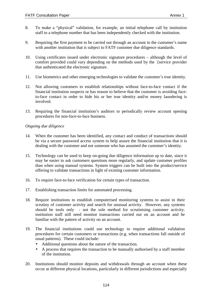- 8. To make a "physical" validation, for example, an initial telephone call by institution staff to a telephone number that has been independently checked with the institution.
- 9. Requiring the first payment to be carried out through an account in the customer's name with another institution that is subject to FATF customer due diligence standards.
- 10. Using certificates issued under electronic signature procedures although the level of comfort provided could vary depending on the methods used by the [service provider that authenticated the electronic signature.
- 11. Use biometrics and other emerging technologies to validate the customer's true identity.
- 12. Not allowing customers to establish relationships without face-to-face contact if the financial institution suspects or has reason to believe that the customer is avoiding faceto-face contact in order to hide his or her true identity and/or money laundering is involved.
- 13. Requiring the financial institution's auditors to periodically review account opening procedures for non-face-to-face business.

#### *Ongoing due diligence*

- 14. When the customer has been identified, any contact and conduct of transactions should be via a secure password access system to help assure the financial institution that it is dealing with the customer and not someone who has assumed the customer's identity.
- 15. Technology can be used to keep on-going due diligence information up to date, since it may be easier to ask customers questions more regularly, and update customer profiles than when using manual systems. System triggers can be built into the product/service offering to validate transactions in light of existing customer information.
- 16. To require face-to-face verification for certain types of transaction.
- 17. Establishing transaction limits for automated processing.
- 18. Require institutions to establish computerised monitoring systems to assist in their scrutiny of customer activity and search for unusual activity. However, any systems should be tools only - not the sole method for scrutinising customer activity. institution staff still need monitor transactions carried out on an account and be familiar with the pattern of activity on an account.
- 19. The financial institutions could use technology to require additional validation procedures for certain customers or transactions (e.g. when transactions fall outside of usual patterns). These could include:
	- Additional questions about the nature of the transaction.
	- A process that requires the transaction to be manually authorised by a staff member of the institution.
- 20. Institutions should monitor deposits and withdrawals through an account when these occur at different physical locations, particularly in different jurisdictions and especially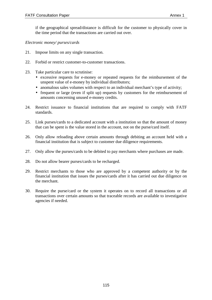if the geographical spread/distance is difficult for the customer to physically cover in the time period that the transactions are carried out over.

## *Electronic money/ purses/cards*

- 21. Impose limits on any single transaction.
- 22. Forbid or restrict customer-to-customer transactions.
- 23. Take particular care to scrutinise:
	- excessive requests for e-money or repeated requests for the reimbursement of the unspent value of e-money by individual distributors;
	- anomalous sales volumes with respect to an individual merchant's type of activity;
	- frequent or large (even if split up) requests by customers for the reimbursement of amounts concerning unused e-money credits.
- 24. Restrict issuance to financial institutions that are required to comply with FATF standards.
- 25. Link purses/cards to a dedicated account with a institution so that the amount of money that can be spent is the value stored in the account, not on the purse/card itself.
- 26. Only allow reloading above certain amounts through debiting an account held with a financial institution that is subject to customer due diligence requirements.
- 27. Only allow the purses/cards to be debited to pay merchants where purchases are made.
- 28. Do not allow bearer purses/cards to be recharged.
- 29. Restrict merchants to those who are approved by a competent authority or by the financial institution that issues the purses/cards after it has carried out due diligence on the merchant.
- 30. Require the purse/card or the system it operates on to record all transactions or all transactions over certain amounts so that traceable records are available to investigative agencies if needed.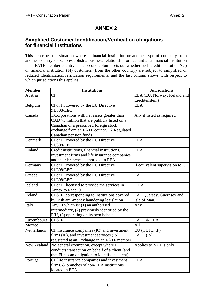# **Simplified Customer Identification/Verification obligations for financial institutions**

This describes the situation where a financial institution or another type of company from another country seeks to establish a business relationship or account at a financial institution in an FATF member country. The second column sets out whether such credit institution (CI) or financial institution (FI) customers (from the other country) are subject to simplified or reduced identification/verification requirements, and the last column shows with respect to which jurisdictions this applies.

| <b>Member</b> | <b>Institutions</b>                                                                                                                                                                                            | <b>Jurisdictions</b>                           |  |
|---------------|----------------------------------------------------------------------------------------------------------------------------------------------------------------------------------------------------------------|------------------------------------------------|--|
| Austria       | <b>CI</b>                                                                                                                                                                                                      | EEA (EU, Norway, Iceland and<br>Liechtenstein) |  |
| Belgium       | CI or FI covered by the EU Directive<br>91/308/EEC                                                                                                                                                             | <b>EEA</b>                                     |  |
| Canada        | 1. Corporations with net assets greater than<br>CAD 75 million that are publicly listed on a<br>Canadian or a prescribed foreign stock<br>exchange from an FATF country. 2.Regulated<br>Canadian pension funds | Any if listed as required                      |  |
| Denmark       | CI or FI covered by the EU Directive<br>91/308/EEC                                                                                                                                                             | <b>EEA</b>                                     |  |
| Finland       | Credit institutions, financial institutions,<br>investment firms and life insurance companies<br>and their branches authorized in EEA                                                                          | <b>EEA</b>                                     |  |
| Germany       | CI or FI covered by the EU Directive<br>91/308/EEC                                                                                                                                                             | If equivalent supervision to CI                |  |
| Greece        | CI or FI covered by the EU Directive<br>91/308/EEC                                                                                                                                                             | <b>FATF</b>                                    |  |
| Iceland       | CI or FI licensed to provide the services in<br>Annex to Recc. 9                                                                                                                                               | <b>EEA</b>                                     |  |
| Ireland       | CI & FI corresponding to institutions covered<br>by Irish anti-money laundering legislation                                                                                                                    | FATF, Jersey, Guernsey and<br>Isle of Man.     |  |
| Italy         | Any FI which is: (1) an authorised<br>intermediary, (2) previously identified by the<br>FIU, (3) operating on its own behalf                                                                                   | Any                                            |  |
| Luxembourg    | CI & FI                                                                                                                                                                                                        | <b>FATF &amp; EEA</b>                          |  |
| Mexico        | FI                                                                                                                                                                                                             | All                                            |  |
| Netherlands   | CI, insurance companies (IC) and investment<br>firms (IF), and investment services (IS)<br>registered at an Exchange in an FATF member                                                                         | EU (CI, IC, IF)<br>FATF(IS)                    |  |
| New Zealand   | No general exemption, except where FI<br>conducts transaction on behalf of a client (and<br>that FI has an obligation to identify its client)                                                                  | Applies to NZ FIs only                         |  |
| Portugal      | CI, life insurance companies and investment<br>firms, & branches of non-EEA institutions<br>located in EEA                                                                                                     | <b>EEA</b>                                     |  |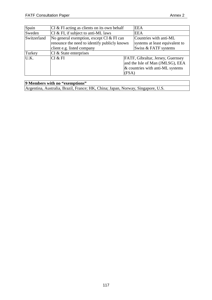| Spain       | $CI & FI$ acting as clients on its own behalf |                                                                                  | <b>EEA</b>                        |  |
|-------------|-----------------------------------------------|----------------------------------------------------------------------------------|-----------------------------------|--|
| Sweden      | CI & FI, if subject to anti-ML laws           | <b>EEA</b>                                                                       |                                   |  |
| Switzerland | No general exemption, except CI & FI can      |                                                                                  | Countries with anti-ML            |  |
|             | renounce the need to identify publicly known  |                                                                                  | systems at least equivalent to    |  |
|             | client e.g. listed company                    |                                                                                  | Swiss & FATF systems              |  |
| Turkey      | CI & State enterprises                        |                                                                                  |                                   |  |
| U.K.        | CI & FI                                       |                                                                                  | FATF, Gibraltar, Jersey, Guernsey |  |
|             |                                               | and the Isle of Man (JMLSG), EEA<br>$\&$ countries with anti-ML systems<br>(FSA) |                                   |  |
|             |                                               |                                                                                  |                                   |  |
|             |                                               |                                                                                  |                                   |  |

| 9 Members with no "exemptions"                                                  |  |
|---------------------------------------------------------------------------------|--|
| Argentina, Australia, Brazil, France; HK, China; Japan, Norway, Singapore, U.S. |  |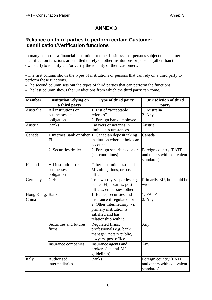# **Reliance on third parties to perform certain Customer Identification/Verification functions**

In many countries a financial institution or other businesses or persons subject to customer identification functions are entitled to rely on other institutions or persons (other than their own staff) to identify and/or verify the identity of their customers.

- The first column shows the types of institutions or persons that can rely on a third party to perform these functions.

- The second column sets out the types of third parties that can perform the functions.

- The last column shows the jurisdictions from which the third party can come.

| <b>Member</b>    | <b>Institution relying on</b> | Type of third party               | <b>Jurisdiction of third</b> |  |
|------------------|-------------------------------|-----------------------------------|------------------------------|--|
|                  | a third party                 |                                   | party                        |  |
| Australia        | All institutions or           | 1. List of "acceptable            | 1. Australia                 |  |
|                  | businesses s.t.               | referees"                         | 2. Any                       |  |
|                  | obligation                    | 2. Foreign bank employee          |                              |  |
| Austria          | <b>Banks</b>                  | Lawyers or notaries in            | Austria                      |  |
|                  |                               | limited circumstances             |                              |  |
| Canada           | 1. Internet Bank or other     | 1. Canadian deposit taking        | Canada                       |  |
|                  | FI                            | institution where it holds an     |                              |  |
|                  |                               | account                           |                              |  |
|                  | 2. Securities dealer          | 2. Foreign securities dealer      | Foreign country (FATF        |  |
|                  |                               | (s.t. conditions)                 | and others with equivalent   |  |
|                  |                               |                                   | standards)                   |  |
| Finland          | All institutions or           | Other institutions s.t. anti-     |                              |  |
|                  | businesses s.t.               | ML obligations, or post           |                              |  |
|                  | obligation                    | office                            |                              |  |
| Germany          | CI/FI                         | Trustworthy $3^{rd}$ parties e.g. | Primarily EU, but could be   |  |
|                  |                               | banks, FI, notaries, post         | wider                        |  |
|                  |                               | offices, embassies, other         |                              |  |
| Hong Kong, Banks |                               | 1. Banks, securities and          | 1. FATF                      |  |
| China            |                               | insurance if regulated, or        | 2. Any                       |  |
|                  |                               | 2. Other intermediary - if        |                              |  |
|                  |                               | primary institution is            |                              |  |
|                  |                               | satisfied and has                 |                              |  |
|                  |                               | relationship with it              |                              |  |
|                  | Securities and futures        | Regulated firms,                  | Any                          |  |
|                  | firms                         | professionals e.g. bank           |                              |  |
|                  |                               | manager, notary public,           |                              |  |
|                  |                               | lawyers, post office              |                              |  |
|                  | Insurance companies           | Insurance agents and              | Any                          |  |
|                  |                               | brokers (s.t. anti-ML             |                              |  |
|                  |                               | guidelines)                       |                              |  |
| Italy            | Authorised                    | <b>Banks</b>                      | Foreign country (FATF        |  |
|                  | intermediaries                |                                   | and others with equivalent   |  |
|                  |                               |                                   | standards)                   |  |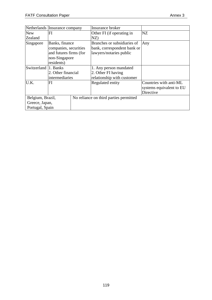|                  | Netherlands Insurance company        |  | Insurance broker                       |                          |  |
|------------------|--------------------------------------|--|----------------------------------------|--------------------------|--|
| <b>New</b>       | FI                                   |  | Other FI (if operating in              | <b>NZ</b>                |  |
| Zealand          |                                      |  | NZ                                     |                          |  |
| Singapore        | Banks, finance                       |  | Branches or subsidiaries of            | Any                      |  |
|                  | companies, securities                |  | bank, correspondent bank or            |                          |  |
|                  | and futures firms (for               |  | lawyers/notaries public                |                          |  |
|                  | non-Singapore                        |  |                                        |                          |  |
|                  | residents)                           |  |                                        |                          |  |
| Switzerland      | 1. Banks                             |  | 1. Any person mandated                 |                          |  |
|                  | 2. Other financial<br>intermediaries |  | 2. Other FI having                     |                          |  |
|                  |                                      |  | relationship with customer             |                          |  |
| U.K.             | FI                                   |  | Regulated entity                       | Countries with anti-ML   |  |
|                  |                                      |  |                                        | systems equivalent to EU |  |
|                  |                                      |  |                                        | Directive                |  |
| Belgium, Brazil, |                                      |  | No reliance on third parties permitted |                          |  |
| Greece, Japan,   |                                      |  |                                        |                          |  |
| Portugal, Spain  |                                      |  |                                        |                          |  |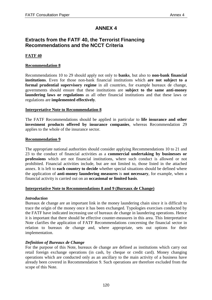# **Extracts from the FATF 40, the Terrorist Financing Recommendations and the NCCT Criteria**

### **FATF 40**

#### **Recommendation 8**

Recommendations 10 to 29 should apply not only to **banks**, but also to **non-bank financial institutions**. Even for those non-bank financial institutions which **are not subject to a formal prudential supervisory regime** in all countries, for example bureaux de change, governments should ensure that these institutions are **subject to the same anti-money laundering laws or regulations** as all other financial institutions and that these laws or regulations are **implemented effectively**.

#### **Interpretative Note to Recommendation 8**

The FATF Recommendations should be applied in particular to **life insurance and other investment products offered by insurance companies**, whereas Recommendation 29 applies to the whole of the insurance sector.

#### **Recommendation 9**

The appropriate national authorities should consider applying Recommendations 10 to 21 and 23 to the conduct of financial activities as a **commercial undertaking by businesses or professions** which are not financial institutions, where such conduct is allowed or not prohibited. Financial activities include, but are not limited to, those listed in the attached annex. It is left to **each country to decide** whether special situations should be defined where the application of **anti-money laundering measures** is **not necessary**, for example, when a financial activity is carried out on an **occasional or limited basis**.

#### **Interpretative Note to Recommendations 8 and 9 (Bureaux de Change)**

#### *Introduction*

Bureaux de change are an important link in the money laundering chain since it is difficult to trace the origin of the money once it has been exchanged. Typologies exercises conducted by the FATF have indicated increasing use of bureaux de change in laundering operations. Hence it is important that there should be effective counter-measures in this area. This Interpretative Note clarifies the application of FATF Recommendations concerning the financial sector in relation to bureaux de change and, where appropriate, sets out options for their implementation.

#### *Definition of Bureaux de Change*

For the purpose of this Note, bureaux de change are defined as institutions which carry out retail foreign exchange operations (in cash, by cheque or credit card). Money changing operations which are conducted only as an ancillary to the main activity of a business have already been covered in Recommendation 9. Such operations are therefore excluded from the scope of this Note.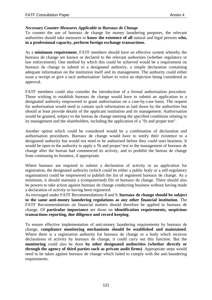#### *Necessary Counter-Measures Applicable to Bureaux de Change*

To counter the use of bureaux de change for money laundering purposes, the relevant authorities should take measures to **know the existence of all** natural and legal persons **who, in a professional capacity, perform foreign exchange transactions**.

As a **minimum requirement**, FATF members should have an effective system whereby the bureaux de change are known or declared to the relevant authorities (whether regulatory or law enforcement). One method by which this could be achieved would be a requirement on bureaux de change to submit to a designated authority, a simple declaration containing adequate information on the institution itself and its management. The authority could either issue a receipt or give a tacit authorisation: failure to voice an objection being considered as approval.

FATF members could also consider the introduction of a formal authorisation procedure. Those wishing to establish bureaux de change would have to submit an application to a designated authority empowered to grant authorisation on a case-by-case basis. The request for authorisation would need to contain such information as laid down by the authorities but should at least provide details of the applicant institution and its management. Authorisation would be granted, subject to the bureau de change meeting the specified conditions relating to its management and the shareholders, including the application of a "fit and proper test".

Another option which could be considered would be a combination of declaration and authorisation procedures. Bureaux de change would have to notify their existence to a designated authority but would not need to be authorised before they could start business. It would be open to the authority to apply a 'fit and proper' test to the management of bureaux de change after the bureau had commenced its activity, and to prohibit the bureau de change from continuing its business, if appropriate.

Where bureaux are required to submit a declaration of activity or an application for registration, the designated authority (which could be either a public body or a self-regulatory organisation) could be empowered to publish the list of registered bureaux de change. As a minimum, it should maintain a (computerised) file of bureaux de change. There should also be powers to take action against bureaux de change conducting business without having made a declaration of activity or having been registered.

As envisaged under FATF Recommendations 8 and 9, **bureaux de change should be subject to the same anti-money laundering regulations as any other financial institution**. The FATF Recommendations on financial matters should therefore be applied to bureaux de change. Of **particular importance** are those on **identification requirements, suspicious transactions reporting, due diligence and record keeping**.

To ensure effective implementation of anti-money laundering requirements by bureaux de change, **compliance monitoring mechanisms should be established and maintained**. Where there is a registration authority for bureaux de change or a body which receives declarations of activity by bureaux de change, it could carry out this function. But the **monitoring** could also be done **by other designated authorities (whether directly or through the agency of third parties such as private audit firms)**. Appropriate steps would need to be taken against bureaux de change which failed to comply with the anti-laundering requirements.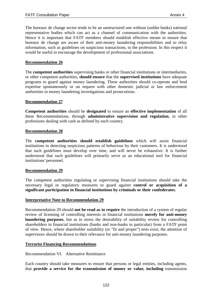The bureaux de change sector tends to be an unstructured one without (unlike banks) national representative bodies which can act as a channel of communication with the authorities. Hence it is important that FATF members should establish effective means to ensure that bureaux de change are aware of their anti-money laundering responsibilities and to relay information, such as guidelines on suspicious transactions, to the profession. In this respect it would be useful to encourage the development of professional associations.

### **Recommendation 26**

The **competent authorities** supervising banks or other financial institutions or intermediaries, or other competent authorities, **should ensure** that the **supervised institutions** have adequate programs to guard against money laundering. These authorities should co-operate and lend expertise spontaneously or on request with other domestic judicial or law enforcement authorities in money laundering investigations and prosecutions.

#### **Recommendation 27**

**Competent authorities** should be **designated** to ensure an **effective implementation** of all these Recommendations, through **administrative supervision and regulation**, in other professions dealing with cash as defined by each country.

#### **Recommendation 28**

The **competent authorities should establish guidelines** which will assist financial institutions in detecting suspicious patterns of behaviour by their customers. It is understood that such guidelines must develop over time, and will never be exhaustive. It is further understood that such guidelines will primarily serve as an educational tool for financial institutions' personnel.

#### **Recommendation 29**

The competent authorities regulating or supervising financial institutions should take the necessary legal or regulatory measures to guard against **control or acquisition of a significant participation in financial institutions by criminals or their confederates**.

#### **Interpretative Note to Recommendation 29**

Recommendation 29 should **not be read as to require** the introduction of a system of regular review of licensing of controlling interests in financial institutions **merely for anti-money laundering purposes**, but as to stress the desirability of suitability review for controlling shareholders in financial institutions (banks and non-banks in particular) from a FATF point of view. Hence, where shareholder suitability (or "fit and proper") tests exist, the attention of supervisors should be drawn to their relevance for anti-money laundering purposes.

#### **Terrorist Financing Recommendations**

Recommendation VI. Alternative Remittance

Each country should take measures to ensure that persons or legal entities, including agents, that **provide a service for the transmission of money or value, including** transmission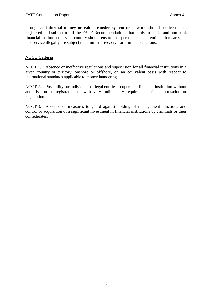through an **informal money or value transfer system** or network, should be licensed or registered and subject to all the FATF Recommendations that apply to banks and non-bank financial institutions. Each country should ensure that persons or legal entities that carry out this service illegally are subject to administrative, civil or criminal sanctions.

## **NCCT Criteria**

NCCT 1. Absence or ineffective regulations and supervision for all financial institutions in a given country or territory, onshore or offshore, on an equivalent basis with respect to international standards applicable to money laundering.

NCCT 2. Possibility for individuals or legal entities to operate a financial institution without authorisation or registration or with very rudimentary requirements for authorisation or registration.

NCCT 3. Absence of measures to guard against holding of management functions and control or acquisition of a significant investment in financial institutions by criminals or their confederates.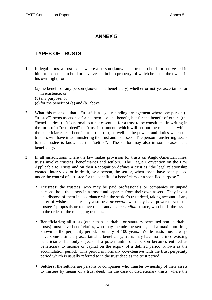# **TYPES OF TRUSTS**

- **1.** In legal terms, a trust exists where a person (known as a trustee) holds or has vested in him or is deemed to hold or have vested in him property, of which he is not the owner in his own right, for:
	- (a) the benefit of any person (known as a beneficiary) whether or not yet ascertained or in existence; or
	- (b) any purpose; or
	- (c) for the benefit of (a) and (b) above.
- **2.** What this means is that a "trust" is a legally binding arrangement where one person (a "trustee") owns assets not for his own use and benefit, but for the benefit of others (the "beneficiaries"). It is normal, but not essential, for a trust to be constituted in writing in the form of a "trust deed" or "trust instrument" which will set out the manner in which the beneficiaries can benefit from the trust, as well as the powers and duties which the trustees will have in administering the trust and its assets. The person transferring assets to the trustee is known as the "settlor". The settlor may also in some cases be a beneficiary.
- **3.** In all jurisdictions where the law makes provision for trusts on Anglo-American lines, trusts involve trustees, beneficiaries and settlors. The Hague Convention on the Law Applicable to Trusts and on their Recognition defines a trust as "the legal relationship created, inter vivos or in death, by a person, the settlor, when assets have been placed under the control of a trustee for the benefit of a beneficiary or a specified purpose."
	- **Trustees;** the trustees, who may be paid professionals or companies or unpaid persons, hold the assets in a trust fund separate from their own assets. They invest and dispose of them in accordance with the settlor's trust deed, taking account of any letter of wishes. There may also be a *protector,* who may have power to veto the trustees' proposals or remove them, and/or a *custodian* trustee, who holds the assets to the order of the managing trustees.
	- **Beneficiaries;** all trusts (other than charitable or statutory permitted non-charitable trusts) must have beneficiaries, who may include the settlor, and a maximum time, known as the perpetuity period, normally of 100 years. While trusts must always have some ultimately ascertainable beneficiary, trusts may have no defined existing beneficiaries but only objects of a power until some person becomes entitled as beneficiary to income or capital on the expiry of a defined period, known as the accumulation period. This period is normally co-extensive with the trust perpetuity period which is usually referred to in the trust deed as the trust period.
	- **Settlors;** the settlors are persons or companies who transfer ownership of their assets to trustees by means of a trust deed. In the case of discretionary trusts, where the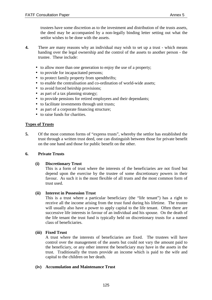trustees have some discretion as to the investment and distribution of the trusts assets, the deed may be accompanied by a non-legally binding letter setting out what the settlor wishes to be done with the assets.

- **4.** There are many reasons why an individual may wish to set up a trust which means handing over the legal ownership and the control of the assets to another person - the trustee. These include:
	- to allow more than one generation to enjoy the use of a property;
	- to provide for incapacitated persons:
	- to protect family property from spendthrifts;
	- to enable the centralisation and co-ordination of world-wide assets;
	- to avoid forced heirship provisions;
	- as part of a tax planning strategy;
	- to provide pensions for retired employees and their dependants;
	- to facilitate investments through unit trusts;
	- as part of a corporate financing structure;
	- to raise funds for charities.

#### **Types of Trusts**

**5.** Of the most common forms of "express trusts", whereby the settlor has established the trust through a written trust deed, one can distinguish between those for private benefit on the one hand and those for public benefit on the other.

#### **6. Private Trusts**

#### **(i) Discretionary Trust**

This is a form of trust where the interests of the beneficiaries are not fixed but depend upon the exercise by the trustee of some discretionary powers in their favour. As such it is the most flexible of all trusts and the most common form of trust used.

#### **(ii) Interest in Possession Trust**

This is a trust where a particular beneficiary (the "life tenant") has a right to receive all the income arising from the trust fund during his lifetime. The trustee will usually also have a power to apply capital to the life tenant. Often there are successive life interests in favour of an individual and his spouse. On the death of the life tenant the trust fund is typically held on discretionary trusts for a named class of beneficiaries.

#### **(iii) Fixed Trust**

A trust where the interests of beneficiaries are fixed. The trustees will have control over the management of the assets but could not vary the amount paid to the beneficiary, or any other interest the beneficiary may have in the assets in the trust. Traditionally the trusts provide an income which is paid to the wife and capital to the children on her death.

#### **(iv) Accumulation and Maintenance Trust**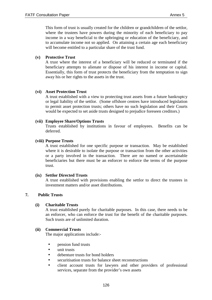This form of trust is usually created for the children or grandchildren of the settlor, where the trustees have powers during the minority of each beneficiary to pay income in a way beneficial to the upbringing or education of the beneficiary, and to accumulate income not so applied. On attaining a certain age each beneficiary will become entitled to a particular share of the trust fund.

#### **(v) Protective Trust**

A trust where the interest of a beneficiary will be reduced or terminated if the beneficiary attempts to alienate or dispose of his interest in income or capital. Essentially, this form of trust protects the beneficiary from the temptation to sign away his or her rights to the assets in the trust.

#### **(vi) Asset Protection Trust**

A trust established with a view to protecting trust assets from a future bankruptcy or legal liability of the settlor. (Some offshore centres have introduced legislation to permit asset protection trusts; others have no such legislation and their Courts would be expected to set aside trusts designed to prejudice foreseen creditors.)

#### **(vii) Employee Share/Options Trusts**

Trusts established by institutions in favour of employees. Benefits can be deferred.

#### **(viii) Purpose Trusts**

A trust established for one specific purpose or transaction. May be established where it is desirable to isolate the purpose or transaction from the other activities or a party involved in the transaction. There are no named or ascertainable beneficiaries but there must be an enforcer to enforce the terms of the purpose trust.

#### **(ix) Settlor Directed Trusts**

A trust established with provisions enabling the settlor to direct the trustees in investment matters and/or asset distributions.

#### **7. Public Trusts**

#### **(i) Charitable Trusts**

A trust established purely for charitable purposes. In this case, there needs to be an enforcer, who can enforce the trust for the benefit of the charitable purposes. Such trusts are of unlimited duration.

#### **(ii) Commercial Trusts**

The major applications include:-

- pension fund trusts
- unit trusts
- debenture trusts for bond holders
- securitisation trusts for balance sheet reconstructions
- client account trusts for lawyers and other providers of professional services, separate from the provider's own assets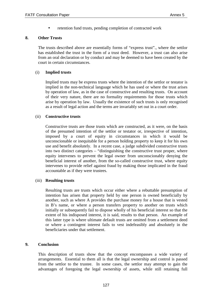• retention fund trusts, pending completion of contracted work

#### **8. Other Trusts**

The trusts described above are essentially forms of "express trust"., where the settlor has established the trust in the form of a trust deed. However, a trust can also arise from an oral declaration or by conduct and may be deemed to have been created by the court in certain circumstances.

#### (i) **Implied trusts**

Implied trusts may be express trusts where the intention of the settlor or testator is implied in the non-technical language which he has used or where the trust arises by operation of law, as in the case of constructive and resulting trusts. On account of their very nature, there are no formality requirements for those trusts which arise by operation by law. Usually the existence of such trusts is only recognised as a result of legal action and the terms are invariably set out in a court order.

#### (ii) **Constructive trusts**

Constructive trusts are those trusts which are constructed, as it were, on the basis of the presumed intention of the settlor or testator or, irrespective of intention, imposed by a court of equity in circumstances in which it would be unconscionable or inequitable for a person holding property to keep it for his own use and benefit absolutely. In a recent case, a judge subdivided constructive trusts into two distinct categories – "distinguishing the constructive trust proper, where equity intervenes to prevent the legal owner from unconscionably denying the beneficial interest of another, from the so-called constructive trust, where equity intervenes to provide relief against fraud by making those implicated in the fraud accountable as if they were trustees.

#### (iii) **Resulting trusts**

Resulting trusts are trusts which occur either where a rebuttable presumption of intention has arisen that property held by one person is owned beneficially by another, such as where A provides the purchase money for a house that is vested in B's name, or where a person transfers property to another on trusts which initially or subsequently fail to dispose wholly of his beneficial interest so that the extent of his indisposed interest, it is said, results to that person. An example of this latter type is where ultimate default trusts are omitted from a settlement deed or where a contingent interest fails to vest indefeasibly and absolutely in the beneficiaries under that settlement.

#### **9. Conclusion**

This description of trusts show that the concept encompasses a wide variety of arrangements. Essential to them all is that the legal ownership and control is passed from the settlor to the trustee. In some cases, the settlor may attempt to gain the advantages of foregoing the legal ownership of assets, while still retaining full